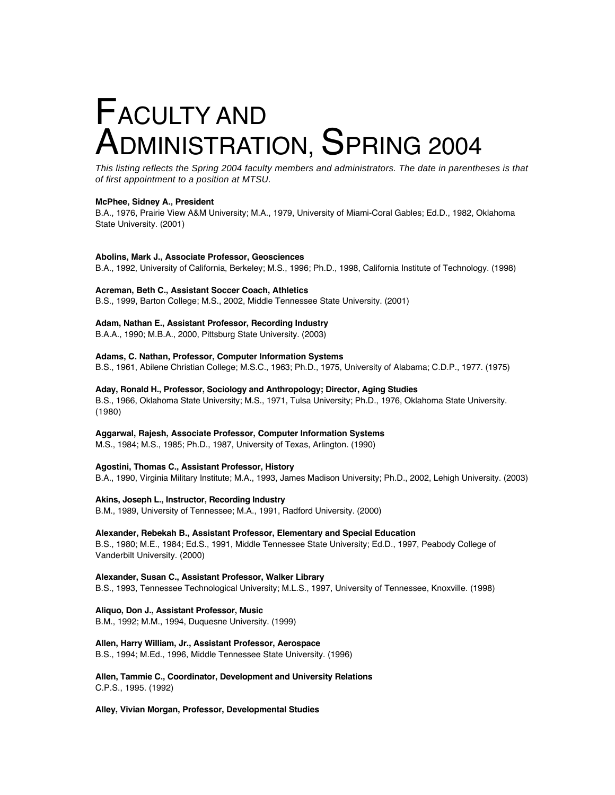# FACULTY AND ADMINISTRATION, SPRING 2004

This listing reflects the Spring 2004 faculty members and administrators. The date in parentheses is that of first appointment to a position at MTSU.

### **McPhee, Sidney A., President**

B.A., 1976, Prairie View A&M University; M.A., 1979, University of Miami-Coral Gables; Ed.D., 1982, Oklahoma State University. (2001)

### **Abolins, Mark J., Associate Professor, Geosciences**

B.A., 1992, University of California, Berkeley; M.S., 1996; Ph.D., 1998, California Institute of Technology. (1998)

### **Acreman, Beth C., Assistant Soccer Coach, Athletics**

B.S., 1999, Barton College; M.S., 2002, Middle Tennessee State University. (2001)

### **Adam, Nathan E., Assistant Professor, Recording Industry**

B.A.A., 1990; M.B.A., 2000, Pittsburg State University. (2003)

# **Adams, C. Nathan, Professor, Computer Information Systems**

B.S., 1961, Abilene Christian College; M.S.C., 1963; Ph.D., 1975, University of Alabama; C.D.P., 1977. (1975)

### **Aday, Ronald H., Professor, Sociology and Anthropology; Director, Aging Studies**

B.S., 1966, Oklahoma State University; M.S., 1971, Tulsa University; Ph.D., 1976, Oklahoma State University. (1980)

### **Aggarwal, Rajesh, Associate Professor, Computer Information Systems**

M.S., 1984; M.S., 1985; Ph.D., 1987, University of Texas, Arlington. (1990)

### **Agostini, Thomas C., Assistant Professor, History**

B.A., 1990, Virginia Military Institute; M.A., 1993, James Madison University; Ph.D., 2002, Lehigh University. (2003)

### **Akins, Joseph L., Instructor, Recording Industry**

B.M., 1989, University of Tennessee; M.A., 1991, Radford University. (2000)

### **Alexander, Rebekah B., Assistant Professor, Elementary and Special Education**

B.S., 1980; M.E., 1984; Ed.S., 1991, Middle Tennessee State University; Ed.D., 1997, Peabody College of Vanderbilt University. (2000)

### **Alexander, Susan C., Assistant Professor, Walker Library** B.S., 1993, Tennessee Technological University; M.L.S., 1997, University of Tennessee, Knoxville. (1998)

### **Aliquo, Don J., Assistant Professor, Music**

B.M., 1992; M.M., 1994, Duquesne University. (1999)

### **Allen, Harry William, Jr., Assistant Professor, Aerospace**

B.S., 1994; M.Ed., 1996, Middle Tennessee State University. (1996)

**Allen, Tammie C., Coordinator, Development and University Relations** C.P.S., 1995. (1992)

### **Alley, Vivian Morgan, Professor, Developmental Studies**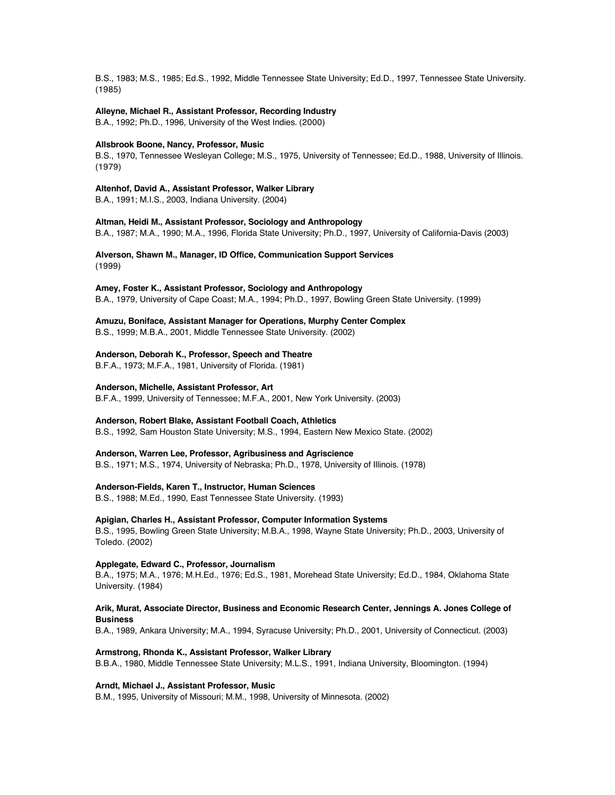B.S., 1983; M.S., 1985; Ed.S., 1992, Middle Tennessee State University; Ed.D., 1997, Tennessee State University. (1985)

### **Alleyne, Michael R., Assistant Professor, Recording Industry**

B.A., 1992; Ph.D., 1996, University of the West Indies. (2000)

#### **Allsbrook Boone, Nancy, Professor, Music**

B.S., 1970, Tennessee Wesleyan College; M.S., 1975, University of Tennessee; Ed.D., 1988, University of Illinois. (1979)

### **Altenhof, David A., Assistant Professor, Walker Library**

B.A., 1991; M.I.S., 2003, Indiana University. (2004)

### **Altman, Heidi M., Assistant Professor, Sociology and Anthropology**

B.A., 1987; M.A., 1990; M.A., 1996, Florida State University; Ph.D., 1997, University of California-Davis (2003)

### **Alverson, Shawn M., Manager, ID Office, Communication Support Services** (1999)

### **Amey, Foster K., Assistant Professor, Sociology and Anthropology**

B.A., 1979, University of Cape Coast; M.A., 1994; Ph.D., 1997, Bowling Green State University. (1999)

### **Amuzu, Boniface, Assistant Manager for Operations, Murphy Center Complex**

B.S., 1999; M.B.A., 2001, Middle Tennessee State University. (2002)

#### **Anderson, Deborah K., Professor, Speech and Theatre**

B.F.A., 1973; M.F.A., 1981, University of Florida. (1981)

### **Anderson, Michelle, Assistant Professor, Art**

B.F.A., 1999, University of Tennessee; M.F.A., 2001, New York University. (2003)

#### **Anderson, Robert Blake, Assistant Football Coach, Athletics**

B.S., 1992, Sam Houston State University; M.S., 1994, Eastern New Mexico State. (2002)

#### **Anderson, Warren Lee, Professor, Agribusiness and Agriscience**

B.S., 1971; M.S., 1974, University of Nebraska; Ph.D., 1978, University of Illinois. (1978)

#### **Anderson-Fields, Karen T., Instructor, Human Sciences**

B.S., 1988; M.Ed., 1990, East Tennessee State University. (1993)

#### **Apigian, Charles H., Assistant Professor, Computer Information Systems**

B.S., 1995, Bowling Green State University; M.B.A., 1998, Wayne State University; Ph.D., 2003, University of Toledo. (2002)

### **Applegate, Edward C., Professor, Journalism**

B.A., 1975; M.A., 1976; M.H.Ed., 1976; Ed.S., 1981, Morehead State University; Ed.D., 1984, Oklahoma State University. (1984)

### **Arik, Murat, Associate Director, Business and Economic Research Center, Jennings A. Jones College of Business**

B.A., 1989, Ankara University; M.A., 1994, Syracuse University; Ph.D., 2001, University of Connecticut. (2003)

#### **Armstrong, Rhonda K., Assistant Professor, Walker Library**

B.B.A., 1980, Middle Tennessee State University; M.L.S., 1991, Indiana University, Bloomington. (1994)

### **Arndt, Michael J., Assistant Professor, Music**

B.M., 1995, University of Missouri; M.M., 1998, University of Minnesota. (2002)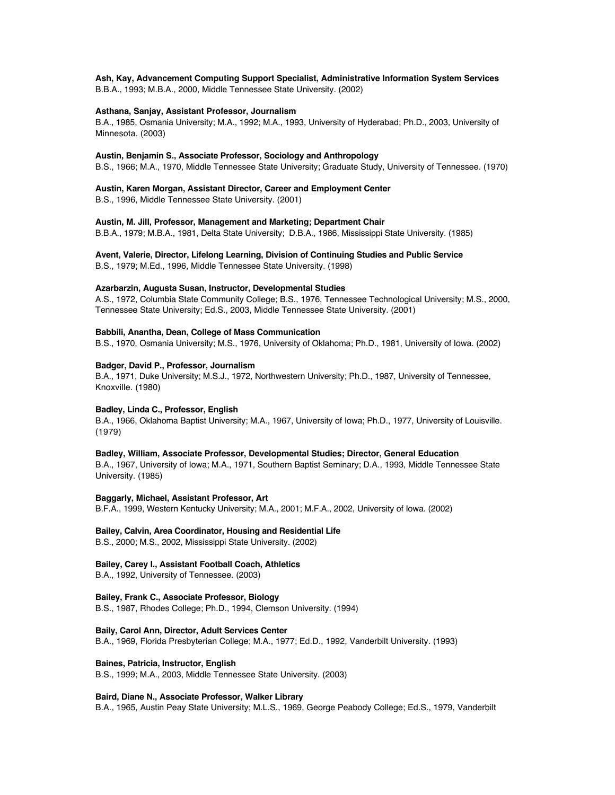### **Ash, Kay, Advancement Computing Support Specialist, Administrative Information System Services**

B.B.A., 1993; M.B.A., 2000, Middle Tennessee State University. (2002)

### **Asthana, Sanjay, Assistant Professor, Journalism**

B.A., 1985, Osmania University; M.A., 1992; M.A., 1993, University of Hyderabad; Ph.D., 2003, University of Minnesota. (2003)

### **Austin, Benjamin S., Associate Professor, Sociology and Anthropology**

B.S., 1966; M.A., 1970, Middle Tennessee State University; Graduate Study, University of Tennessee. (1970)

### **Austin, Karen Morgan, Assistant Director, Career and Employment Center**

B.S., 1996, Middle Tennessee State University. (2001)

### **Austin, M. Jill, Professor, Management and Marketing; Department Chair**

B.B.A., 1979; M.B.A., 1981, Delta State University; D.B.A., 1986, Mississippi State University. (1985)

### **Avent, Valerie, Director, Lifelong Learning, Division of Continuing Studies and Public Service** B.S., 1979; M.Ed., 1996, Middle Tennessee State University. (1998)

#### **Azarbarzin, Augusta Susan, Instructor, Developmental Studies**

A.S., 1972, Columbia State Community College; B.S., 1976, Tennessee Technological University; M.S., 2000, Tennessee State University; Ed.S., 2003, Middle Tennessee State University. (2001)

### **Babbili, Anantha, Dean, College of Mass Communication**

B.S., 1970, Osmania University; M.S., 1976, University of Oklahoma; Ph.D., 1981, University of Iowa. (2002)

### **Badger, David P., Professor, Journalism**

B.A., 1971, Duke University; M.S.J., 1972, Northwestern University; Ph.D., 1987, University of Tennessee, Knoxville. (1980)

### **Badley, Linda C., Professor, English**

B.A., 1966, Oklahoma Baptist University; M.A., 1967, University of Iowa; Ph.D., 1977, University of Louisville. (1979)

### **Badley, William, Associate Professor, Developmental Studies; Director, General Education**

B.A., 1967, University of Iowa; M.A., 1971, Southern Baptist Seminary; D.A., 1993, Middle Tennessee State University. (1985)

**Baggarly, Michael, Assistant Professor, Art** B.F.A., 1999, Western Kentucky University; M.A., 2001; M.F.A., 2002, University of Iowa. (2002)

### **Bailey, Calvin, Area Coordinator, Housing and Residential Life**

B.S., 2000; M.S., 2002, Mississippi State University. (2002)

### **Bailey, Carey I., Assistant Football Coach, Athletics**

B.A., 1992, University of Tennessee. (2003)

### **Bailey, Frank C., Associate Professor, Biology**

B.S., 1987, Rhodes College; Ph.D., 1994, Clemson University. (1994)

**Baily, Carol Ann, Director, Adult Services Center**

B.A., 1969, Florida Presbyterian College; M.A., 1977; Ed.D., 1992, Vanderbilt University. (1993)

### **Baines, Patricia, Instructor, English**

B.S., 1999; M.A., 2003, Middle Tennessee State University. (2003)

#### **Baird, Diane N., Associate Professor, Walker Library**

B.A., 1965, Austin Peay State University; M.L.S., 1969, George Peabody College; Ed.S., 1979, Vanderbilt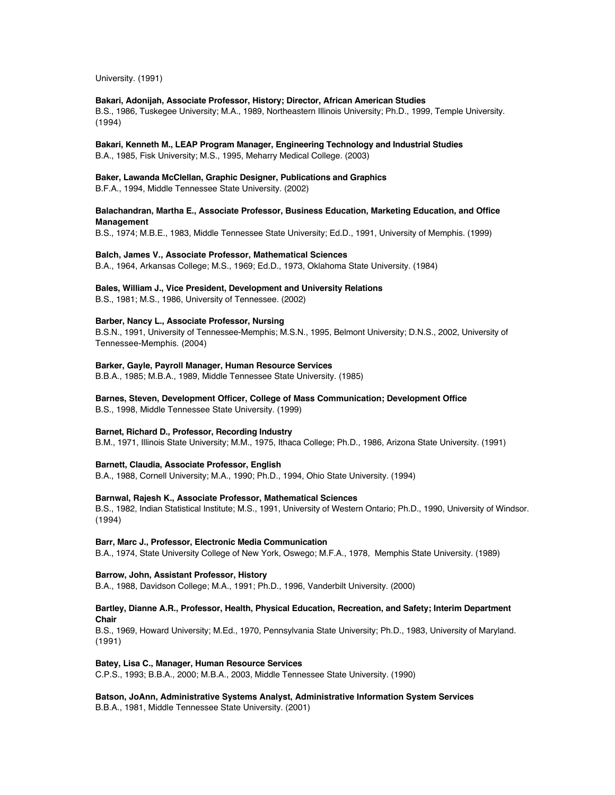University. (1991)

### **Bakari, Adonijah, Associate Professor, History; Director, African American Studies**

B.S., 1986, Tuskegee University; M.A., 1989, Northeastern Illinois University; Ph.D., 1999, Temple University. (1994)

### **Bakari, Kenneth M., LEAP Program Manager, Engineering Technology and Industrial Studies**

B.A., 1985, Fisk University; M.S., 1995, Meharry Medical College. (2003)

### **Baker, Lawanda McClellan, Graphic Designer, Publications and Graphics**

B.F.A., 1994, Middle Tennessee State University. (2002)

### **Balachandran, Martha E., Associate Professor, Business Education, Marketing Education, and Office Management**

B.S., 1974; M.B.E., 1983, Middle Tennessee State University; Ed.D., 1991, University of Memphis. (1999)

### **Balch, James V., Associate Professor, Mathematical Sciences**

B.A., 1964, Arkansas College; M.S., 1969; Ed.D., 1973, Oklahoma State University. (1984)

### **Bales, William J., Vice President, Development and University Relations**

B.S., 1981; M.S., 1986, University of Tennessee. (2002)

### **Barber, Nancy L., Associate Professor, Nursing**

B.S.N., 1991, University of Tennessee-Memphis; M.S.N., 1995, Belmont University; D.N.S., 2002, University of Tennessee-Memphis. (2004)

### **Barker, Gayle, Payroll Manager, Human Resource Services**

B.B.A., 1985; M.B.A., 1989, Middle Tennessee State University. (1985)

### **Barnes, Steven, Development Officer, College of Mass Communication; Development Office**

B.S., 1998, Middle Tennessee State University. (1999)

### **Barnet, Richard D., Professor, Recording Industry**

B.M., 1971, Illinois State University; M.M., 1975, Ithaca College; Ph.D., 1986, Arizona State University. (1991)

### **Barnett, Claudia, Associate Professor, English**

B.A., 1988, Cornell University; M.A., 1990; Ph.D., 1994, Ohio State University. (1994)

### **Barnwal, Rajesh K., Associate Professor, Mathematical Sciences**

B.S., 1982, Indian Statistical Institute; M.S., 1991, University of Western Ontario; Ph.D., 1990, University of Windsor. (1994)

### **Barr, Marc J., Professor, Electronic Media Communication**

B.A., 1974, State University College of New York, Oswego; M.F.A., 1978, Memphis State University. (1989)

### **Barrow, John, Assistant Professor, History**

B.A., 1988, Davidson College; M.A., 1991; Ph.D., 1996, Vanderbilt University. (2000)

### **Bartley, Dianne A.R., Professor, Health, Physical Education, Recreation, and Safety; Interim Department Chair**

B.S., 1969, Howard University; M.Ed., 1970, Pennsylvania State University; Ph.D., 1983, University of Maryland. (1991)

### **Batey, Lisa C., Manager, Human Resource Services**

C.P.S., 1993; B.B.A., 2000; M.B.A., 2003, Middle Tennessee State University. (1990)

### **Batson, JoAnn, Administrative Systems Analyst, Administrative Information System Services**

B.B.A., 1981, Middle Tennessee State University. (2001)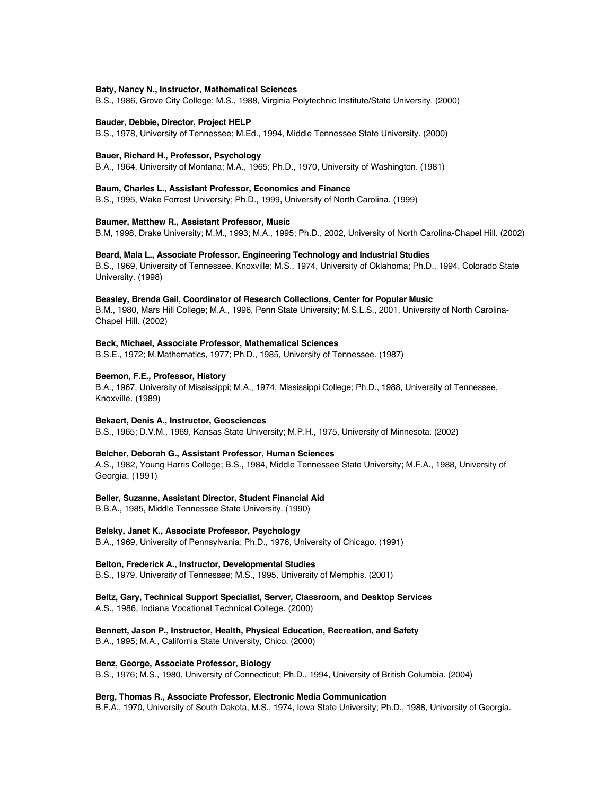### **Baty, Nancy N., Instructor, Mathematical Sciences**

B.S., 1986, Grove City College; M.S., 1988, Virginia Polytechnic Institute/State University. (2000)

#### **Bauder, Debbie, Director, Project HELP**

B.S., 1978, University of Tennessee; M.Ed., 1994, Middle Tennessee State University. (2000)

#### **Bauer, Richard H., Professor, Psychology**

B.A., 1964, University of Montana; M.A., 1965; Ph.D., 1970, University of Washington. (1981)

#### **Baum, Charles L., Assistant Professor, Economics and Finance**

B.S., 1995, Wake Forrest University; Ph.D., 1999, University of North Carolina. (1999)

#### **Baumer, Matthew R., Assistant Professor, Music**

B.M, 1998, Drake University; M.M., 1993; M.A., 1995; Ph.D., 2002, University of North Carolina-Chapel Hill. (2002)

### **Beard, Mala L., Associate Professor, Engineering Technology and Industrial Studies**

B.S., 1969, University of Tennessee, Knoxville; M.S., 1974, University of Oklahoma; Ph.D., 1994, Colorado State University. (1998)

### **Beasley, Brenda Gail, Coordinator of Research Collections, Center for Popular Music**

B.M., 1980, Mars Hill College; M.A., 1996, Penn State University; M.S.L.S., 2001, University of North Carolina-Chapel Hill. (2002)

#### **Beck, Michael, Associate Professor, Mathematical Sciences**

B.S.E., 1972; M.Mathematics, 1977; Ph.D., 1985, University of Tennessee. (1987)

### **Beemon, F.E., Professor, History**

B.A., 1967, University of Mississippi; M.A., 1974, Mississippi College; Ph.D., 1988, University of Tennessee, Knoxville. (1989)

#### **Bekaert, Denis A., Instructor, Geosciences**

B.S., 1965; D.V.M., 1969, Kansas State University; M.P.H., 1975, University of Minnesota. (2002)

### **Belcher, Deborah G., Assistant Professor, Human Sciences**

A.S., 1982, Young Harris College; B.S., 1984, Middle Tennessee State University; M.F.A., 1988, University of Georgia. (1991)

#### **Beller, Suzanne, Assistant Director, Student Financial Aid**

B.B.A., 1985, Middle Tennessee State University. (1990)

### **Belsky, Janet K., Associate Professor, Psychology**

B.A., 1969, University of Pennsylvania; Ph.D., 1976, University of Chicago. (1991)

### **Belton, Frederick A., Instructor, Developmental Studies**

B.S., 1979, University of Tennessee; M.S., 1995, University of Memphis. (2001)

### **Beltz, Gary, Technical Support Specialist, Server, Classroom, and Desktop Services**

A.S., 1986, Indiana Vocational Technical College. (2000)

# **Bennett, Jason P., Instructor, Health, Physical Education, Recreation, and Safety**

B.A., 1995; M.A., California State University, Chico. (2000)

### **Benz, George, Associate Professor, Biology**

B.S., 1976; M.S., 1980, University of Connecticut; Ph.D., 1994, University of British Columbia. (2004)

#### **Berg, Thomas R., Associate Professor, Electronic Media Communication**

B.F.A., 1970, University of South Dakota, M.S., 1974, Iowa State University; Ph.D., 1988, University of Georgia.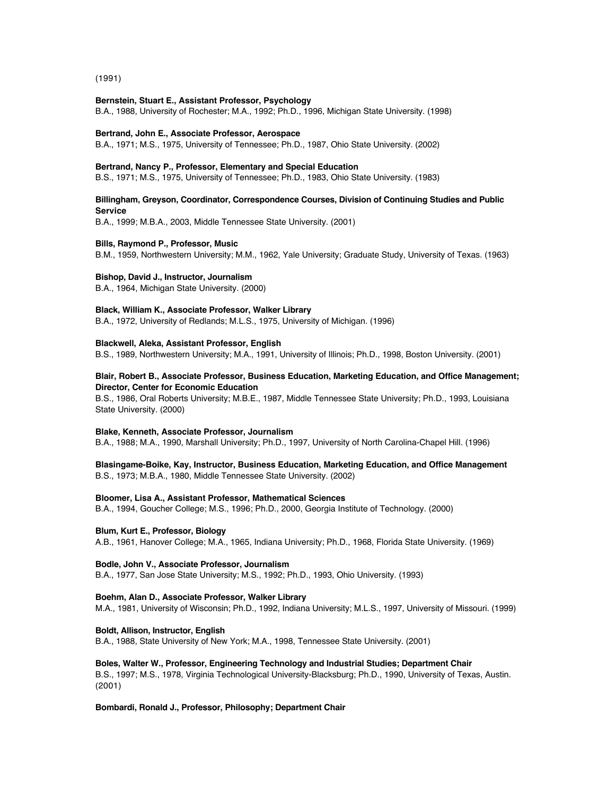(1991)

### **Bernstein, Stuart E., Assistant Professor, Psychology**

B.A., 1988, University of Rochester; M.A., 1992; Ph.D., 1996, Michigan State University. (1998)

### **Bertrand, John E., Associate Professor, Aerospace**

B.A., 1971; M.S., 1975, University of Tennessee; Ph.D., 1987, Ohio State University. (2002)

### **Bertrand, Nancy P., Professor, Elementary and Special Education**

B.S., 1971; M.S., 1975, University of Tennessee; Ph.D., 1983, Ohio State University. (1983)

### **Billingham, Greyson, Coordinator, Correspondence Courses, Division of Continuing Studies and Public Service**

B.A., 1999; M.B.A., 2003, Middle Tennessee State University. (2001)

### **Bills, Raymond P., Professor, Music**

B.M., 1959, Northwestern University; M.M., 1962, Yale University; Graduate Study, University of Texas. (1963)

#### **Bishop, David J., Instructor, Journalism**

B.A., 1964, Michigan State University. (2000)

### **Black, William K., Associate Professor, Walker Library**

B.A., 1972, University of Redlands; M.L.S., 1975, University of Michigan. (1996)

#### **Blackwell, Aleka, Assistant Professor, English**

B.S., 1989, Northwestern University; M.A., 1991, University of Illinois; Ph.D., 1998, Boston University. (2001)

### **Blair, Robert B., Associate Professor, Business Education, Marketing Education, and Office Management; Director, Center for Economic Education**

B.S., 1986, Oral Roberts University; M.B.E., 1987, Middle Tennessee State University; Ph.D., 1993, Louisiana State University. (2000)

#### **Blake, Kenneth, Associate Professor, Journalism**

B.A., 1988; M.A., 1990, Marshall University; Ph.D., 1997, University of North Carolina-Chapel Hill. (1996)

### **Blasingame-Boike, Kay, Instructor, Business Education, Marketing Education, and Office Management** B.S., 1973; M.B.A., 1980, Middle Tennessee State University. (2002)

### **Bloomer, Lisa A., Assistant Professor, Mathematical Sciences**

B.A., 1994, Goucher College; M.S., 1996; Ph.D., 2000, Georgia Institute of Technology. (2000)

### **Blum, Kurt E., Professor, Biology**

A.B., 1961, Hanover College; M.A., 1965, Indiana University; Ph.D., 1968, Florida State University. (1969)

### **Bodle, John V., Associate Professor, Journalism**

B.A., 1977, San Jose State University; M.S., 1992; Ph.D., 1993, Ohio University. (1993)

### **Boehm, Alan D., Associate Professor, Walker Library**

M.A., 1981, University of Wisconsin; Ph.D., 1992, Indiana University; M.L.S., 1997, University of Missouri. (1999)

### **Boldt, Allison, Instructor, English**

B.A., 1988, State University of New York; M.A., 1998, Tennessee State University. (2001)

### **Boles, Walter W., Professor, Engineering Technology and Industrial Studies; Department Chair**

B.S., 1997; M.S., 1978, Virginia Technological University-Blacksburg; Ph.D., 1990, University of Texas, Austin. (2001)

#### **Bombardi, Ronald J., Professor, Philosophy; Department Chair**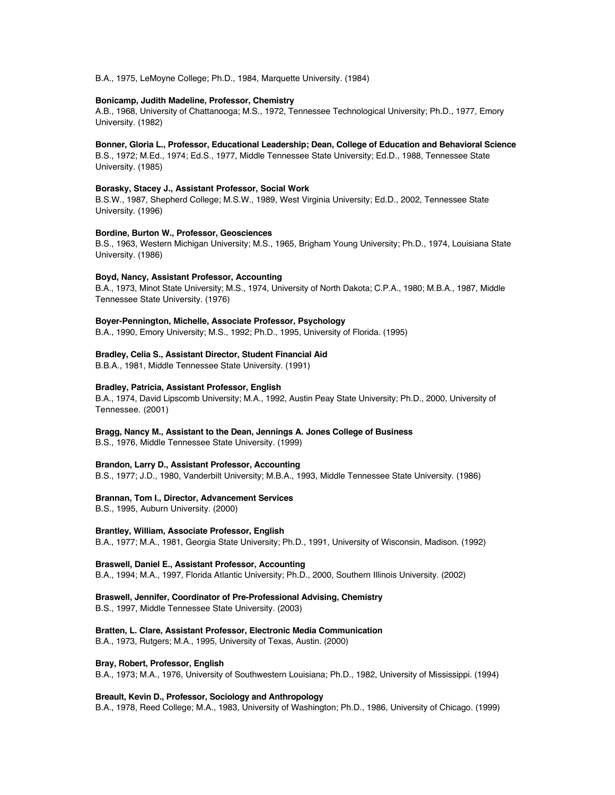B.A., 1975, LeMoyne College; Ph.D., 1984, Marquette University. (1984)

### **Bonicamp, Judith Madeline, Professor, Chemistry**

A.B., 1968, University of Chattanooga; M.S., 1972, Tennessee Technological University; Ph.D., 1977, Emory University. (1982)

### **Bonner, Gloria L., Professor, Educational Leadership; Dean, College of Education and Behavioral Science**

B.S., 1972; M.Ed., 1974; Ed.S., 1977, Middle Tennessee State University; Ed.D., 1988, Tennessee State University. (1985)

### **Borasky, Stacey J., Assistant Professor, Social Work**

B.S.W., 1987, Shepherd College; M.S.W., 1989, West Virginia University; Ed.D., 2002, Tennessee State University. (1996)

### **Bordine, Burton W., Professor, Geosciences**

B.S., 1963, Western Michigan University; M.S., 1965, Brigham Young University; Ph.D., 1974, Louisiana State University. (1986)

### **Boyd, Nancy, Assistant Professor, Accounting**

B.A., 1973, Minot State University; M.S., 1974, University of North Dakota; C.P.A., 1980; M.B.A., 1987, Middle Tennessee State University. (1976)

### **Boyer-Pennington, Michelle, Associate Professor, Psychology**

B.A., 1990, Emory University; M.S., 1992; Ph.D., 1995, University of Florida. (1995)

### **Bradley, Celia S., Assistant Director, Student Financial Aid**

B.B.A., 1981, Middle Tennessee State University. (1991)

### **Bradley, Patricia, Assistant Professor, English**

B.A., 1974, David Lipscomb University; M.A., 1992, Austin Peay State University; Ph.D., 2000, University of Tennessee. (2001)

### **Bragg, Nancy M., Assistant to the Dean, Jennings A. Jones College of Business**

B.S., 1976, Middle Tennessee State University. (1999)

### **Brandon, Larry D., Assistant Professor, Accounting**

B.S., 1977; J.D., 1980, Vanderbilt University; M.B.A., 1993, Middle Tennessee State University. (1986)

### **Brannan, Tom I., Director, Advancement Services**

B.S., 1995, Auburn University. (2000)

### **Brantley, William, Associate Professor, English**

B.A., 1977; M.A., 1981, Georgia State University; Ph.D., 1991, University of Wisconsin, Madison. (1992)

### **Braswell, Daniel E., Assistant Professor, Accounting**

B.A., 1994; M.A., 1997, Florida Atlantic University; Ph.D., 2000, Southern Illinois University. (2002)

### **Braswell, Jennifer, Coordinator of Pre-Professional Advising, Chemistry**

B.S., 1997, Middle Tennessee State University. (2003)

### **Bratten, L. Clare, Assistant Professor, Electronic Media Communication**

B.A., 1973, Rutgers; M.A., 1995, University of Texas, Austin. (2000)

### **Bray, Robert, Professor, English**

B.A., 1973; M.A., 1976, University of Southwestern Louisiana; Ph.D., 1982, University of Mississippi. (1994)

### **Breault, Kevin D., Professor, Sociology and Anthropology**

B.A., 1978, Reed College; M.A., 1983, University of Washington; Ph.D., 1986, University of Chicago. (1999)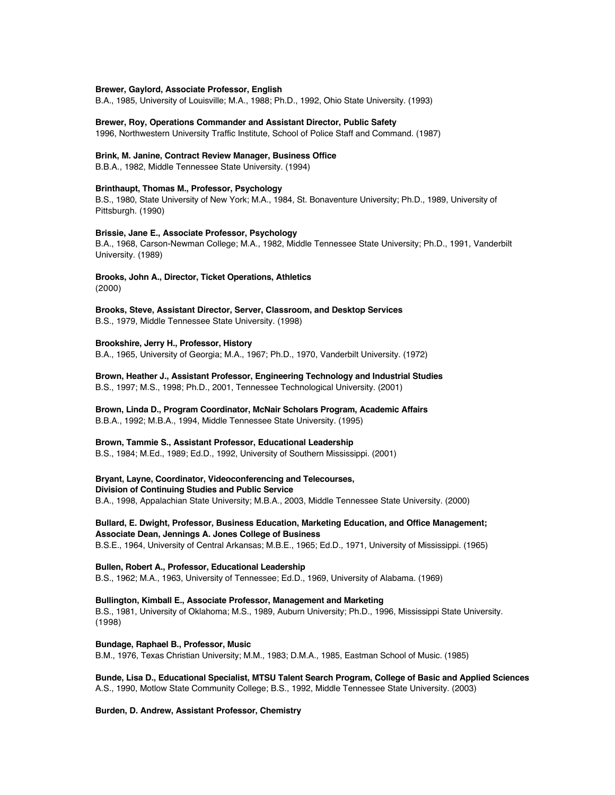### **Brewer, Gaylord, Associate Professor, English**

B.A., 1985, University of Louisville; M.A., 1988; Ph.D., 1992, Ohio State University. (1993)

**Brewer, Roy, Operations Commander and Assistant Director, Public Safety**

1996, Northwestern University Traffic Institute, School of Police Staff and Command. (1987)

### **Brink, M. Janine, Contract Review Manager, Business Office**

B.B.A., 1982, Middle Tennessee State University. (1994)

### **Brinthaupt, Thomas M., Professor, Psychology**

B.S., 1980, State University of New York; M.A., 1984, St. Bonaventure University; Ph.D., 1989, University of Pittsburgh. (1990)

### **Brissie, Jane E., Associate Professor, Psychology**

B.A., 1968, Carson-Newman College; M.A., 1982, Middle Tennessee State University; Ph.D., 1991, Vanderbilt University. (1989)

# **Brooks, John A., Director, Ticket Operations, Athletics**

(2000)

**Brooks, Steve, Assistant Director, Server, Classroom, and Desktop Services** B.S., 1979, Middle Tennessee State University. (1998)

### **Brookshire, Jerry H., Professor, History**

B.A., 1965, University of Georgia; M.A., 1967; Ph.D., 1970, Vanderbilt University. (1972)

**Brown, Heather J., Assistant Professor, Engineering Technology and Industrial Studies** B.S., 1997; M.S., 1998; Ph.D., 2001, Tennessee Technological University. (2001)

**Brown, Linda D., Program Coordinator, McNair Scholars Program, Academic Affairs** B.B.A., 1992; M.B.A., 1994, Middle Tennessee State University. (1995)

### **Brown, Tammie S., Assistant Professor, Educational Leadership**

B.S., 1984; M.Ed., 1989; Ed.D., 1992, University of Southern Mississippi. (2001)

**Bryant, Layne, Coordinator, Videoconferencing and Telecourses, Division of Continuing Studies and Public Service** B.A., 1998, Appalachian State University; M.B.A., 2003, Middle Tennessee State University. (2000)

**Bullard, E. Dwight, Professor, Business Education, Marketing Education, and Office Management; Associate Dean, Jennings A. Jones College of Business**

B.S.E., 1964, University of Central Arkansas; M.B.E., 1965; Ed.D., 1971, University of Mississippi. (1965)

### **Bullen, Robert A., Professor, Educational Leadership**

B.S., 1962; M.A., 1963, University of Tennessee; Ed.D., 1969, University of Alabama. (1969)

**Bullington, Kimball E., Associate Professor, Management and Marketing** B.S., 1981, University of Oklahoma; M.S., 1989, Auburn University; Ph.D., 1996, Mississippi State University. (1998)

**Bundage, Raphael B., Professor, Music**

B.M., 1976, Texas Christian University; M.M., 1983; D.M.A., 1985, Eastman School of Music. (1985)

**Bunde, Lisa D., Educational Specialist, MTSU Talent Search Program, College of Basic and Applied Sciences** A.S., 1990, Motlow State Community College; B.S., 1992, Middle Tennessee State University. (2003)

**Burden, D. Andrew, Assistant Professor, Chemistry**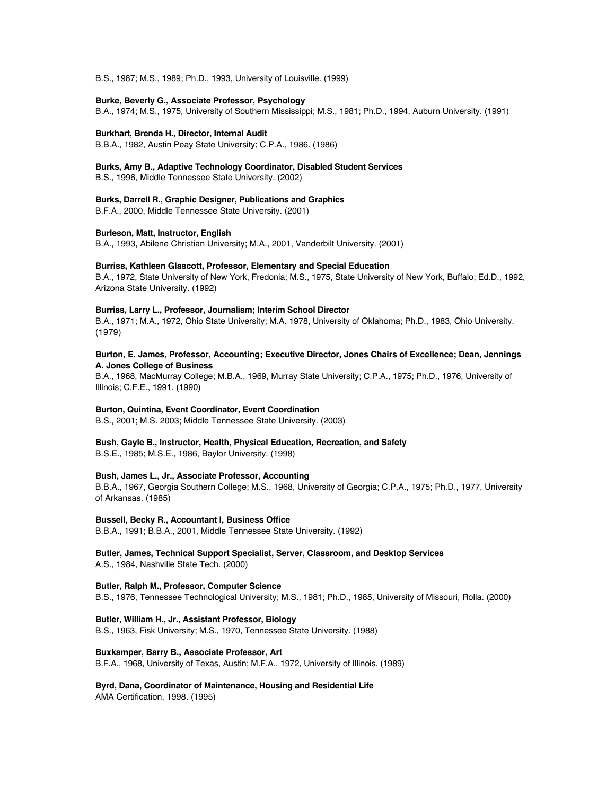B.S., 1987; M.S., 1989; Ph.D., 1993, University of Louisville. (1999)

### **Burke, Beverly G., Associate Professor, Psychology**

B.A., 1974; M.S., 1975, University of Southern Mississippi; M.S., 1981; Ph.D., 1994, Auburn University. (1991)

#### **Burkhart, Brenda H., Director, Internal Audit**

B.B.A., 1982, Austin Peay State University; C.P.A., 1986. (1986)

#### **Burks, Amy B., Adaptive Technology Coordinator, Disabled Student Services**

B.S., 1996, Middle Tennessee State University. (2002)

#### **Burks, Darrell R., Graphic Designer, Publications and Graphics**

B.F.A., 2000, Middle Tennessee State University. (2001)

### **Burleson, Matt, Instructor, English**

B.A., 1993, Abilene Christian University; M.A., 2001, Vanderbilt University. (2001)

### **Burriss, Kathleen Glascott, Professor, Elementary and Special Education**

B.A., 1972, State University of New York, Fredonia; M.S., 1975, State University of New York, Buffalo; Ed.D., 1992, Arizona State University. (1992)

### **Burriss, Larry L., Professor, Journalism; Interim School Director**

B.A., 1971; M.A., 1972, Ohio State University; M.A. 1978, University of Oklahoma; Ph.D., 1983, Ohio University. (1979)

### **Burton, E. James, Professor, Accounting; Executive Director, Jones Chairs of Excellence; Dean, Jennings A. Jones College of Business**

B.A., 1968, MacMurray College; M.B.A., 1969, Murray State University; C.P.A., 1975; Ph.D., 1976, University of Illinois; C.F.E., 1991. (1990)

### **Burton, Quintina, Event Coordinator, Event Coordination**

B.S., 2001; M.S. 2003; Middle Tennessee State University. (2003)

#### **Bush, Gayle B., Instructor, Health, Physical Education, Recreation, and Safety**

B.S.E., 1985; M.S.E., 1986, Baylor University. (1998)

### **Bush, James L., Jr., Associate Professor, Accounting**

B.B.A., 1967, Georgia Southern College; M.S., 1968, University of Georgia; C.P.A., 1975; Ph.D., 1977, University of Arkansas. (1985)

#### **Bussell, Becky R., Accountant I, Business Office**

B.B.A., 1991; B.B.A., 2001, Middle Tennessee State University. (1992)

### **Butler, James, Technical Support Specialist, Server, Classroom, and Desktop Services** A.S., 1984, Nashville State Tech. (2000)

### **Butler, Ralph M., Professor, Computer Science**

B.S., 1976, Tennessee Technological University; M.S., 1981; Ph.D., 1985, University of Missouri, Rolla. (2000)

### **Butler, William H., Jr., Assistant Professor, Biology**

B.S., 1963, Fisk University; M.S., 1970, Tennessee State University. (1988)

#### **Buxkamper, Barry B., Associate Professor, Art**

B.F.A., 1968, University of Texas, Austin; M.F.A., 1972, University of Illinois. (1989)

### **Byrd, Dana, Coordinator of Maintenance, Housing and Residential Life**

AMA Certification, 1998. (1995)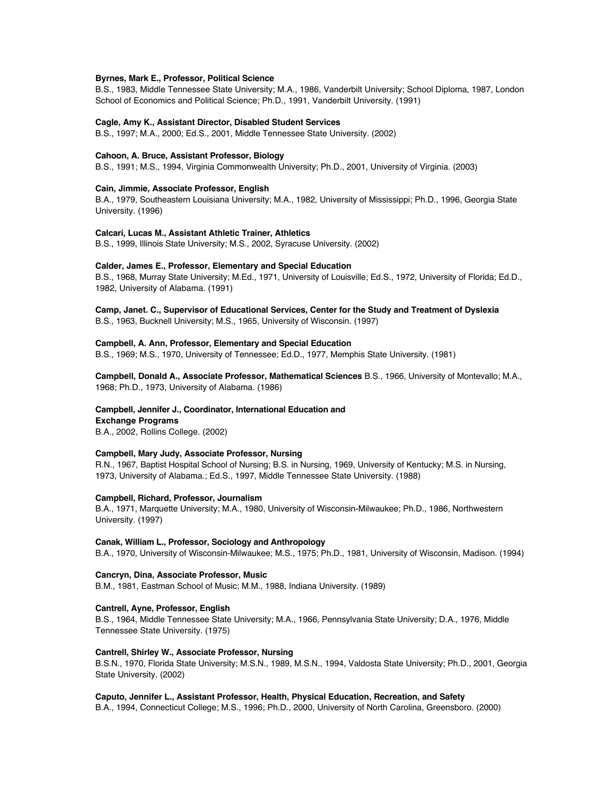#### **Byrnes, Mark E., Professor, Political Science**

B.S., 1983, Middle Tennessee State University; M.A., 1986, Vanderbilt University; School Diploma, 1987, London School of Economics and Political Science; Ph.D., 1991, Vanderbilt University. (1991)

#### **Cagle, Amy K., Assistant Director, Disabled Student Services**

B.S., 1997; M.A., 2000; Ed.S., 2001, Middle Tennessee State University. (2002)

#### **Cahoon, A. Bruce, Assistant Professor, Biology**

B.S., 1991; M.S., 1994, Virginia Commonwealth University; Ph.D., 2001, University of Virginia. (2003)

#### **Cain, Jimmie, Associate Professor, English**

B.A., 1979, Southeastern Louisiana University; M.A., 1982, University of Mississippi; Ph.D., 1996, Georgia State University. (1996)

#### **Calcari, Lucas M., Assistant Athletic Trainer, Athletics**

B.S., 1999, Illinois State University; M.S., 2002, Syracuse University. (2002)

### **Calder, James E., Professor, Elementary and Special Education**

B.S., 1968, Murray State University; M.Ed., 1971, University of Louisville; Ed.S., 1972, University of Florida; Ed.D., 1982, University of Alabama. (1991)

### **Camp, Janet. C., Supervisor of Educational Services, Center for the Study and Treatment of Dyslexia** B.S., 1963, Bucknell University; M.S., 1965, University of Wisconsin. (1997)

#### **Campbell, A. Ann, Professor, Elementary and Special Education**

B.S., 1969; M.S., 1970, University of Tennessee; Ed.D., 1977, Memphis State University. (1981)

**Campbell, Donald A., Associate Professor, Mathematical Sciences** B.S., 1966, University of Montevallo; M.A., 1968; Ph.D., 1973, University of Alabama. (1986)

# **Campbell, Jennifer J., Coordinator, International Education and**

**Exchange Programs**

B.A., 2002, Rollins College. (2002)

### **Campbell, Mary Judy, Associate Professor, Nursing**

R.N., 1967, Baptist Hospital School of Nursing; B.S. in Nursing, 1969, University of Kentucky; M.S. in Nursing, 1973, University of Alabama.; Ed.S., 1997, Middle Tennessee State University. (1988)

#### **Campbell, Richard, Professor, Journalism**

B.A., 1971, Marquette University; M.A., 1980, University of Wisconsin-Milwaukee; Ph.D., 1986, Northwestern University. (1997)

### **Canak, William L., Professor, Sociology and Anthropology**

B.A., 1970, University of Wisconsin-Milwaukee; M.S., 1975; Ph.D., 1981, University of Wisconsin, Madison. (1994)

### **Cancryn, Dina, Associate Professor, Music**

B.M., 1981, Eastman School of Music; M.M., 1988, Indiana University. (1989)

#### **Cantrell, Ayne, Professor, English**

B.S., 1964, Middle Tennessee State University; M.A., 1966, Pennsylvania State University; D.A., 1976, Middle Tennessee State University. (1975)

#### **Cantrell, Shirley W., Associate Professor, Nursing**

B.S.N., 1970, Florida State University; M.S.N., 1989, M.S.N., 1994, Valdosta State University; Ph.D., 2001, Georgia State University. (2002)

#### **Caputo, Jennifer L., Assistant Professor, Health, Physical Education, Recreation, and Safety**

B.A., 1994, Connecticut College; M.S., 1996; Ph.D., 2000, University of North Carolina, Greensboro. (2000)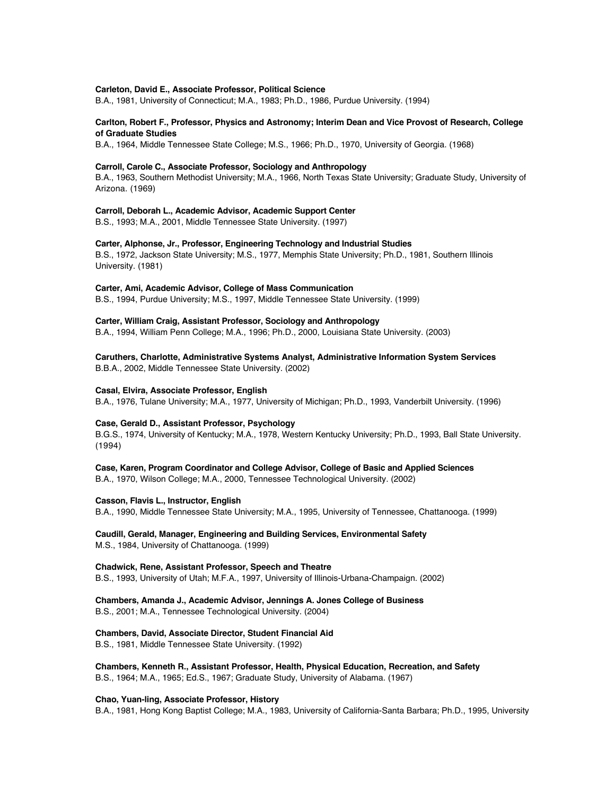### **Carleton, David E., Associate Professor, Political Science**

B.A., 1981, University of Connecticut; M.A., 1983; Ph.D., 1986, Purdue University. (1994)

### **Carlton, Robert F., Professor, Physics and Astronomy; Interim Dean and Vice Provost of Research, College of Graduate Studies**

B.A., 1964, Middle Tennessee State College; M.S., 1966; Ph.D., 1970, University of Georgia. (1968)

### **Carroll, Carole C., Associate Professor, Sociology and Anthropology**

B.A., 1963, Southern Methodist University; M.A., 1966, North Texas State University; Graduate Study, University of Arizona. (1969)

### **Carroll, Deborah L., Academic Advisor, Academic Support Center**

B.S., 1993; M.A., 2001, Middle Tennessee State University. (1997)

### **Carter, Alphonse, Jr., Professor, Engineering Technology and Industrial Studies**

B.S., 1972, Jackson State University; M.S., 1977, Memphis State University; Ph.D., 1981, Southern Illinois University. (1981)

### **Carter, Ami, Academic Advisor, College of Mass Communication**

B.S., 1994, Purdue University; M.S., 1997, Middle Tennessee State University. (1999)

### **Carter, William Craig, Assistant Professor, Sociology and Anthropology**

B.A., 1994, William Penn College; M.A., 1996; Ph.D., 2000, Louisiana State University. (2003)

### **Caruthers, Charlotte, Administrative Systems Analyst, Administrative Information System Services** B.B.A., 2002, Middle Tennessee State University. (2002)

#### **Casal, Elvira, Associate Professor, English**

B.A., 1976, Tulane University; M.A., 1977, University of Michigan; Ph.D., 1993, Vanderbilt University. (1996)

### **Case, Gerald D., Assistant Professor, Psychology**

B.G.S., 1974, University of Kentucky; M.A., 1978, Western Kentucky University; Ph.D., 1993, Ball State University. (1994)

### **Case, Karen, Program Coordinator and College Advisor, College of Basic and Applied Sciences**

B.A., 1970, Wilson College; M.A., 2000, Tennessee Technological University. (2002)

### **Casson, Flavis L., Instructor, English**

B.A., 1990, Middle Tennessee State University; M.A., 1995, University of Tennessee, Chattanooga. (1999)

### **Caudill, Gerald, Manager, Engineering and Building Services, Environmental Safety** M.S., 1984, University of Chattanooga. (1999)

### **Chadwick, Rene, Assistant Professor, Speech and Theatre**

B.S., 1993, University of Utah; M.F.A., 1997, University of Illinois-Urbana-Champaign. (2002)

# **Chambers, Amanda J., Academic Advisor, Jennings A. Jones College of Business**

B.S., 2001; M.A., Tennessee Technological University. (2004)

### **Chambers, David, Associate Director, Student Financial Aid**

B.S., 1981, Middle Tennessee State University. (1992)

# **Chambers, Kenneth R., Assistant Professor, Health, Physical Education, Recreation, and Safety**

B.S., 1964; M.A., 1965; Ed.S., 1967; Graduate Study, University of Alabama. (1967)

### **Chao, Yuan-ling, Associate Professor, History**

B.A., 1981, Hong Kong Baptist College; M.A., 1983, University of California-Santa Barbara; Ph.D., 1995, University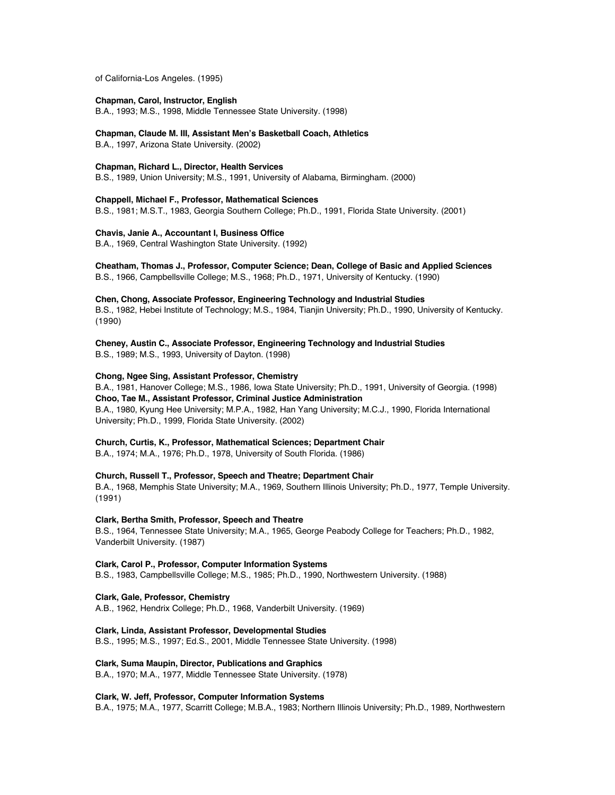of California-Los Angeles. (1995)

### **Chapman, Carol, Instructor, English**

B.A., 1993; M.S., 1998, Middle Tennessee State University. (1998)

**Chapman, Claude M. III, Assistant Men's Basketball Coach, Athletics**

B.A., 1997, Arizona State University. (2002)

### **Chapman, Richard L., Director, Health Services**

B.S., 1989, Union University; M.S., 1991, University of Alabama, Birmingham. (2000)

**Chappell, Michael F., Professor, Mathematical Sciences**

B.S., 1981; M.S.T., 1983, Georgia Southern College; Ph.D., 1991, Florida State University. (2001)

### **Chavis, Janie A., Accountant I, Business Office**

B.A., 1969, Central Washington State University. (1992)

**Cheatham, Thomas J., Professor, Computer Science; Dean, College of Basic and Applied Sciences**

B.S., 1966, Campbellsville College; M.S., 1968; Ph.D., 1971, University of Kentucky. (1990)

### **Chen, Chong, Associate Professor, Engineering Technology and Industrial Studies**

B.S., 1982, Hebei Institute of Technology; M.S., 1984, Tianjin University; Ph.D., 1990, University of Kentucky. (1990)

**Cheney, Austin C., Associate Professor, Engineering Technology and Industrial Studies** B.S., 1989; M.S., 1993, University of Dayton. (1998)

### **Chong, Ngee Sing, Assistant Professor, Chemistry**

B.A., 1981, Hanover College; M.S., 1986, Iowa State University; Ph.D., 1991, University of Georgia. (1998) **Choo, Tae M., Assistant Professor, Criminal Justice Administration** B.A., 1980, Kyung Hee University; M.P.A., 1982, Han Yang University; M.C.J., 1990, Florida International University; Ph.D., 1999, Florida State University. (2002)

### **Church, Curtis, K., Professor, Mathematical Sciences; Department Chair**

B.A., 1974; M.A., 1976; Ph.D., 1978, University of South Florida. (1986)

### **Church, Russell T., Professor, Speech and Theatre; Department Chair** B.A., 1968, Memphis State University; M.A., 1969, Southern Illinois University; Ph.D., 1977, Temple University. (1991)

### **Clark, Bertha Smith, Professor, Speech and Theatre**

B.S., 1964, Tennessee State University; M.A., 1965, George Peabody College for Teachers; Ph.D., 1982, Vanderbilt University. (1987)

### **Clark, Carol P., Professor, Computer Information Systems**

B.S., 1983, Campbellsville College; M.S., 1985; Ph.D., 1990, Northwestern University. (1988)

### **Clark, Gale, Professor, Chemistry**

A.B., 1962, Hendrix College; Ph.D., 1968, Vanderbilt University. (1969)

### **Clark, Linda, Assistant Professor, Developmental Studies**

B.S., 1995; M.S., 1997; Ed.S., 2001, Middle Tennessee State University. (1998)

### **Clark, Suma Maupin, Director, Publications and Graphics**

B.A., 1970; M.A., 1977, Middle Tennessee State University. (1978)

### **Clark, W. Jeff, Professor, Computer Information Systems**

B.A., 1975; M.A., 1977, Scarritt College; M.B.A., 1983; Northern Illinois University; Ph.D., 1989, Northwestern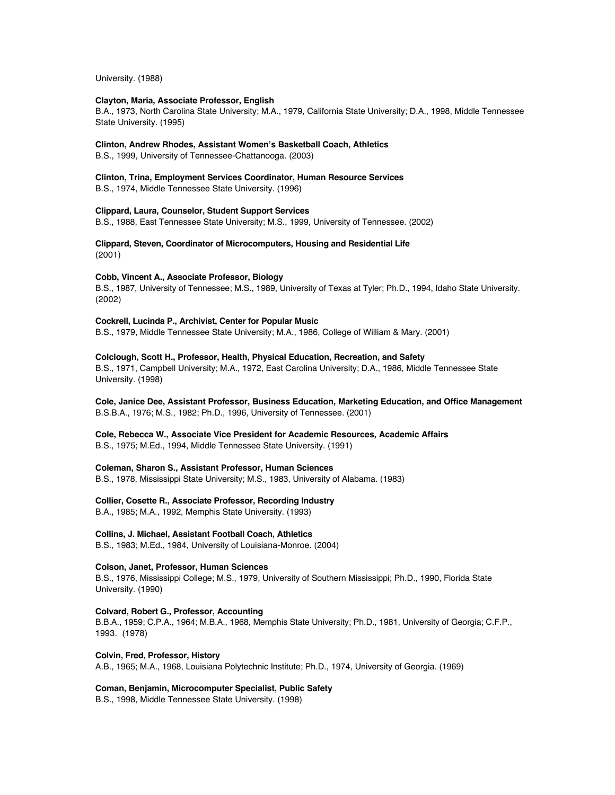University. (1988)

### **Clayton, Maria, Associate Professor, English**

B.A., 1973, North Carolina State University; M.A., 1979, California State University; D.A., 1998, Middle Tennessee State University. (1995)

### **Clinton, Andrew Rhodes, Assistant Women's Basketball Coach, Athletics**

B.S., 1999, University of Tennessee-Chattanooga. (2003)

### **Clinton, Trina, Employment Services Coordinator, Human Resource Services**

B.S., 1974, Middle Tennessee State University. (1996)

### **Clippard, Laura, Counselor, Student Support Services**

B.S., 1988, East Tennessee State University; M.S., 1999, University of Tennessee. (2002)

**Clippard, Steven, Coordinator of Microcomputers, Housing and Residential Life** (2001)

### **Cobb, Vincent A., Associate Professor, Biology**

B.S., 1987, University of Tennessee; M.S., 1989, University of Texas at Tyler; Ph.D., 1994, Idaho State University. (2002)

### **Cockrell, Lucinda P., Archivist, Center for Popular Music**

B.S., 1979, Middle Tennessee State University; M.A., 1986, College of William & Mary. (2001)

### **Colclough, Scott H., Professor, Health, Physical Education, Recreation, and Safety**

B.S., 1971, Campbell University; M.A., 1972, East Carolina University; D.A., 1986, Middle Tennessee State University. (1998)

### **Cole, Janice Dee, Assistant Professor, Business Education, Marketing Education, and Office Management** B.S.B.A., 1976; M.S., 1982; Ph.D., 1996, University of Tennessee. (2001)

# **Cole, Rebecca W., Associate Vice President for Academic Resources, Academic Affairs**

B.S., 1975; M.Ed., 1994, Middle Tennessee State University. (1991)

### **Coleman, Sharon S., Assistant Professor, Human Sciences**

B.S., 1978, Mississippi State University; M.S., 1983, University of Alabama. (1983)

### **Collier, Cosette R., Associate Professor, Recording Industry**

B.A., 1985; M.A., 1992, Memphis State University. (1993)

### **Collins, J. Michael, Assistant Football Coach, Athletics**

B.S., 1983; M.Ed., 1984, University of Louisiana-Monroe. (2004)

### **Colson, Janet, Professor, Human Sciences**

B.S., 1976, Mississippi College; M.S., 1979, University of Southern Mississippi; Ph.D., 1990, Florida State University. (1990)

### **Colvard, Robert G., Professor, Accounting**

B.B.A., 1959; C.P.A., 1964; M.B.A., 1968, Memphis State University; Ph.D., 1981, University of Georgia; C.F.P., 1993. (1978)

### **Colvin, Fred, Professor, History**

A.B., 1965; M.A., 1968, Louisiana Polytechnic Institute; Ph.D., 1974, University of Georgia. (1969)

### **Coman, Benjamin, Microcomputer Specialist, Public Safety**

B.S., 1998, Middle Tennessee State University. (1998)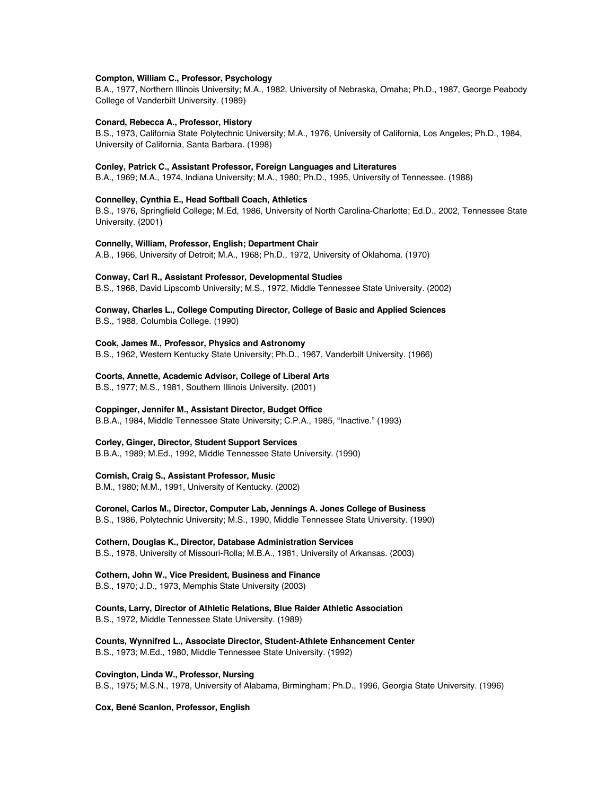### **Compton, William C., Professor, Psychology**

B.A., 1977, Northern Illinois University; M.A., 1982, University of Nebraska, Omaha; Ph.D., 1987, George Peabody College of Vanderbilt University. (1989)

#### **Conard, Rebecca A., Professor, History**

B.S., 1973, California State Polytechnic University; M.A., 1976, University of California, Los Angeles; Ph.D., 1984, University of California, Santa Barbara. (1998)

### **Conley, Patrick C., Assistant Professor, Foreign Languages and Literatures**

B.A., 1969; M.A., 1974, Indiana University; M.A., 1980; Ph.D., 1995, University of Tennessee. (1988)

### **Connelley, Cynthia E., Head Softball Coach, Athletics**

B.S., 1976, Springfield College; M.Ed, 1986, University of North Carolina-Charlotte; Ed.D., 2002, Tennessee State University. (2001)

### **Connelly, William, Professor, English; Department Chair**

A.B., 1966, University of Detroit; M.A., 1968; Ph.D., 1972, University of Oklahoma. (1970)

### **Conway, Carl R., Assistant Professor, Developmental Studies**

B.S., 1968, David Lipscomb University; M.S., 1972, Middle Tennessee State University. (2002)

### **Conway, Charles L., College Computing Director, College of Basic and Applied Sciences** B.S., 1988, Columbia College. (1990)

#### **Cook, James M., Professor, Physics and Astronomy**

B.S., 1962, Western Kentucky State University; Ph.D., 1967, Vanderbilt University. (1966)

#### **Coorts, Annette, Academic Advisor, College of Liberal Arts**

B.S., 1977; M.S., 1981, Southern Illinois University. (2001)

### **Coppinger, Jennifer M., Assistant Director, Budget Office**

B.B.A., 1984, Middle Tennessee State University; C.P.A., 1985, "Inactive." (1993)

### **Corley, Ginger, Director, Student Support Services**

B.B.A., 1989; M.Ed., 1992, Middle Tennessee State University. (1990)

### **Cornish, Craig S., Assistant Professor, Music**

B.M., 1980; M.M., 1991, University of Kentucky. (2002)

### **Coronel, Carlos M., Director, Computer Lab, Jennings A. Jones College of Business**

B.S., 1986, Polytechnic University; M.S., 1990, Middle Tennessee State University. (1990)

### **Cothern, Douglas K., Director, Database Administration Services** B.S., 1978, University of Missouri-Rolla; M.B.A., 1981, University of Arkansas. (2003)

### **Cothern, John W., Vice President, Business and Finance**

B.S., 1970; J.D., 1973, Memphis State University (2003)

### **Counts, Larry, Director of Athletic Relations, Blue Raider Athletic Association** B.S., 1972, Middle Tennessee State University. (1989)

**Counts, Wynnifred L., Associate Director, Student-Athlete Enhancement Center** B.S., 1973; M.Ed., 1980, Middle Tennessee State University. (1992)

#### **Covington, Linda W., Professor, Nursing**

B.S., 1975; M.S.N., 1978, University of Alabama, Birmingham; Ph.D., 1996, Georgia State University. (1996)

### **Cox, Bené Scanlon, Professor, English**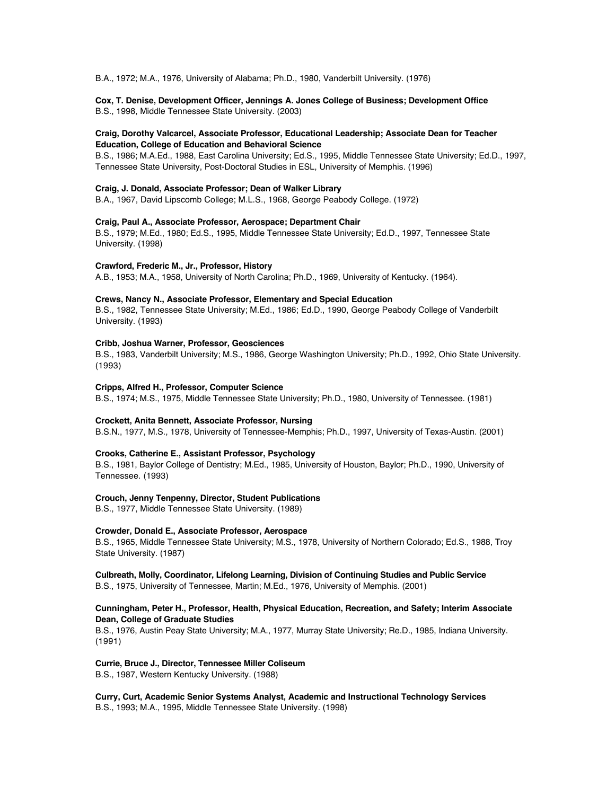B.A., 1972; M.A., 1976, University of Alabama; Ph.D., 1980, Vanderbilt University. (1976)

### **Cox, T. Denise, Development Officer, Jennings A. Jones College of Business; Development Office**

B.S., 1998, Middle Tennessee State University. (2003)

### **Craig, Dorothy Valcarcel, Associate Professor, Educational Leadership; Associate Dean for Teacher Education, College of Education and Behavioral Science**

B.S., 1986; M.A.Ed., 1988, East Carolina University; Ed.S., 1995, Middle Tennessee State University; Ed.D., 1997, Tennessee State University, Post-Doctoral Studies in ESL, University of Memphis. (1996)

### **Craig, J. Donald, Associate Professor; Dean of Walker Library**

B.A., 1967, David Lipscomb College; M.L.S., 1968, George Peabody College. (1972)

### **Craig, Paul A., Associate Professor, Aerospace; Department Chair**

B.S., 1979; M.Ed., 1980; Ed.S., 1995, Middle Tennessee State University; Ed.D., 1997, Tennessee State University. (1998)

### **Crawford, Frederic M., Jr., Professor, History**

A.B., 1953; M.A., 1958, University of North Carolina; Ph.D., 1969, University of Kentucky. (1964).

### **Crews, Nancy N., Associate Professor, Elementary and Special Education**

B.S., 1982, Tennessee State University; M.Ed., 1986; Ed.D., 1990, George Peabody College of Vanderbilt University. (1993)

### **Cribb, Joshua Warner, Professor, Geosciences**

B.S., 1983, Vanderbilt University; M.S., 1986, George Washington University; Ph.D., 1992, Ohio State University. (1993)

### **Cripps, Alfred H., Professor, Computer Science**

B.S., 1974; M.S., 1975, Middle Tennessee State University; Ph.D., 1980, University of Tennessee. (1981)

### **Crockett, Anita Bennett, Associate Professor, Nursing**

B.S.N., 1977, M.S., 1978, University of Tennessee-Memphis; Ph.D., 1997, University of Texas-Austin. (2001)

### **Crooks, Catherine E., Assistant Professor, Psychology**

B.S., 1981, Baylor College of Dentistry; M.Ed., 1985, University of Houston, Baylor; Ph.D., 1990, University of Tennessee. (1993)

### **Crouch, Jenny Tenpenny, Director, Student Publications**

B.S., 1977, Middle Tennessee State University. (1989)

### **Crowder, Donald E., Associate Professor, Aerospace**

B.S., 1965, Middle Tennessee State University; M.S., 1978, University of Northern Colorado; Ed.S., 1988, Troy State University. (1987)

### **Culbreath, Molly, Coordinator, Lifelong Learning, Division of Continuing Studies and Public Service** B.S., 1975, University of Tennessee, Martin; M.Ed., 1976, University of Memphis. (2001)

### **Cunningham, Peter H., Professor, Health, Physical Education, Recreation, and Safety; Interim Associate Dean, College of Graduate Studies**

B.S., 1976, Austin Peay State University; M.A., 1977, Murray State University; Re.D., 1985, Indiana University. (1991)

### **Currie, Bruce J., Director, Tennessee Miller Coliseum**

B.S., 1987, Western Kentucky University. (1988)

**Curry, Curt, Academic Senior Systems Analyst, Academic and Instructional Technology Services** B.S., 1993; M.A., 1995, Middle Tennessee State University. (1998)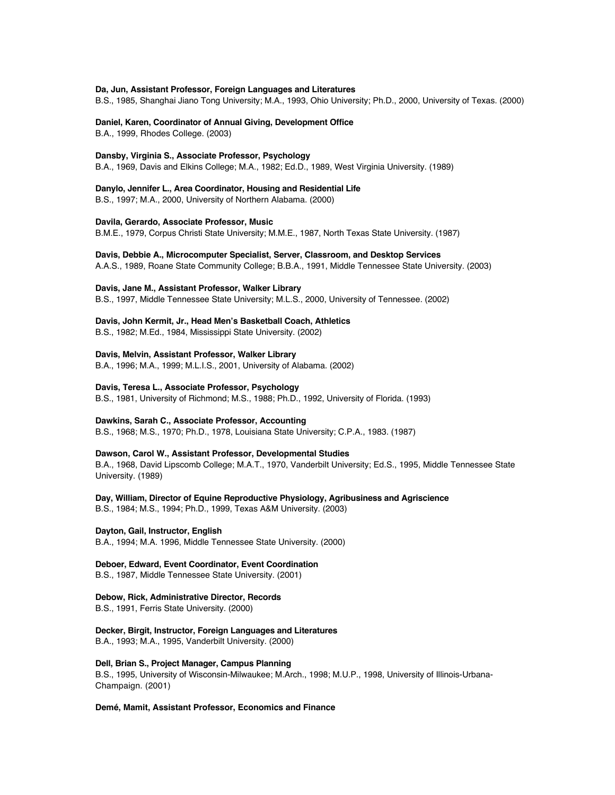### **Da, Jun, Assistant Professor, Foreign Languages and Literatures**

B.S., 1985, Shanghai Jiano Tong University; M.A., 1993, Ohio University; Ph.D., 2000, University of Texas. (2000)

### **Daniel, Karen, Coordinator of Annual Giving, Development Office**

B.A., 1999, Rhodes College. (2003)

### **Dansby, Virginia S., Associate Professor, Psychology**

B.A., 1969, Davis and Elkins College; M.A., 1982; Ed.D., 1989, West Virginia University. (1989)

### **Danylo, Jennifer L., Area Coordinator, Housing and Residential Life**

B.S., 1997; M.A., 2000, University of Northern Alabama. (2000)

### **Davila, Gerardo, Associate Professor, Music**

B.M.E., 1979, Corpus Christi State University; M.M.E., 1987, North Texas State University. (1987)

#### **Davis, Debbie A., Microcomputer Specialist, Server, Classroom, and Desktop Services**

A.A.S., 1989, Roane State Community College; B.B.A., 1991, Middle Tennessee State University. (2003)

### **Davis, Jane M., Assistant Professor, Walker Library**

B.S., 1997, Middle Tennessee State University; M.L.S., 2000, University of Tennessee. (2002)

### **Davis, John Kermit, Jr., Head Men's Basketball Coach, Athletics**

B.S., 1982; M.Ed., 1984, Mississippi State University. (2002)

### **Davis, Melvin, Assistant Professor, Walker Library**

B.A., 1996; M.A., 1999; M.L.I.S., 2001, University of Alabama. (2002)

### **Davis, Teresa L., Associate Professor, Psychology**

B.S., 1981, University of Richmond; M.S., 1988; Ph.D., 1992, University of Florida. (1993)

### **Dawkins, Sarah C., Associate Professor, Accounting**

B.S., 1968; M.S., 1970; Ph.D., 1978, Louisiana State University; C.P.A., 1983. (1987)

#### **Dawson, Carol W., Assistant Professor, Developmental Studies**

B.A., 1968, David Lipscomb College; M.A.T., 1970, Vanderbilt University; Ed.S., 1995, Middle Tennessee State University. (1989)

### **Day, William, Director of Equine Reproductive Physiology, Agribusiness and Agriscience**

B.S., 1984; M.S., 1994; Ph.D., 1999, Texas A&M University. (2003)

### **Dayton, Gail, Instructor, English**

B.A., 1994; M.A. 1996, Middle Tennessee State University. (2000)

### **Deboer, Edward, Event Coordinator, Event Coordination**

B.S., 1987, Middle Tennessee State University. (2001)

### **Debow, Rick, Administrative Director, Records**

B.S., 1991, Ferris State University. (2000)

### **Decker, Birgit, Instructor, Foreign Languages and Literatures**

B.A., 1993; M.A., 1995, Vanderbilt University. (2000)

### **Dell, Brian S., Project Manager, Campus Planning**

B.S., 1995, University of Wisconsin-Milwaukee; M.Arch., 1998; M.U.P., 1998, University of Illinois-Urbana-Champaign. (2001)

### **Demé, Mamit, Assistant Professor, Economics and Finance**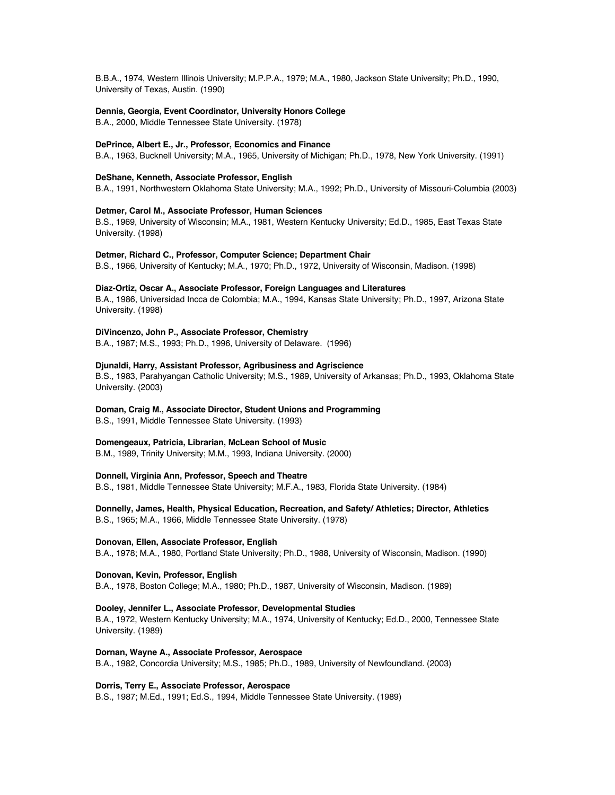B.B.A., 1974, Western Illinois University; M.P.P.A., 1979; M.A., 1980, Jackson State University; Ph.D., 1990, University of Texas, Austin. (1990)

### **Dennis, Georgia, Event Coordinator, University Honors College**

B.A., 2000, Middle Tennessee State University. (1978)

### **DePrince, Albert E., Jr., Professor, Economics and Finance**

B.A., 1963, Bucknell University; M.A., 1965, University of Michigan; Ph.D., 1978, New York University. (1991)

### **DeShane, Kenneth, Associate Professor, English**

B.A., 1991, Northwestern Oklahoma State University; M.A., 1992; Ph.D., University of Missouri-Columbia (2003)

### **Detmer, Carol M., Associate Professor, Human Sciences**

B.S., 1969, University of Wisconsin; M.A., 1981, Western Kentucky University; Ed.D., 1985, East Texas State University. (1998)

### **Detmer, Richard C., Professor, Computer Science; Department Chair**

B.S., 1966, University of Kentucky; M.A., 1970; Ph.D., 1972, University of Wisconsin, Madison. (1998)

### **Diaz-Ortiz, Oscar A., Associate Professor, Foreign Languages and Literatures**

B.A., 1986, Universidad Incca de Colombia; M.A., 1994, Kansas State University; Ph.D., 1997, Arizona State University. (1998)

### **DiVincenzo, John P., Associate Professor, Chemistry**

B.A., 1987; M.S., 1993; Ph.D., 1996, University of Delaware. (1996)

### **Djunaldi, Harry, Assistant Professor, Agribusiness and Agriscience**

B.S., 1983, Parahyangan Catholic University; M.S., 1989, University of Arkansas; Ph.D., 1993, Oklahoma State University. (2003)

#### **Doman, Craig M., Associate Director, Student Unions and Programming**

B.S., 1991, Middle Tennessee State University. (1993)

### **Domengeaux, Patricia, Librarian, McLean School of Music**

B.M., 1989, Trinity University; M.M., 1993, Indiana University. (2000)

### **Donnell, Virginia Ann, Professor, Speech and Theatre**

B.S., 1981, Middle Tennessee State University; M.F.A., 1983, Florida State University. (1984)

**Donnelly, James, Health, Physical Education, Recreation, and Safety/ Athletics; Director, Athletics** B.S., 1965; M.A., 1966, Middle Tennessee State University. (1978)

#### **Donovan, Ellen, Associate Professor, English**

B.A., 1978; M.A., 1980, Portland State University; Ph.D., 1988, University of Wisconsin, Madison. (1990)

### **Donovan, Kevin, Professor, English**

B.A., 1978, Boston College; M.A., 1980; Ph.D., 1987, University of Wisconsin, Madison. (1989)

#### **Dooley, Jennifer L., Associate Professor, Developmental Studies**

B.A., 1972, Western Kentucky University; M.A., 1974, University of Kentucky; Ed.D., 2000, Tennessee State University. (1989)

### **Dornan, Wayne A., Associate Professor, Aerospace**

B.A., 1982, Concordia University; M.S., 1985; Ph.D., 1989, University of Newfoundland. (2003)

### **Dorris, Terry E., Associate Professor, Aerospace**

B.S., 1987; M.Ed., 1991; Ed.S., 1994, Middle Tennessee State University. (1989)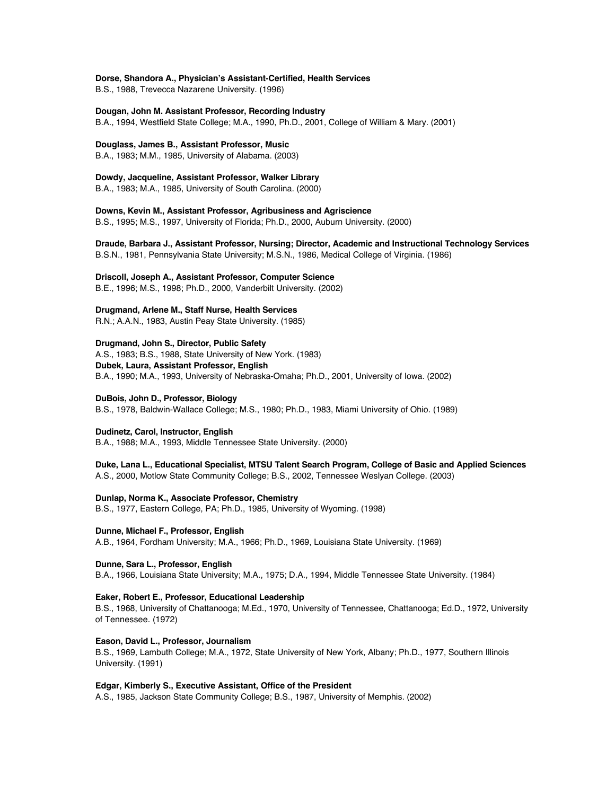### **Dorse, Shandora A., Physician's Assistant-Certified, Health Services**

B.S., 1988, Trevecca Nazarene University. (1996)

### **Dougan, John M. Assistant Professor, Recording Industry**

B.A., 1994, Westfield State College; M.A., 1990, Ph.D., 2001, College of William & Mary. (2001)

### **Douglass, James B., Assistant Professor, Music**

B.A., 1983; M.M., 1985, University of Alabama. (2003)

### **Dowdy, Jacqueline, Assistant Professor, Walker Library**

B.A., 1983; M.A., 1985, University of South Carolina. (2000)

**Downs, Kevin M., Assistant Professor, Agribusiness and Agriscience** B.S., 1995; M.S., 1997, University of Florida; Ph.D., 2000, Auburn University. (2000)

**Draude, Barbara J., Assistant Professor, Nursing; Director, Academic and Instructional Technology Services** B.S.N., 1981, Pennsylvania State University; M.S.N., 1986, Medical College of Virginia. (1986)

### **Driscoll, Joseph A., Assistant Professor, Computer Science**

B.E., 1996; M.S., 1998; Ph.D., 2000, Vanderbilt University. (2002)

### **Drugmand, Arlene M., Staff Nurse, Health Services**

R.N.; A.A.N., 1983, Austin Peay State University. (1985)

### **Drugmand, John S., Director, Public Safety**

A.S., 1983; B.S., 1988, State University of New York. (1983) **Dubek, Laura, Assistant Professor, English** B.A., 1990; M.A., 1993, University of Nebraska-Omaha; Ph.D., 2001, University of Iowa. (2002)

### **DuBois, John D., Professor, Biology**

B.S., 1978, Baldwin-Wallace College; M.S., 1980; Ph.D., 1983, Miami University of Ohio. (1989)

### **Dudinetz, Carol, Instructor, English**

B.A., 1988; M.A., 1993, Middle Tennessee State University. (2000)

# **Duke, Lana L., Educational Specialist, MTSU Talent Search Program, College of Basic and Applied Sciences**

A.S., 2000, Motlow State Community College; B.S., 2002, Tennessee Weslyan College. (2003)

### **Dunlap, Norma K., Associate Professor, Chemistry**

B.S., 1977, Eastern College, PA; Ph.D., 1985, University of Wyoming. (1998)

### **Dunne, Michael F., Professor, English**

A.B., 1964, Fordham University; M.A., 1966; Ph.D., 1969, Louisiana State University. (1969)

### **Dunne, Sara L., Professor, English**

B.A., 1966, Louisiana State University; M.A., 1975; D.A., 1994, Middle Tennessee State University. (1984)

### **Eaker, Robert E., Professor, Educational Leadership**

B.S., 1968, University of Chattanooga; M.Ed., 1970, University of Tennessee, Chattanooga; Ed.D., 1972, University of Tennessee. (1972)

### **Eason, David L., Professor, Journalism**

B.S., 1969, Lambuth College; M.A., 1972, State University of New York, Albany; Ph.D., 1977, Southern Illinois University. (1991)

### **Edgar, Kimberly S., Executive Assistant, Office of the President**

A.S., 1985, Jackson State Community College; B.S., 1987, University of Memphis. (2002)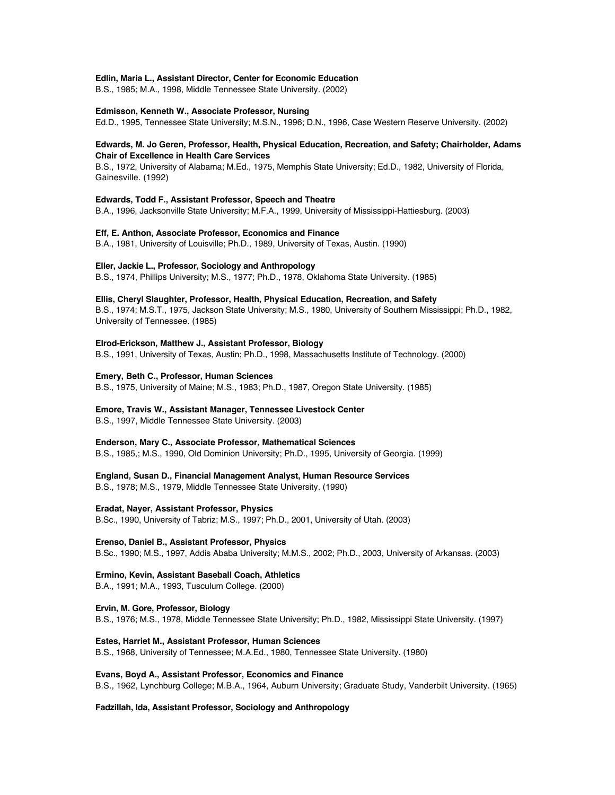### **Edlin, Maria L., Assistant Director, Center for Economic Education**

B.S., 1985; M.A., 1998, Middle Tennessee State University. (2002)

#### **Edmisson, Kenneth W., Associate Professor, Nursing**

Ed.D., 1995, Tennessee State University; M.S.N., 1996; D.N., 1996, Case Western Reserve University. (2002)

### **Edwards, M. Jo Geren, Professor, Health, Physical Education, Recreation, and Safety; Chairholder, Adams Chair of Excellence in Health Care Services**

B.S., 1972, University of Alabama; M.Ed., 1975, Memphis State University; Ed.D., 1982, University of Florida, Gainesville. (1992)

### **Edwards, Todd F., Assistant Professor, Speech and Theatre**

B.A., 1996, Jacksonville State University; M.F.A., 1999, University of Mississippi-Hattiesburg. (2003)

### **Eff, E. Anthon, Associate Professor, Economics and Finance**

B.A., 1981, University of Louisville; Ph.D., 1989, University of Texas, Austin. (1990)

### **Eller, Jackie L., Professor, Sociology and Anthropology**

B.S., 1974, Phillips University; M.S., 1977; Ph.D., 1978, Oklahoma State University. (1985)

#### **Ellis, Cheryl Slaughter, Professor, Health, Physical Education, Recreation, and Safety**

B.S., 1974; M.S.T., 1975, Jackson State University; M.S., 1980, University of Southern Mississippi; Ph.D., 1982, University of Tennessee. (1985)

### **Elrod-Erickson, Matthew J., Assistant Professor, Biology**

B.S., 1991, University of Texas, Austin; Ph.D., 1998, Massachusetts Institute of Technology. (2000)

#### **Emery, Beth C., Professor, Human Sciences**

B.S., 1975, University of Maine; M.S., 1983; Ph.D., 1987, Oregon State University. (1985)

#### **Emore, Travis W., Assistant Manager, Tennessee Livestock Center**

B.S., 1997, Middle Tennessee State University. (2003)

#### **Enderson, Mary C., Associate Professor, Mathematical Sciences**

B.S., 1985,; M.S., 1990, Old Dominion University; Ph.D., 1995, University of Georgia. (1999)

#### **England, Susan D., Financial Management Analyst, Human Resource Services**

B.S., 1978; M.S., 1979, Middle Tennessee State University. (1990)

#### **Eradat, Nayer, Assistant Professor, Physics**

B.Sc., 1990, University of Tabriz; M.S., 1997; Ph.D., 2001, University of Utah. (2003)

#### **Erenso, Daniel B., Assistant Professor, Physics**

B.Sc., 1990; M.S., 1997, Addis Ababa University; M.M.S., 2002; Ph.D., 2003, University of Arkansas. (2003)

### **Ermino, Kevin, Assistant Baseball Coach, Athletics**

B.A., 1991; M.A., 1993, Tusculum College. (2000)

#### **Ervin, M. Gore, Professor, Biology**

B.S., 1976; M.S., 1978, Middle Tennessee State University; Ph.D., 1982, Mississippi State University. (1997)

#### **Estes, Harriet M., Assistant Professor, Human Sciences**

B.S., 1968, University of Tennessee; M.A.Ed., 1980, Tennessee State University. (1980)

#### **Evans, Boyd A., Assistant Professor, Economics and Finance**

B.S., 1962, Lynchburg College; M.B.A., 1964, Auburn University; Graduate Study, Vanderbilt University. (1965)

### **Fadzillah, Ida, Assistant Professor, Sociology and Anthropology**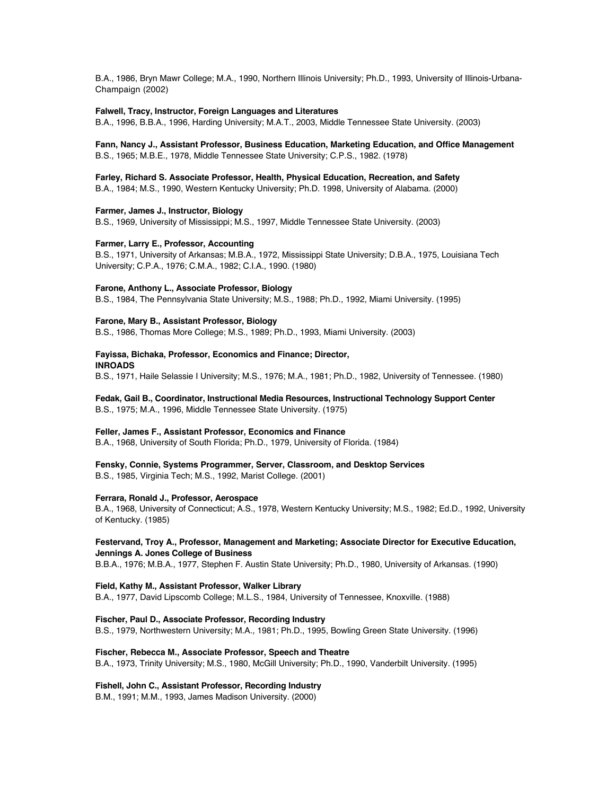B.A., 1986, Bryn Mawr College; M.A., 1990, Northern Illinois University; Ph.D., 1993, University of Illinois-Urbana-Champaign (2002)

### **Falwell, Tracy, Instructor, Foreign Languages and Literatures**

B.A., 1996, B.B.A., 1996, Harding University; M.A.T., 2003, Middle Tennessee State University. (2003)

**Fann, Nancy J., Assistant Professor, Business Education, Marketing Education, and Office Management** B.S., 1965; M.B.E., 1978, Middle Tennessee State University; C.P.S., 1982. (1978)

**Farley, Richard S. Associate Professor, Health, Physical Education, Recreation, and Safety**

B.A., 1984; M.S., 1990, Western Kentucky University; Ph.D. 1998, University of Alabama. (2000)

### **Farmer, James J., Instructor, Biology**

B.S., 1969, University of Mississippi; M.S., 1997, Middle Tennessee State University. (2003)

### **Farmer, Larry E., Professor, Accounting**

B.S., 1971, University of Arkansas; M.B.A., 1972, Mississippi State University; D.B.A., 1975, Louisiana Tech University; C.P.A., 1976; C.M.A., 1982; C.I.A., 1990. (1980)

### **Farone, Anthony L., Associate Professor, Biology**

B.S., 1984, The Pennsylvania State University; M.S., 1988; Ph.D., 1992, Miami University. (1995)

### **Farone, Mary B., Assistant Professor, Biology**

B.S., 1986, Thomas More College; M.S., 1989; Ph.D., 1993, Miami University. (2003)

### **Fayissa, Bichaka, Professor, Economics and Finance; Director, INROADS**

B.S., 1971, Haile Selassie I University; M.S., 1976; M.A., 1981; Ph.D., 1982, University of Tennessee. (1980)

# **Fedak, Gail B., Coordinator, Instructional Media Resources, Instructional Technology Support Center**

B.S., 1975; M.A., 1996, Middle Tennessee State University. (1975)

### **Feller, James F., Assistant Professor, Economics and Finance**

B.A., 1968, University of South Florida; Ph.D., 1979, University of Florida. (1984)

### **Fensky, Connie, Systems Programmer, Server, Classroom, and Desktop Services**

B.S., 1985, Virginia Tech; M.S., 1992, Marist College. (2001)

### **Ferrara, Ronald J., Professor, Aerospace**

B.A., 1968, University of Connecticut; A.S., 1978, Western Kentucky University; M.S., 1982; Ed.D., 1992, University of Kentucky. (1985)

### **Festervand, Troy A., Professor, Management and Marketing; Associate Director for Executive Education, Jennings A. Jones College of Business**

B.B.A., 1976; M.B.A., 1977, Stephen F. Austin State University; Ph.D., 1980, University of Arkansas. (1990)

### **Field, Kathy M., Assistant Professor, Walker Library**

B.A., 1977, David Lipscomb College; M.L.S., 1984, University of Tennessee, Knoxville. (1988)

### **Fischer, Paul D., Associate Professor, Recording Industry**

B.S., 1979, Northwestern University; M.A., 1981; Ph.D., 1995, Bowling Green State University. (1996)

### **Fischer, Rebecca M., Associate Professor, Speech and Theatre**

B.A., 1973, Trinity University; M.S., 1980, McGill University; Ph.D., 1990, Vanderbilt University. (1995)

### **Fishell, John C., Assistant Professor, Recording Industry**

B.M., 1991; M.M., 1993, James Madison University. (2000)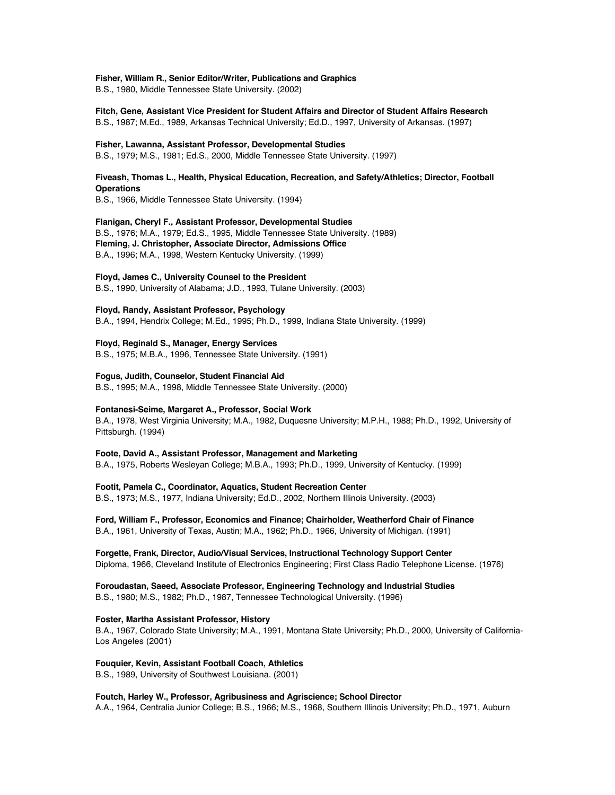### **Fisher, William R., Senior Editor/Writer, Publications and Graphics**

B.S., 1980, Middle Tennessee State University. (2002)

### **Fitch, Gene, Assistant Vice President for Student Affairs and Director of Student Affairs Research** B.S., 1987; M.Ed., 1989, Arkansas Technical University; Ed.D., 1997, University of Arkansas. (1997)

#### **Fisher, Lawanna, Assistant Professor, Developmental Studies**

B.S., 1979; M.S., 1981; Ed.S., 2000, Middle Tennessee State University. (1997)

### **Fiveash, Thomas L., Health, Physical Education, Recreation, and Safety/Athletics; Director, Football Operations**

B.S., 1966, Middle Tennessee State University. (1994)

### **Flanigan, Cheryl F., Assistant Professor, Developmental Studies**

B.S., 1976; M.A., 1979; Ed.S., 1995, Middle Tennessee State University. (1989) **Fleming, J. Christopher, Associate Director, Admissions Office** B.A., 1996; M.A., 1998, Western Kentucky University. (1999)

### **Floyd, James C., University Counsel to the President**

B.S., 1990, University of Alabama; J.D., 1993, Tulane University. (2003)

### **Floyd, Randy, Assistant Professor, Psychology**

B.A., 1994, Hendrix College; M.Ed., 1995; Ph.D., 1999, Indiana State University. (1999)

### **Floyd, Reginald S., Manager, Energy Services**

B.S., 1975; M.B.A., 1996, Tennessee State University. (1991)

### **Fogus, Judith, Counselor, Student Financial Aid**

B.S., 1995; M.A., 1998, Middle Tennessee State University. (2000)

### **Fontanesi-Seime, Margaret A., Professor, Social Work**

B.A., 1978, West Virginia University; M.A., 1982, Duquesne University; M.P.H., 1988; Ph.D., 1992, University of Pittsburgh. (1994)

### **Foote, David A., Assistant Professor, Management and Marketing**

B.A., 1975, Roberts Wesleyan College; M.B.A., 1993; Ph.D., 1999, University of Kentucky. (1999)

### **Footit, Pamela C., Coordinator, Aquatics, Student Recreation Center**

B.S., 1973; M.S., 1977, Indiana University; Ed.D., 2002, Northern Illinois University. (2003)

### **Ford, William F., Professor, Economics and Finance; Chairholder, Weatherford Chair of Finance** B.A., 1961, University of Texas, Austin; M.A., 1962; Ph.D., 1966, University of Michigan. (1991)

# **Forgette, Frank, Director, Audio/Visual Services, Instructional Technology Support Center**

Diploma, 1966, Cleveland Institute of Electronics Engineering; First Class Radio Telephone License. (1976)

### **Foroudastan, Saeed, Associate Professor, Engineering Technology and Industrial Studies**

B.S., 1980; M.S., 1982; Ph.D., 1987, Tennessee Technological University. (1996)

### **Foster, Martha Assistant Professor, History**

B.A., 1967, Colorado State University; M.A., 1991, Montana State University; Ph.D., 2000, University of California-Los Angeles (2001)

### **Fouquier, Kevin, Assistant Football Coach, Athletics**

B.S., 1989, University of Southwest Louisiana. (2001)

### **Foutch, Harley W., Professor, Agribusiness and Agriscience; School Director**

A.A., 1964, Centralia Junior College; B.S., 1966; M.S., 1968, Southern Illinois University; Ph.D., 1971, Auburn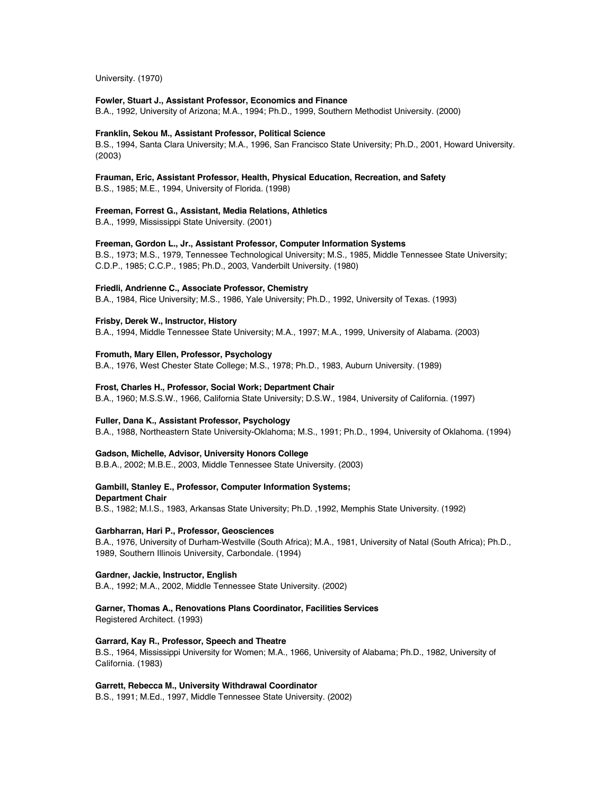University. (1970)

### **Fowler, Stuart J., Assistant Professor, Economics and Finance**

B.A., 1992, University of Arizona; M.A., 1994; Ph.D., 1999, Southern Methodist University. (2000)

### **Franklin, Sekou M., Assistant Professor, Political Science**

B.S., 1994, Santa Clara University; M.A., 1996, San Francisco State University; Ph.D., 2001, Howard University. (2003)

### **Frauman, Eric, Assistant Professor, Health, Physical Education, Recreation, and Safety**

B.S., 1985; M.E., 1994, University of Florida. (1998)

### **Freeman, Forrest G., Assistant, Media Relations, Athletics**

B.A., 1999, Mississippi State University. (2001)

### **Freeman, Gordon L., Jr., Assistant Professor, Computer Information Systems**

B.S., 1973; M.S., 1979, Tennessee Technological University; M.S., 1985, Middle Tennessee State University; C.D.P., 1985; C.C.P., 1985; Ph.D., 2003, Vanderbilt University. (1980)

### **Friedli, Andrienne C., Associate Professor, Chemistry**

B.A., 1984, Rice University; M.S., 1986, Yale University; Ph.D., 1992, University of Texas. (1993)

### **Frisby, Derek W., Instructor, History**

B.A., 1994, Middle Tennessee State University; M.A., 1997; M.A., 1999, University of Alabama. (2003)

#### **Fromuth, Mary Ellen, Professor, Psychology**

B.A., 1976, West Chester State College; M.S., 1978; Ph.D., 1983, Auburn University. (1989)

#### **Frost, Charles H., Professor, Social Work; Department Chair**

B.A., 1960; M.S.S.W., 1966, California State University; D.S.W., 1984, University of California. (1997)

### **Fuller, Dana K., Assistant Professor, Psychology**

B.A., 1988, Northeastern State University-Oklahoma; M.S., 1991; Ph.D., 1994, University of Oklahoma. (1994)

#### **Gadson, Michelle, Advisor, University Honors College**

B.B.A., 2002; M.B.E., 2003, Middle Tennessee State University. (2003)

### **Gambill, Stanley E., Professor, Computer Information Systems;**

**Department Chair**

B.S., 1982; M.I.S., 1983, Arkansas State University; Ph.D. ,1992, Memphis State University. (1992)

### **Garbharran, Hari P., Professor, Geosciences**

B.A., 1976, University of Durham-Westville (South Africa); M.A., 1981, University of Natal (South Africa); Ph.D., 1989, Southern Illinois University, Carbondale. (1994)

### **Gardner, Jackie, Instructor, English**

B.A., 1992; M.A., 2002, Middle Tennessee State University. (2002)

### **Garner, Thomas A., Renovations Plans Coordinator, Facilities Services**

Registered Architect. (1993)

### **Garrard, Kay R., Professor, Speech and Theatre**

B.S., 1964, Mississippi University for Women; M.A., 1966, University of Alabama; Ph.D., 1982, University of California. (1983)

### **Garrett, Rebecca M., University Withdrawal Coordinator**

B.S., 1991; M.Ed., 1997, Middle Tennessee State University. (2002)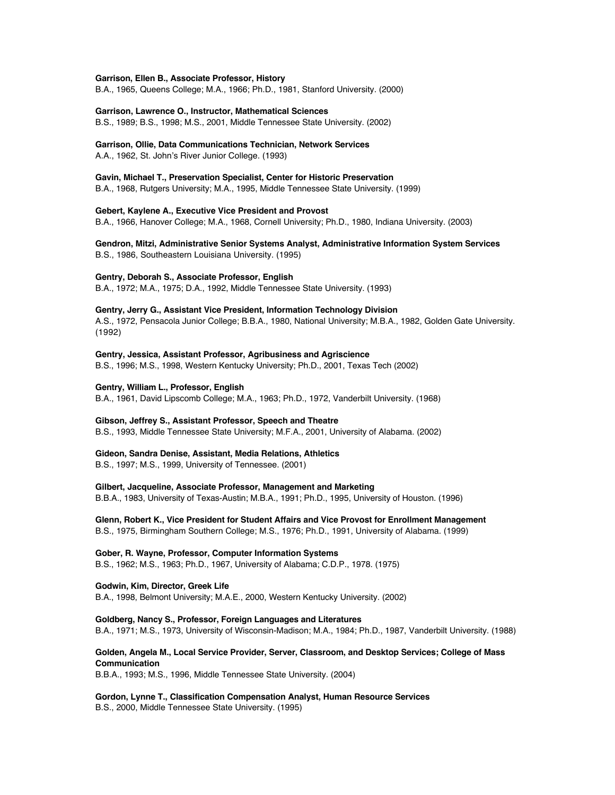#### **Garrison, Ellen B., Associate Professor, History**

B.A., 1965, Queens College; M.A., 1966; Ph.D., 1981, Stanford University. (2000)

#### **Garrison, Lawrence O., Instructor, Mathematical Sciences**

B.S., 1989; B.S., 1998; M.S., 2001, Middle Tennessee State University. (2002)

# **Garrison, Ollie, Data Communications Technician, Network Services**

A.A., 1962, St. John's River Junior College. (1993)

### **Gavin, Michael T., Preservation Specialist, Center for Historic Preservation**

B.A., 1968, Rutgers University; M.A., 1995, Middle Tennessee State University. (1999)

#### **Gebert, Kaylene A., Executive Vice President and Provost**

B.A., 1966, Hanover College; M.A., 1968, Cornell University; Ph.D., 1980, Indiana University. (2003)

### **Gendron, Mitzi, Administrative Senior Systems Analyst, Administrative Information System Services** B.S., 1986, Southeastern Louisiana University. (1995)

#### **Gentry, Deborah S., Associate Professor, English**

B.A., 1972; M.A., 1975; D.A., 1992, Middle Tennessee State University. (1993)

### **Gentry, Jerry G., Assistant Vice President, Information Technology Division**

A.S., 1972, Pensacola Junior College; B.B.A., 1980, National University; M.B.A., 1982, Golden Gate University. (1992)

### **Gentry, Jessica, Assistant Professor, Agribusiness and Agriscience**

B.S., 1996; M.S., 1998, Western Kentucky University; Ph.D., 2001, Texas Tech (2002)

### **Gentry, William L., Professor, English**

B.A., 1961, David Lipscomb College; M.A., 1963; Ph.D., 1972, Vanderbilt University. (1968)

### **Gibson, Jeffrey S., Assistant Professor, Speech and Theatre**

B.S., 1993, Middle Tennessee State University; M.F.A., 2001, University of Alabama. (2002)

### **Gideon, Sandra Denise, Assistant, Media Relations, Athletics**

B.S., 1997; M.S., 1999, University of Tennessee. (2001)

### **Gilbert, Jacqueline, Associate Professor, Management and Marketing**

B.B.A., 1983, University of Texas-Austin; M.B.A., 1991; Ph.D., 1995, University of Houston. (1996)

### **Glenn, Robert K., Vice President for Student Affairs and Vice Provost for Enrollment Management** B.S., 1975, Birmingham Southern College; M.S., 1976; Ph.D., 1991, University of Alabama. (1999)

#### **Gober, R. Wayne, Professor, Computer Information Systems**

B.S., 1962; M.S., 1963; Ph.D., 1967, University of Alabama; C.D.P., 1978. (1975)

#### **Godwin, Kim, Director, Greek Life**

B.A., 1998, Belmont University; M.A.E., 2000, Western Kentucky University. (2002)

#### **Goldberg, Nancy S., Professor, Foreign Languages and Literatures**

B.A., 1971; M.S., 1973, University of Wisconsin-Madison; M.A., 1984; Ph.D., 1987, Vanderbilt University. (1988)

### **Golden, Angela M., Local Service Provider, Server, Classroom, and Desktop Services; College of Mass Communication**

B.B.A., 1993; M.S., 1996, Middle Tennessee State University. (2004)

#### **Gordon, Lynne T., Classification Compensation Analyst, Human Resource Services**

B.S., 2000, Middle Tennessee State University. (1995)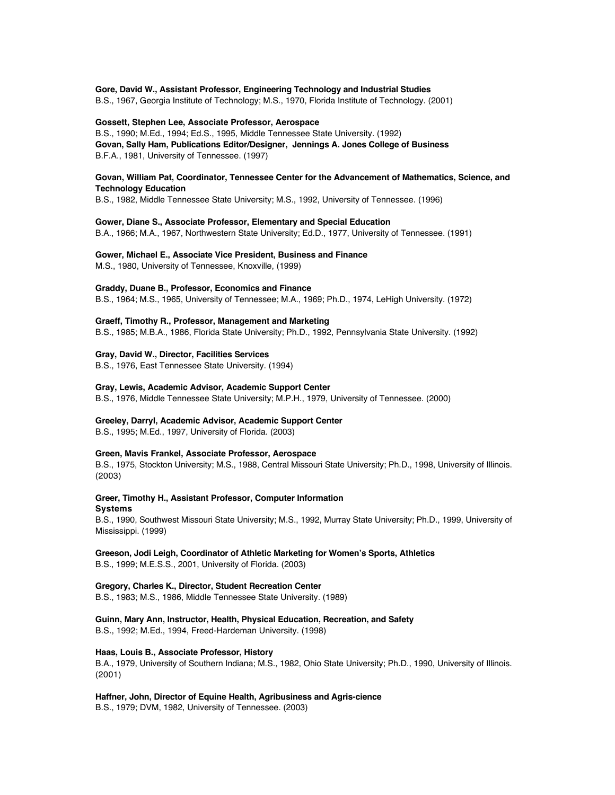### **Gore, David W., Assistant Professor, Engineering Technology and Industrial Studies**

B.S., 1967, Georgia Institute of Technology; M.S., 1970, Florida Institute of Technology. (2001)

### **Gossett, Stephen Lee, Associate Professor, Aerospace**

B.S., 1990; M.Ed., 1994; Ed.S., 1995, Middle Tennessee State University. (1992) **Govan, Sally Ham, Publications Editor/Designer, Jennings A. Jones College of Business** B.F.A., 1981, University of Tennessee. (1997)

### **Govan, William Pat, Coordinator, Tennessee Center for the Advancement of Mathematics, Science, and Technology Education**

B.S., 1982, Middle Tennessee State University; M.S., 1992, University of Tennessee. (1996)

#### **Gower, Diane S., Associate Professor, Elementary and Special Education**

B.A., 1966; M.A., 1967, Northwestern State University; Ed.D., 1977, University of Tennessee. (1991)

#### **Gower, Michael E., Associate Vice President, Business and Finance**

M.S., 1980, University of Tennessee, Knoxville, (1999)

### **Graddy, Duane B., Professor, Economics and Finance**

B.S., 1964; M.S., 1965, University of Tennessee; M.A., 1969; Ph.D., 1974, LeHigh University. (1972)

#### **Graeff, Timothy R., Professor, Management and Marketing**

B.S., 1985; M.B.A., 1986, Florida State University; Ph.D., 1992, Pennsylvania State University. (1992)

#### **Gray, David W., Director, Facilities Services**

B.S., 1976, East Tennessee State University. (1994)

### **Gray, Lewis, Academic Advisor, Academic Support Center**

B.S., 1976, Middle Tennessee State University; M.P.H., 1979, University of Tennessee. (2000)

#### **Greeley, Darryl, Academic Advisor, Academic Support Center**

B.S., 1995; M.Ed., 1997, University of Florida. (2003)

### **Green, Mavis Frankel, Associate Professor, Aerospace**

B.S., 1975, Stockton University; M.S., 1988, Central Missouri State University; Ph.D., 1998, University of Illinois. (2003)

### **Greer, Timothy H., Assistant Professor, Computer Information**

**Systems**

B.S., 1990, Southwest Missouri State University; M.S., 1992, Murray State University; Ph.D., 1999, University of Mississippi. (1999)

### **Greeson, Jodi Leigh, Coordinator of Athletic Marketing for Women's Sports, Athletics**

B.S., 1999; M.E.S.S., 2001, University of Florida. (2003)

### **Gregory, Charles K., Director, Student Recreation Center**

B.S., 1983; M.S., 1986, Middle Tennessee State University. (1989)

#### **Guinn, Mary Ann, Instructor, Health, Physical Education, Recreation, and Safety**

B.S., 1992; M.Ed., 1994, Freed-Hardeman University. (1998)

### **Haas, Louis B., Associate Professor, History**

B.A., 1979, University of Southern Indiana; M.S., 1982, Ohio State University; Ph.D., 1990, University of Illinois. (2001)

### **Haffner, John, Director of Equine Health, Agribusiness and Agris-cience**

B.S., 1979; DVM, 1982, University of Tennessee. (2003)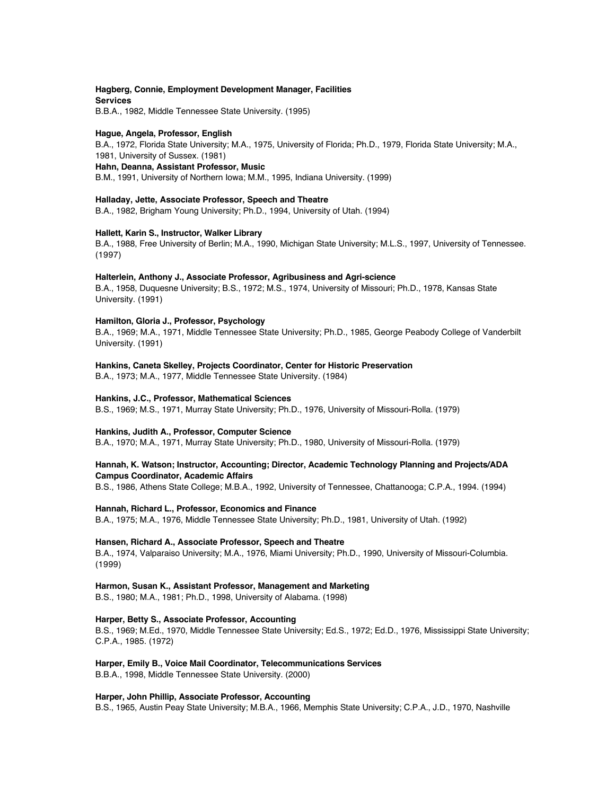### **Hagberg, Connie, Employment Development Manager, Facilities Services**

B.B.A., 1982, Middle Tennessee State University. (1995)

### **Hague, Angela, Professor, English**

B.A., 1972, Florida State University; M.A., 1975, University of Florida; Ph.D., 1979, Florida State University; M.A., 1981, University of Sussex. (1981) **Hahn, Deanna, Assistant Professor, Music**

B.M., 1991, University of Northern Iowa; M.M., 1995, Indiana University. (1999)

### **Halladay, Jette, Associate Professor, Speech and Theatre**

B.A., 1982, Brigham Young University; Ph.D., 1994, University of Utah. (1994)

### **Hallett, Karin S., Instructor, Walker Library**

B.A., 1988, Free University of Berlin; M.A., 1990, Michigan State University; M.L.S., 1997, University of Tennessee. (1997)

### **Halterlein, Anthony J., Associate Professor, Agribusiness and Agri-science**

B.A., 1958, Duquesne University; B.S., 1972; M.S., 1974, University of Missouri; Ph.D., 1978, Kansas State University. (1991)

### **Hamilton, Gloria J., Professor, Psychology**

B.A., 1969; M.A., 1971, Middle Tennessee State University; Ph.D., 1985, George Peabody College of Vanderbilt University. (1991)

### **Hankins, Caneta Skelley, Projects Coordinator, Center for Historic Preservation**

B.A., 1973; M.A., 1977, Middle Tennessee State University. (1984)

### **Hankins, J.C., Professor, Mathematical Sciences**

B.S., 1969; M.S., 1971, Murray State University; Ph.D., 1976, University of Missouri-Rolla. (1979)

### **Hankins, Judith A., Professor, Computer Science**

B.A., 1970; M.A., 1971, Murray State University; Ph.D., 1980, University of Missouri-Rolla. (1979)

### **Hannah, K. Watson; Instructor, Accounting; Director, Academic Technology Planning and Projects/ADA Campus Coordinator, Academic Affairs**

B.S., 1986, Athens State College; M.B.A., 1992, University of Tennessee, Chattanooga; C.P.A., 1994. (1994)

### **Hannah, Richard L., Professor, Economics and Finance**

B.A., 1975; M.A., 1976, Middle Tennessee State University; Ph.D., 1981, University of Utah. (1992)

### **Hansen, Richard A., Associate Professor, Speech and Theatre**

B.A., 1974, Valparaiso University; M.A., 1976, Miami University; Ph.D., 1990, University of Missouri-Columbia. (1999)

### **Harmon, Susan K., Assistant Professor, Management and Marketing**

B.S., 1980; M.A., 1981; Ph.D., 1998, University of Alabama. (1998)

### **Harper, Betty S., Associate Professor, Accounting**

B.S., 1969; M.Ed., 1970, Middle Tennessee State University; Ed.S., 1972; Ed.D., 1976, Mississippi State University; C.P.A., 1985. (1972)

### **Harper, Emily B., Voice Mail Coordinator, Telecommunications Services**

B.B.A., 1998, Middle Tennessee State University. (2000)

### **Harper, John Phillip, Associate Professor, Accounting**

B.S., 1965, Austin Peay State University; M.B.A., 1966, Memphis State University; C.P.A., J.D., 1970, Nashville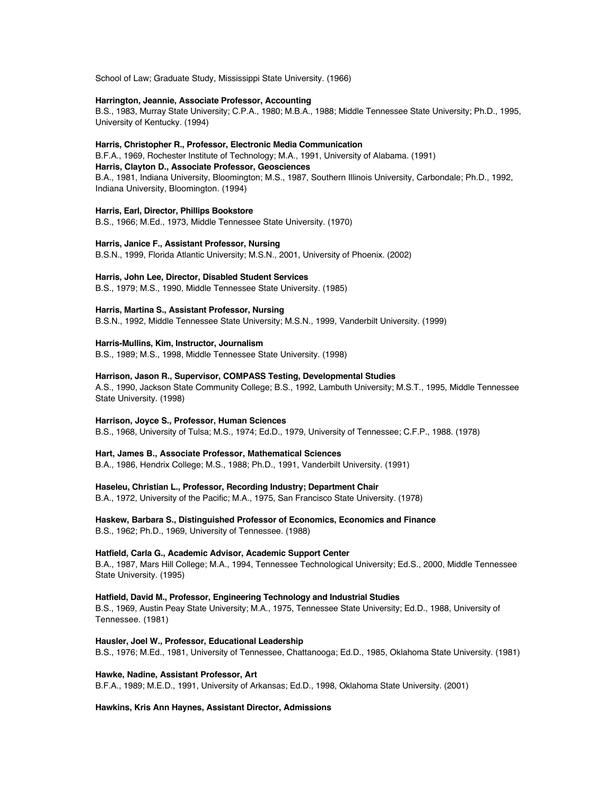School of Law; Graduate Study, Mississippi State University. (1966)

#### **Harrington, Jeannie, Associate Professor, Accounting**

B.S., 1983, Murray State University; C.P.A., 1980; M.B.A., 1988; Middle Tennessee State University; Ph.D., 1995, University of Kentucky. (1994)

### **Harris, Christopher R., Professor, Electronic Media Communication**

B.F.A., 1969, Rochester Institute of Technology; M.A., 1991, University of Alabama. (1991) **Harris, Clayton D., Associate Professor, Geosciences** B.A., 1981, Indiana University, Bloomington; M.S., 1987, Southern Illinois University, Carbondale; Ph.D., 1992, Indiana University, Bloomington. (1994)

### **Harris, Earl, Director, Phillips Bookstore**

B.S., 1966; M.Ed., 1973, Middle Tennessee State University. (1970)

### **Harris, Janice F., Assistant Professor, Nursing**

B.S.N., 1999, Florida Atlantic University; M.S.N., 2001, University of Phoenix. (2002)

#### **Harris, John Lee, Director, Disabled Student Services**

B.S., 1979; M.S., 1990, Middle Tennessee State University. (1985)

### **Harris, Martina S., Assistant Professor, Nursing**

B.S.N., 1992, Middle Tennessee State University; M.S.N., 1999, Vanderbilt University. (1999)

#### **Harris-Mullins, Kim, Instructor, Journalism**

B.S., 1989; M.S., 1998, Middle Tennessee State University. (1998)

#### **Harrison, Jason R., Supervisor, COMPASS Testing, Developmental Studies**

A.S., 1990, Jackson State Community College; B.S., 1992, Lambuth University; M.S.T., 1995, Middle Tennessee State University. (1998)

#### **Harrison, Joyce S., Professor, Human Sciences**

B.S., 1968, University of Tulsa; M.S., 1974; Ed.D., 1979, University of Tennessee; C.F.P., 1988. (1978)

#### **Hart, James B., Associate Professor, Mathematical Sciences**

B.A., 1986, Hendrix College; M.S., 1988; Ph.D., 1991, Vanderbilt University. (1991)

### **Haseleu, Christian L., Professor, Recording Industry; Department Chair**

B.A., 1972, University of the Pacific; M.A., 1975, San Francisco State University. (1978)

# **Haskew, Barbara S., Distinguished Professor of Economics, Economics and Finance**

B.S., 1962; Ph.D., 1969, University of Tennessee. (1988)

### **Hatfield, Carla G., Academic Advisor, Academic Support Center**

B.A., 1987, Mars Hill College; M.A., 1994, Tennessee Technological University; Ed.S., 2000, Middle Tennessee State University. (1995)

#### **Hatfield, David M., Professor, Engineering Technology and Industrial Studies**

B.S., 1969, Austin Peay State University; M.A., 1975, Tennessee State University; Ed.D., 1988, University of Tennessee. (1981)

#### **Hausler, Joel W., Professor, Educational Leadership**

B.S., 1976; M.Ed., 1981, University of Tennessee, Chattanooga; Ed.D., 1985, Oklahoma State University. (1981)

### **Hawke, Nadine, Assistant Professor, Art**

B.F.A., 1989; M.E.D., 1991, University of Arkansas; Ed.D., 1998, Oklahoma State University. (2001)

### **Hawkins, Kris Ann Haynes, Assistant Director, Admissions**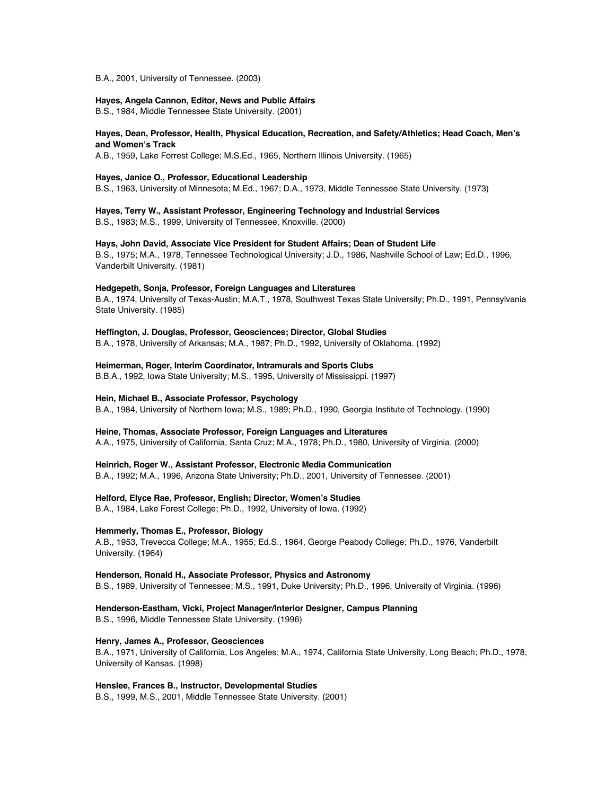B.A., 2001, University of Tennessee. (2003)

### **Hayes, Angela Cannon, Editor, News and Public Affairs**

B.S., 1984, Middle Tennessee State University. (2001)

### **Hayes, Dean, Professor, Health, Physical Education, Recreation, and Safety/Athletics; Head Coach, Men's and Women's Track**

A.B., 1959, Lake Forrest College; M.S.Ed., 1965, Northern Illinois University. (1965)

#### **Hayes, Janice O., Professor, Educational Leadership**

B.S., 1963, University of Minnesota; M.Ed., 1967; D.A., 1973, Middle Tennessee State University. (1973)

**Hayes, Terry W., Assistant Professor, Engineering Technology and Industrial Services** B.S., 1983; M.S., 1999, University of Tennessee, Knoxville. (2000)

#### **Hays, John David, Associate Vice President for Student Affairs; Dean of Student Life**

B.S., 1975; M.A., 1978, Tennessee Technological University; J.D., 1986, Nashville School of Law; Ed.D., 1996, Vanderbilt University. (1981)

### **Hedgepeth, Sonja, Professor, Foreign Languages and Literatures**

B.A., 1974, University of Texas-Austin; M.A.T., 1978, Southwest Texas State University; Ph.D., 1991, Pennsylvania State University. (1985)

### **Heffington, J. Douglas, Professor, Geosciences; Director, Global Studies**

B.A., 1978, University of Arkansas; M.A., 1987; Ph.D., 1992, University of Oklahoma. (1992)

### **Heimerman, Roger, Interim Coordinator, Intramurals and Sports Clubs**

B.B.A., 1992, Iowa State University; M.S., 1995, University of Mississippi. (1997)

### **Hein, Michael B., Associate Professor, Psychology**

B.A., 1984, University of Northern Iowa; M.S., 1989; Ph.D., 1990, Georgia Institute of Technology. (1990)

### **Heine, Thomas, Associate Professor, Foreign Languages and Literatures**

A.A., 1975, University of California, Santa Cruz; M.A., 1978; Ph.D., 1980, University of Virginia. (2000)

### **Heinrich, Roger W., Assistant Professor, Electronic Media Communication**

B.A., 1992; M.A., 1996, Arizona State University; Ph.D., 2001, University of Tennessee. (2001)

### **Helford, Elyce Rae, Professor, English; Director, Women's Studies**

B.A., 1984, Lake Forest College; Ph.D., 1992, University of Iowa. (1992)

### **Hemmerly, Thomas E., Professor, Biology**

A.B., 1953, Trevecca College; M.A., 1955; Ed.S., 1964, George Peabody College; Ph.D., 1976, Vanderbilt University. (1964)

### **Henderson, Ronald H., Associate Professor, Physics and Astronomy**

B.S., 1989, University of Tennessee; M.S., 1991, Duke University; Ph.D., 1996, University of Virginia. (1996)

### **Henderson-Eastham, Vicki, Project Manager/Interior Designer, Campus Planning** B.S., 1996, Middle Tennessee State University. (1996)

### **Henry, James A., Professor, Geosciences**

B.A., 1971, University of California, Los Angeles; M.A., 1974, California State University, Long Beach; Ph.D., 1978, University of Kansas. (1998)

### **Henslee, Frances B., Instructor, Developmental Studies**

B.S., 1999, M.S., 2001, Middle Tennessee State University. (2001)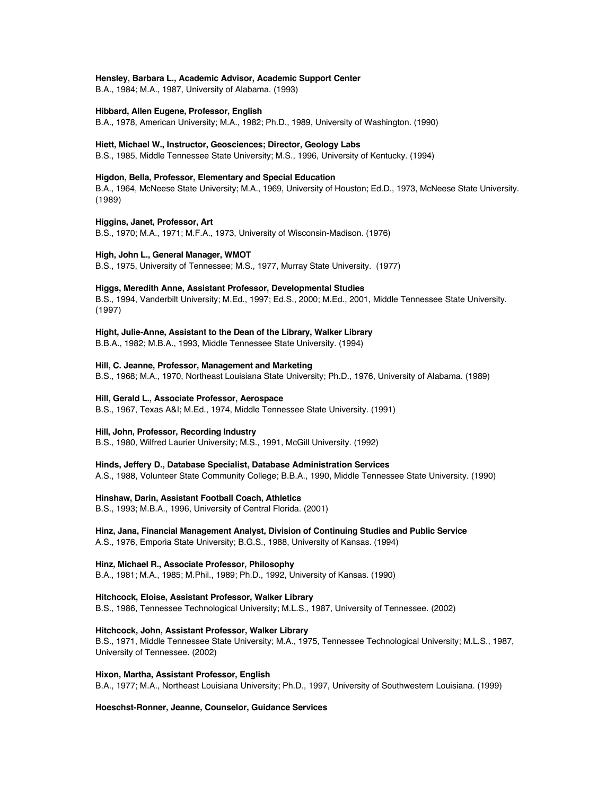#### **Hensley, Barbara L., Academic Advisor, Academic Support Center**

B.A., 1984; M.A., 1987, University of Alabama. (1993)

#### **Hibbard, Allen Eugene, Professor, English**

B.A., 1978, American University; M.A., 1982; Ph.D., 1989, University of Washington. (1990)

#### **Hiett, Michael W., Instructor, Geosciences; Director, Geology Labs**

B.S., 1985, Middle Tennessee State University; M.S., 1996, University of Kentucky. (1994)

#### **Higdon, Bella, Professor, Elementary and Special Education**

B.A., 1964, McNeese State University; M.A., 1969, University of Houston; Ed.D., 1973, McNeese State University. (1989)

### **Higgins, Janet, Professor, Art**

B.S., 1970; M.A., 1971; M.F.A., 1973, University of Wisconsin-Madison. (1976)

#### **High, John L., General Manager, WMOT**

B.S., 1975, University of Tennessee; M.S., 1977, Murray State University. (1977)

#### **Higgs, Meredith Anne, Assistant Professor, Developmental Studies**

B.S., 1994, Vanderbilt University; M.Ed., 1997; Ed.S., 2000; M.Ed., 2001, Middle Tennessee State University. (1997)

### **Hight, Julie-Anne, Assistant to the Dean of the Library, Walker Library**

B.B.A., 1982; M.B.A., 1993, Middle Tennessee State University. (1994)

### **Hill, C. Jeanne, Professor, Management and Marketing**

B.S., 1968; M.A., 1970, Northeast Louisiana State University; Ph.D., 1976, University of Alabama. (1989)

### **Hill, Gerald L., Associate Professor, Aerospace**

B.S., 1967, Texas A&I; M.Ed., 1974, Middle Tennessee State University. (1991)

### **Hill, John, Professor, Recording Industry**

B.S., 1980, Wilfred Laurier University; M.S., 1991, McGill University. (1992)

### **Hinds, Jeffery D., Database Specialist, Database Administration Services**

A.S., 1988, Volunteer State Community College; B.B.A., 1990, Middle Tennessee State University. (1990)

### **Hinshaw, Darin, Assistant Football Coach, Athletics**

B.S., 1993; M.B.A., 1996, University of Central Florida. (2001)

#### **Hinz, Jana, Financial Management Analyst, Division of Continuing Studies and Public Service**

A.S., 1976, Emporia State University; B.G.S., 1988, University of Kansas. (1994)

### **Hinz, Michael R., Associate Professor, Philosophy**

B.A., 1981; M.A., 1985; M.Phil., 1989; Ph.D., 1992, University of Kansas. (1990)

### **Hitchcock, Eloise, Assistant Professor, Walker Library**

B.S., 1986, Tennessee Technological University; M.L.S., 1987, University of Tennessee. (2002)

### **Hitchcock, John, Assistant Professor, Walker Library**

B.S., 1971, Middle Tennessee State University; M.A., 1975, Tennessee Technological University; M.L.S., 1987, University of Tennessee. (2002)

#### **Hixon, Martha, Assistant Professor, English**

B.A., 1977; M.A., Northeast Louisiana University; Ph.D., 1997, University of Southwestern Louisiana. (1999)

#### **Hoeschst-Ronner, Jeanne, Counselor, Guidance Services**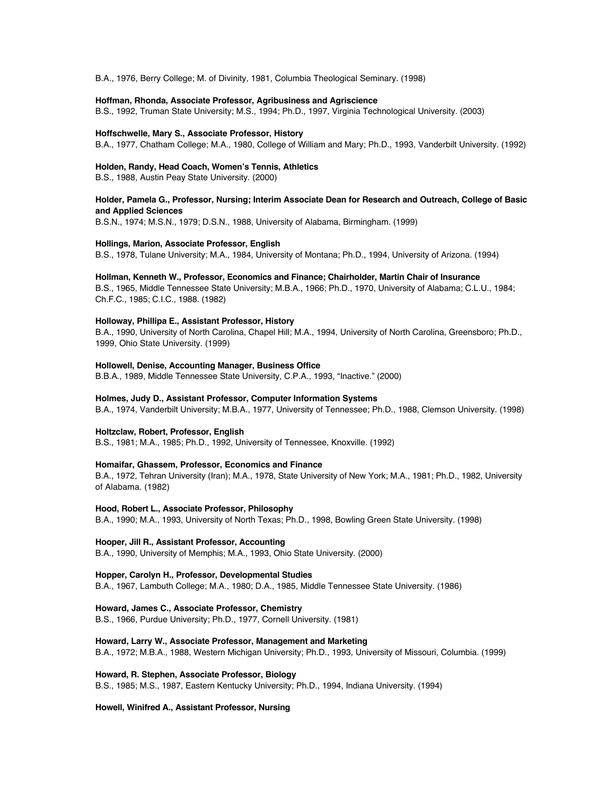B.A., 1976, Berry College; M. of Divinity, 1981, Columbia Theological Seminary. (1998)

### **Hoffman, Rhonda, Associate Professor, Agribusiness and Agriscience**

B.S., 1992, Truman State University; M.S., 1994; Ph.D., 1997, Virginia Technological University. (2003)

### **Hoffschwelle, Mary S., Associate Professor, History**

B.A., 1977, Chatham College; M.A., 1980, College of William and Mary; Ph.D., 1993, Vanderbilt University. (1992)

### **Holden, Randy, Head Coach, Women's Tennis, Athletics**

B.S., 1988, Austin Peay State University. (2000)

### **Holder, Pamela G., Professor, Nursing; Interim Associate Dean for Research and Outreach, College of Basic and Applied Sciences**

B.S.N., 1974; M.S.N., 1979; D.S.N., 1988, University of Alabama, Birmingham. (1999)

#### **Hollings, Marion, Associate Professor, English**

B.S., 1978, Tulane University; M.A., 1984, University of Montana; Ph.D., 1994, University of Arizona. (1994)

#### **Hollman, Kenneth W., Professor, Economics and Finance; Chairholder, Martin Chair of Insurance**

B.S., 1965, Middle Tennessee State University; M.B.A., 1966; Ph.D., 1970, University of Alabama; C.L.U., 1984; Ch.F.C., 1985; C.I.C., 1988. (1982)

### **Holloway, Phillipa E., Assistant Professor, History**

B.A., 1990, University of North Carolina, Chapel Hill; M.A., 1994, University of North Carolina, Greensboro; Ph.D., 1999, Ohio State University. (1999)

### **Hollowell, Denise, Accounting Manager, Business Office**

B.B.A., 1989, Middle Tennessee State University, C.P.A., 1993, "Inactive." (2000)

### **Holmes, Judy D., Assistant Professor, Computer Information Systems**

B.A., 1974, Vanderbilt University; M.B.A., 1977, University of Tennessee; Ph.D., 1988, Clemson University. (1998)

### **Holtzclaw, Robert, Professor, English**

B.S., 1981; M.A., 1985; Ph.D., 1992, University of Tennessee, Knoxville. (1992)

### **Homaifar, Ghassem, Professor, Economics and Finance**

B.A., 1972, Tehran University (Iran); M.A., 1978, State University of New York; M.A., 1981; Ph.D., 1982, University of Alabama. (1982)

#### **Hood, Robert L., Associate Professor, Philosophy**

B.A., 1990; M.A., 1993, University of North Texas; Ph.D., 1998, Bowling Green State University. (1998)

### **Hooper, Jill R., Assistant Professor, Accounting**

B.A., 1990, University of Memphis; M.A., 1993, Ohio State University. (2000)

### **Hopper, Carolyn H., Professor, Developmental Studies**

B.A., 1967, Lambuth College; M.A., 1980; D.A., 1985, Middle Tennessee State University. (1986)

### **Howard, James C., Associate Professor, Chemistry**

B.S., 1966, Purdue University; Ph.D., 1977, Cornell University. (1981)

### **Howard, Larry W., Associate Professor, Management and Marketing**

B.A., 1972; M.B.A., 1988, Western Michigan University; Ph.D., 1993, University of Missouri, Columbia. (1999)

### **Howard, R. Stephen, Associate Professor, Biology**

B.S., 1985; M.S., 1987, Eastern Kentucky University; Ph.D., 1994, Indiana University. (1994)

### **Howell, Winifred A., Assistant Professor, Nursing**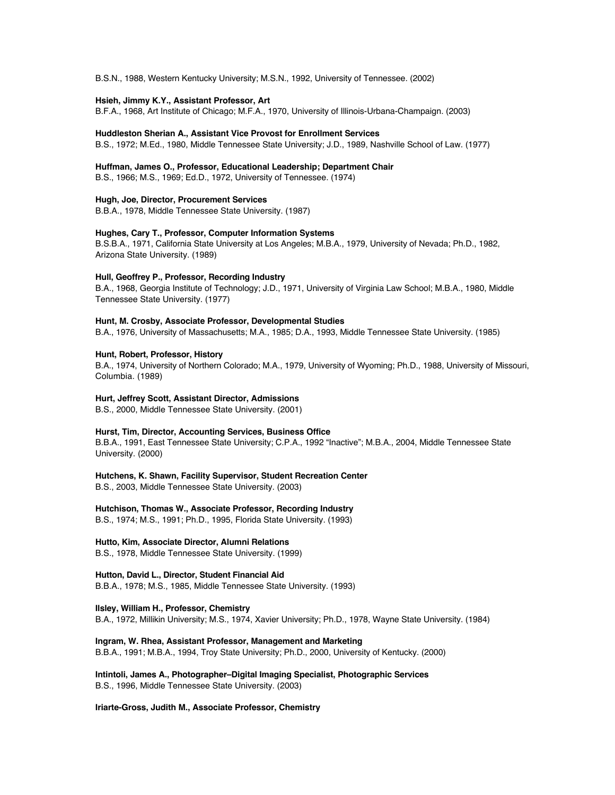B.S.N., 1988, Western Kentucky University; M.S.N., 1992, University of Tennessee. (2002)

### **Hsieh, Jimmy K.Y., Assistant Professor, Art**

B.F.A., 1968, Art Institute of Chicago; M.F.A., 1970, University of Illinois-Urbana-Champaign. (2003)

#### **Huddleston Sherian A., Assistant Vice Provost for Enrollment Services**

B.S., 1972; M.Ed., 1980, Middle Tennessee State University; J.D., 1989, Nashville School of Law. (1977)

#### **Huffman, James O., Professor, Educational Leadership; Department Chair**

B.S., 1966; M.S., 1969; Ed.D., 1972, University of Tennessee. (1974)

**Hugh, Joe, Director, Procurement Services** B.B.A., 1978, Middle Tennessee State University. (1987)

# **Hughes, Cary T., Professor, Computer Information Systems**

B.S.B.A., 1971, California State University at Los Angeles; M.B.A., 1979, University of Nevada; Ph.D., 1982, Arizona State University. (1989)

### **Hull, Geoffrey P., Professor, Recording Industry**

B.A., 1968, Georgia Institute of Technology; J.D., 1971, University of Virginia Law School; M.B.A., 1980, Middle Tennessee State University. (1977)

### **Hunt, M. Crosby, Associate Professor, Developmental Studies**

B.A., 1976, University of Massachusetts; M.A., 1985; D.A., 1993, Middle Tennessee State University. (1985)

#### **Hunt, Robert, Professor, History**

B.A., 1974, University of Northern Colorado; M.A., 1979, University of Wyoming; Ph.D., 1988, University of Missouri, Columbia. (1989)

### **Hurt, Jeffrey Scott, Assistant Director, Admissions**

B.S., 2000, Middle Tennessee State University. (2001)

#### **Hurst, Tim, Director, Accounting Services, Business Office**

B.B.A., 1991, East Tennessee State University; C.P.A., 1992 "Inactive"; M.B.A., 2004, Middle Tennessee State University. (2000)

**Hutchens, K. Shawn, Facility Supervisor, Student Recreation Center**

B.S., 2003, Middle Tennessee State University. (2003)

### **Hutchison, Thomas W., Associate Professor, Recording Industry**

B.S., 1974; M.S., 1991; Ph.D., 1995, Florida State University. (1993)

### **Hutto, Kim, Associate Director, Alumni Relations**

B.S., 1978, Middle Tennessee State University. (1999)

### **Hutton, David L., Director, Student Financial Aid**

B.B.A., 1978; M.S., 1985, Middle Tennessee State University. (1993)

### **Ilsley, William H., Professor, Chemistry**

B.A., 1972, Millikin University; M.S., 1974, Xavier University; Ph.D., 1978, Wayne State University. (1984)

### **Ingram, W. Rhea, Assistant Professor, Management and Marketing**

B.B.A., 1991; M.B.A., 1994, Troy State University; Ph.D., 2000, University of Kentucky. (2000)

### **Intintoli, James A., Photographer–Digital Imaging Specialist, Photographic Services** B.S., 1996, Middle Tennessee State University. (2003)

### **Iriarte-Gross, Judith M., Associate Professor, Chemistry**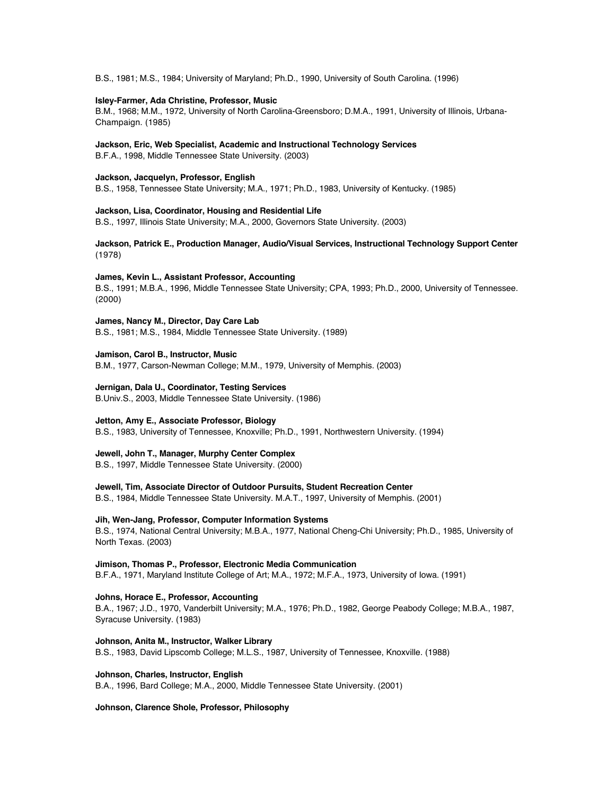B.S., 1981; M.S., 1984; University of Maryland; Ph.D., 1990, University of South Carolina. (1996)

### **Isley-Farmer, Ada Christine, Professor, Music**

B.M., 1968; M.M., 1972, University of North Carolina-Greensboro; D.M.A., 1991, University of Illinois, Urbana-Champaign. (1985)

### **Jackson, Eric, Web Specialist, Academic and Instructional Technology Services**

B.F.A., 1998, Middle Tennessee State University. (2003)

### **Jackson, Jacquelyn, Professor, English**

B.S., 1958, Tennessee State University; M.A., 1971; Ph.D., 1983, University of Kentucky. (1985)

#### **Jackson, Lisa, Coordinator, Housing and Residential Life**

B.S., 1997, Illinois State University; M.A., 2000, Governors State University. (2003)

### **Jackson, Patrick E., Production Manager, Audio/Visual Services, Instructional Technology Support Center**  (1978)

#### **James, Kevin L., Assistant Professor, Accounting**

B.S., 1991; M.B.A., 1996, Middle Tennessee State University; CPA, 1993; Ph.D., 2000, University of Tennessee. (2000)

### **James, Nancy M., Director, Day Care Lab**

B.S., 1981; M.S., 1984, Middle Tennessee State University. (1989)

### **Jamison, Carol B., Instructor, Music**

B.M., 1977, Carson-Newman College; M.M., 1979, University of Memphis. (2003)

### **Jernigan, Dala U., Coordinator, Testing Services**

B.Univ.S., 2003, Middle Tennessee State University. (1986)

### **Jetton, Amy E., Associate Professor, Biology**

B.S., 1983, University of Tennessee, Knoxville; Ph.D., 1991, Northwestern University. (1994)

### **Jewell, John T., Manager, Murphy Center Complex**

B.S., 1997, Middle Tennessee State University. (2000)

### **Jewell, Tim, Associate Director of Outdoor Pursuits, Student Recreation Center**

B.S., 1984, Middle Tennessee State University. M.A.T., 1997, University of Memphis. (2001)

#### **Jih, Wen-Jang, Professor, Computer Information Systems**

B.S., 1974, National Central University; M.B.A., 1977, National Cheng-Chi University; Ph.D., 1985, University of North Texas. (2003)

### **Jimison, Thomas P., Professor, Electronic Media Communication**

B.F.A., 1971, Maryland Institute College of Art; M.A., 1972; M.F.A., 1973, University of Iowa. (1991)

### **Johns, Horace E., Professor, Accounting**

B.A., 1967; J.D., 1970, Vanderbilt University; M.A., 1976; Ph.D., 1982, George Peabody College; M.B.A., 1987, Syracuse University. (1983)

### **Johnson, Anita M., Instructor, Walker Library**

B.S., 1983, David Lipscomb College; M.L.S., 1987, University of Tennessee, Knoxville. (1988)

#### **Johnson, Charles, Instructor, English**

B.A., 1996, Bard College; M.A., 2000, Middle Tennessee State University. (2001)

#### **Johnson, Clarence Shole, Professor, Philosophy**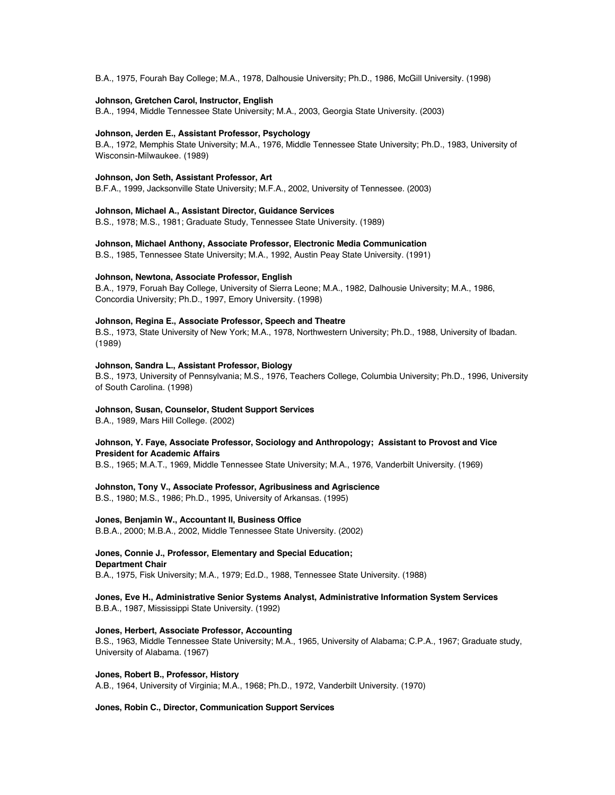B.A., 1975, Fourah Bay College; M.A., 1978, Dalhousie University; Ph.D., 1986, McGill University. (1998)

### **Johnson, Gretchen Carol, Instructor, English**

B.A., 1994, Middle Tennessee State University; M.A., 2003, Georgia State University. (2003)

#### **Johnson, Jerden E., Assistant Professor, Psychology**

B.A., 1972, Memphis State University; M.A., 1976, Middle Tennessee State University; Ph.D., 1983, University of Wisconsin-Milwaukee. (1989)

### **Johnson, Jon Seth, Assistant Professor, Art**

B.F.A., 1999, Jacksonville State University; M.F.A., 2002, University of Tennessee. (2003)

**Johnson, Michael A., Assistant Director, Guidance Services** B.S., 1978; M.S., 1981; Graduate Study, Tennessee State University. (1989)

**Johnson, Michael Anthony, Associate Professor, Electronic Media Communication**

B.S., 1985, Tennessee State University; M.A., 1992, Austin Peay State University. (1991)

#### **Johnson, Newtona, Associate Professor, English**

B.A., 1979, Foruah Bay College, University of Sierra Leone; M.A., 1982, Dalhousie University; M.A., 1986, Concordia University; Ph.D., 1997, Emory University. (1998)

### **Johnson, Regina E., Associate Professor, Speech and Theatre**

B.S., 1973, State University of New York; M.A., 1978, Northwestern University; Ph.D., 1988, University of Ibadan. (1989)

### **Johnson, Sandra L., Assistant Professor, Biology**

B.S., 1973, University of Pennsylvania; M.S., 1976, Teachers College, Columbia University; Ph.D., 1996, University of South Carolina. (1998)

### **Johnson, Susan, Counselor, Student Support Services**

B.A., 1989, Mars Hill College. (2002)

### **Johnson, Y. Faye, Associate Professor, Sociology and Anthropology; Assistant to Provost and Vice President for Academic Affairs**

B.S., 1965; M.A.T., 1969, Middle Tennessee State University; M.A., 1976, Vanderbilt University. (1969)

### **Johnston, Tony V., Associate Professor, Agribusiness and Agriscience**

B.S., 1980; M.S., 1986; Ph.D., 1995, University of Arkansas. (1995)

### **Jones, Benjamin W., Accountant II, Business Office**

B.B.A., 2000; M.B.A., 2002, Middle Tennessee State University. (2002)

### **Jones, Connie J., Professor, Elementary and Special Education; Department Chair**

B.A., 1975, Fisk University; M.A., 1979; Ed.D., 1988, Tennessee State University. (1988)

### **Jones, Eve H., Administrative Senior Systems Analyst, Administrative Information System Services** B.B.A., 1987, Mississippi State University. (1992)

### **Jones, Herbert, Associate Professor, Accounting**

B.S., 1963, Middle Tennessee State University; M.A., 1965, University of Alabama; C.P.A., 1967; Graduate study, University of Alabama. (1967)

#### **Jones, Robert B., Professor, History**

A.B., 1964, University of Virginia; M.A., 1968; Ph.D., 1972, Vanderbilt University. (1970)

#### **Jones, Robin C., Director, Communication Support Services**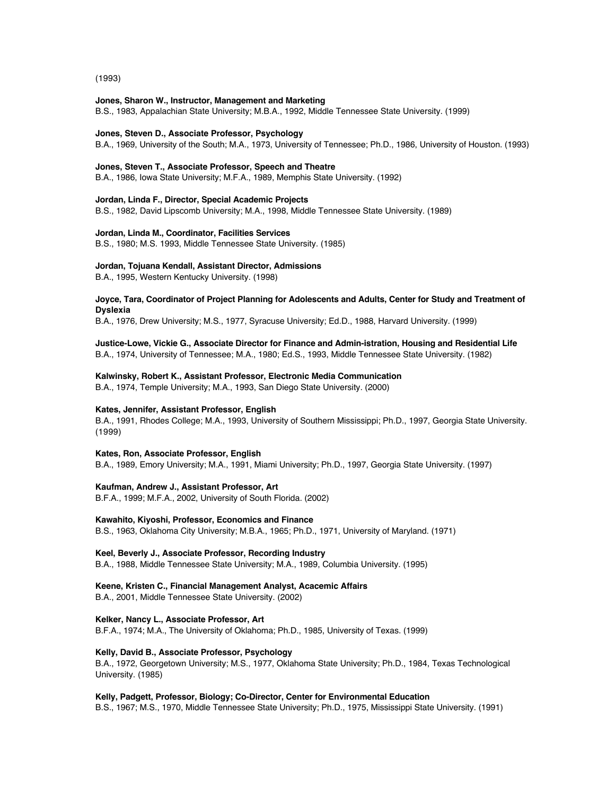(1993)

#### **Jones, Sharon W., Instructor, Management and Marketing**

B.S., 1983, Appalachian State University; M.B.A., 1992, Middle Tennessee State University. (1999)

### **Jones, Steven D., Associate Professor, Psychology**

B.A., 1969, University of the South; M.A., 1973, University of Tennessee; Ph.D., 1986, University of Houston. (1993)

### **Jones, Steven T., Associate Professor, Speech and Theatre**

B.A., 1986, Iowa State University; M.F.A., 1989, Memphis State University. (1992)

### **Jordan, Linda F., Director, Special Academic Projects**

B.S., 1982, David Lipscomb University; M.A., 1998, Middle Tennessee State University. (1989)

### **Jordan, Linda M., Coordinator, Facilities Services**

B.S., 1980; M.S. 1993, Middle Tennessee State University. (1985)

#### **Jordan, Tojuana Kendall, Assistant Director, Admissions**

B.A., 1995, Western Kentucky University. (1998)

### **Joyce, Tara, Coordinator of Project Planning for Adolescents and Adults, Center for Study and Treatment of Dyslexia**

B.A., 1976, Drew University; M.S., 1977, Syracuse University; Ed.D., 1988, Harvard University. (1999)

### **Justice-Lowe, Vickie G., Associate Director for Finance and Admin-istration, Housing and Residential Life** B.A., 1974, University of Tennessee; M.A., 1980; Ed.S., 1993, Middle Tennessee State University. (1982)

#### **Kalwinsky, Robert K., Assistant Professor, Electronic Media Communication**

B.A., 1974, Temple University; M.A., 1993, San Diego State University. (2000)

### **Kates, Jennifer, Assistant Professor, English**

B.A., 1991, Rhodes College; M.A., 1993, University of Southern Mississippi; Ph.D., 1997, Georgia State University. (1999)

### **Kates, Ron, Associate Professor, English**

B.A., 1989, Emory University; M.A., 1991, Miami University; Ph.D., 1997, Georgia State University. (1997)

### **Kaufman, Andrew J., Assistant Professor, Art**

B.F.A., 1999; M.F.A., 2002, University of South Florida. (2002)

### **Kawahito, Kiyoshi, Professor, Economics and Finance**

B.S., 1963, Oklahoma City University; M.B.A., 1965; Ph.D., 1971, University of Maryland. (1971)

### **Keel, Beverly J., Associate Professor, Recording Industry**

B.A., 1988, Middle Tennessee State University; M.A., 1989, Columbia University. (1995)

### **Keene, Kristen C., Financial Management Analyst, Acacemic Affairs**

B.A., 2001, Middle Tennessee State University. (2002)

#### **Kelker, Nancy L., Associate Professor, Art**

B.F.A., 1974; M.A., The University of Oklahoma; Ph.D., 1985, University of Texas. (1999)

#### **Kelly, David B., Associate Professor, Psychology**

B.A., 1972, Georgetown University; M.S., 1977, Oklahoma State University; Ph.D., 1984, Texas Technological University. (1985)

#### **Kelly, Padgett, Professor, Biology; Co-Director, Center for Environmental Education**

B.S., 1967; M.S., 1970, Middle Tennessee State University; Ph.D., 1975, Mississippi State University. (1991)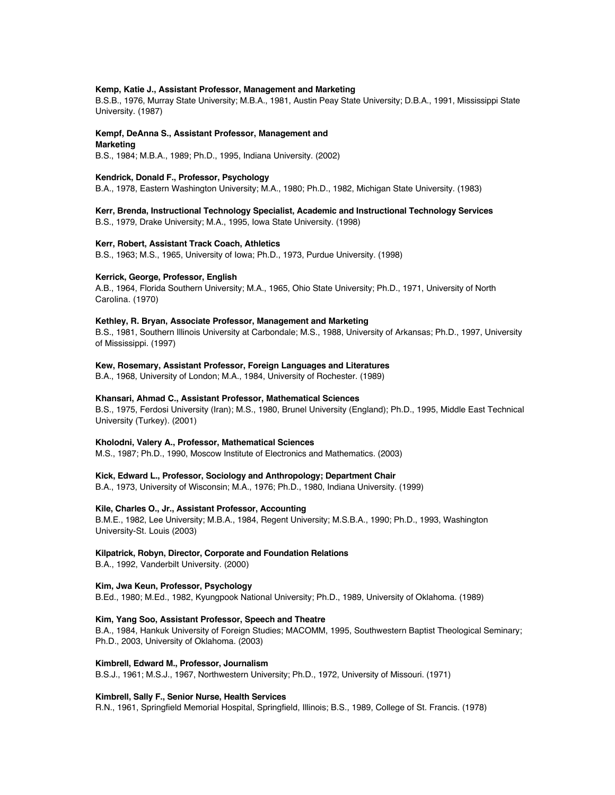### **Kemp, Katie J., Assistant Professor, Management and Marketing**

B.S.B., 1976, Murray State University; M.B.A., 1981, Austin Peay State University; D.B.A., 1991, Mississippi State University. (1987)

### **Kempf, DeAnna S., Assistant Professor, Management and**

**Marketing**

B.S., 1984; M.B.A., 1989; Ph.D., 1995, Indiana University. (2002)

### **Kendrick, Donald F., Professor, Psychology**

B.A., 1978, Eastern Washington University; M.A., 1980; Ph.D., 1982, Michigan State University. (1983)

### **Kerr, Brenda, Instructional Technology Specialist, Academic and Instructional Technology Services**

B.S., 1979, Drake University; M.A., 1995, Iowa State University. (1998)

### **Kerr, Robert, Assistant Track Coach, Athletics**

B.S., 1963; M.S., 1965, University of Iowa; Ph.D., 1973, Purdue University. (1998)

### **Kerrick, George, Professor, English**

A.B., 1964, Florida Southern University; M.A., 1965, Ohio State University; Ph.D., 1971, University of North Carolina. (1970)

### **Kethley, R. Bryan, Associate Professor, Management and Marketing**

B.S., 1981, Southern Illinois University at Carbondale; M.S., 1988, University of Arkansas; Ph.D., 1997, University of Mississippi. (1997)

### **Kew, Rosemary, Assistant Professor, Foreign Languages and Literatures**

B.A., 1968, University of London; M.A., 1984, University of Rochester. (1989)

### **Khansari, Ahmad C., Assistant Professor, Mathematical Sciences**

B.S., 1975, Ferdosi University (Iran); M.S., 1980, Brunel University (England); Ph.D., 1995, Middle East Technical University (Turkey). (2001)

### **Kholodni, Valery A., Professor, Mathematical Sciences**

M.S., 1987; Ph.D., 1990, Moscow Institute of Electronics and Mathematics. (2003)

### **Kick, Edward L., Professor, Sociology and Anthropology; Department Chair**

B.A., 1973, University of Wisconsin; M.A., 1976; Ph.D., 1980, Indiana University. (1999)

### **Kile, Charles O., Jr., Assistant Professor, Accounting**

B.M.E., 1982, Lee University; M.B.A., 1984, Regent University; M.S.B.A., 1990; Ph.D., 1993, Washington University-St. Louis (2003)

### **Kilpatrick, Robyn, Director, Corporate and Foundation Relations**

B.A., 1992, Vanderbilt University. (2000)

### **Kim, Jwa Keun, Professor, Psychology**

B.Ed., 1980; M.Ed., 1982, Kyungpook National University; Ph.D., 1989, University of Oklahoma. (1989)

### **Kim, Yang Soo, Assistant Professor, Speech and Theatre**

B.A., 1984, Hankuk University of Foreign Studies; MACOMM, 1995, Southwestern Baptist Theological Seminary; Ph.D., 2003, University of Oklahoma. (2003)

### **Kimbrell, Edward M., Professor, Journalism**

B.S.J., 1961; M.S.J., 1967, Northwestern University; Ph.D., 1972, University of Missouri. (1971)

### **Kimbrell, Sally F., Senior Nurse, Health Services**

R.N., 1961, Springfield Memorial Hospital, Springfield, Illinois; B.S., 1989, College of St. Francis. (1978)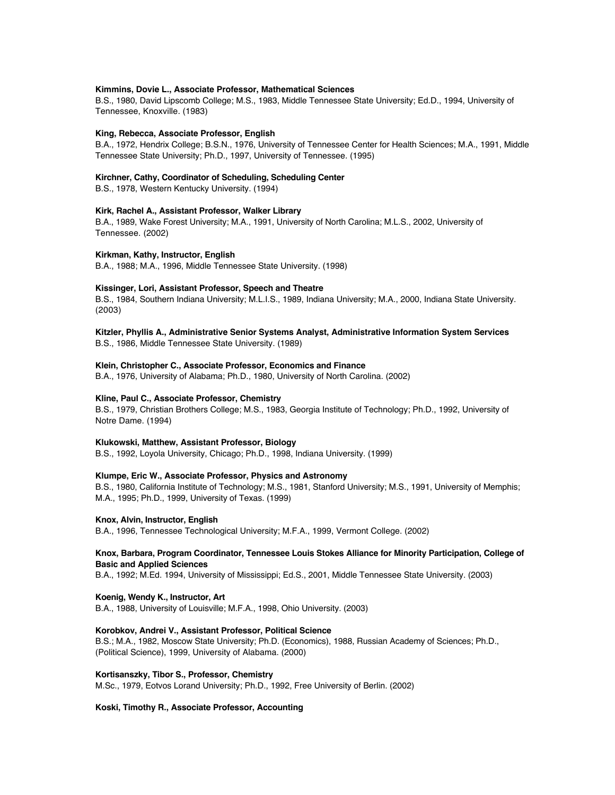### **Kimmins, Dovie L., Associate Professor, Mathematical Sciences**

B.S., 1980, David Lipscomb College; M.S., 1983, Middle Tennessee State University; Ed.D., 1994, University of Tennessee, Knoxville. (1983)

#### **King, Rebecca, Associate Professor, English**

B.A., 1972, Hendrix College; B.S.N., 1976, University of Tennessee Center for Health Sciences; M.A., 1991, Middle Tennessee State University; Ph.D., 1997, University of Tennessee. (1995)

### **Kirchner, Cathy, Coordinator of Scheduling, Scheduling Center**

B.S., 1978, Western Kentucky University. (1994)

### **Kirk, Rachel A., Assistant Professor, Walker Library**

B.A., 1989, Wake Forest University; M.A., 1991, University of North Carolina; M.L.S., 2002, University of Tennessee. (2002)

#### **Kirkman, Kathy, Instructor, English**

B.A., 1988; M.A., 1996, Middle Tennessee State University. (1998)

### **Kissinger, Lori, Assistant Professor, Speech and Theatre**

B.S., 1984, Southern Indiana University; M.L.I.S., 1989, Indiana University; M.A., 2000, Indiana State University. (2003)

### **Kitzler, Phyllis A., Administrative Senior Systems Analyst, Administrative Information System Services**

B.S., 1986, Middle Tennessee State University. (1989)

### **Klein, Christopher C., Associate Professor, Economics and Finance**

B.A., 1976, University of Alabama; Ph.D., 1980, University of North Carolina. (2002)

### **Kline, Paul C., Associate Professor, Chemistry**

B.S., 1979, Christian Brothers College; M.S., 1983, Georgia Institute of Technology; Ph.D., 1992, University of Notre Dame. (1994)

### **Klukowski, Matthew, Assistant Professor, Biology**

B.S., 1992, Loyola University, Chicago; Ph.D., 1998, Indiana University. (1999)

### **Klumpe, Eric W., Associate Professor, Physics and Astronomy**

B.S., 1980, California Institute of Technology; M.S., 1981, Stanford University; M.S., 1991, University of Memphis; M.A., 1995; Ph.D., 1999, University of Texas. (1999)

### **Knox, Alvin, Instructor, English**

B.A., 1996, Tennessee Technological University; M.F.A., 1999, Vermont College. (2002)

### **Knox, Barbara, Program Coordinator, Tennessee Louis Stokes Alliance for Minority Participation, College of Basic and Applied Sciences**

B.A., 1992; M.Ed. 1994, University of Mississippi; Ed.S., 2001, Middle Tennessee State University. (2003)

### **Koenig, Wendy K., Instructor, Art**

B.A., 1988, University of Louisville; M.F.A., 1998, Ohio University. (2003)

### **Korobkov, Andrei V., Assistant Professor, Political Science**

B.S.; M.A., 1982, Moscow State University; Ph.D. (Economics), 1988, Russian Academy of Sciences; Ph.D., (Political Science), 1999, University of Alabama. (2000)

### **Kortisanszky, Tibor S., Professor, Chemistry**

M.Sc., 1979, Eotvos Lorand University; Ph.D., 1992, Free University of Berlin. (2002)

### **Koski, Timothy R., Associate Professor, Accounting**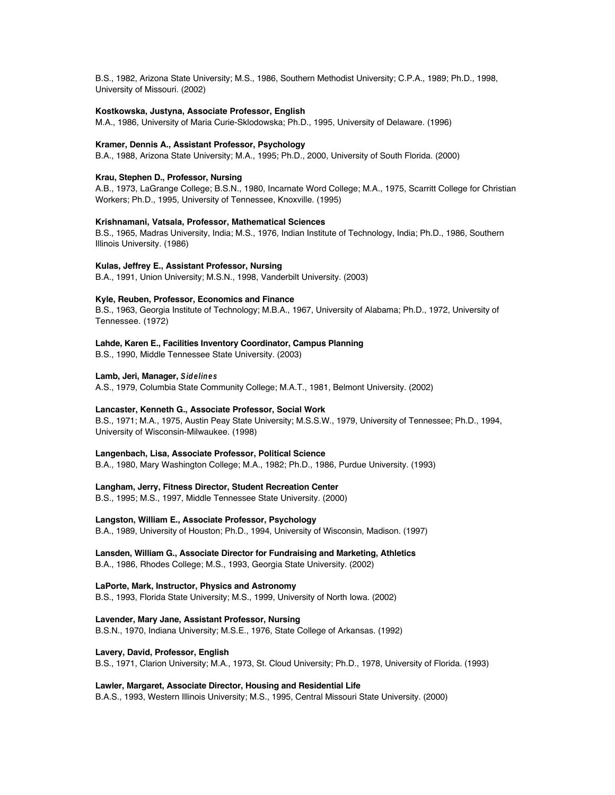B.S., 1982, Arizona State University; M.S., 1986, Southern Methodist University; C.P.A., 1989; Ph.D., 1998, University of Missouri. (2002)

### **Kostkowska, Justyna, Associate Professor, English**

M.A., 1986, University of Maria Curie-Sklodowska; Ph.D., 1995, University of Delaware. (1996)

#### **Kramer, Dennis A., Assistant Professor, Psychology**

B.A., 1988, Arizona State University; M.A., 1995; Ph.D., 2000, University of South Florida. (2000)

### **Krau, Stephen D., Professor, Nursing**

A.B., 1973, LaGrange College; B.S.N., 1980, Incarnate Word College; M.A., 1975, Scarritt College for Christian Workers; Ph.D., 1995, University of Tennessee, Knoxville. (1995)

#### **Krishnamani, Vatsala, Professor, Mathematical Sciences**

B.S., 1965, Madras University, India; M.S., 1976, Indian Institute of Technology, India; Ph.D., 1986, Southern Illinois University. (1986)

### **Kulas, Jeffrey E., Assistant Professor, Nursing**

B.A., 1991, Union University; M.S.N., 1998, Vanderbilt University. (2003)

### **Kyle, Reuben, Professor, Economics and Finance**

B.S., 1963, Georgia Institute of Technology; M.B.A., 1967, University of Alabama; Ph.D., 1972, University of Tennessee. (1972)

#### **Lahde, Karen E., Facilities Inventory Coordinator, Campus Planning**

B.S., 1990, Middle Tennessee State University. (2003)

### **Lamb, Jeri, Manager, Sidelines**

A.S., 1979, Columbia State Community College; M.A.T., 1981, Belmont University. (2002)

### **Lancaster, Kenneth G., Associate Professor, Social Work**

B.S., 1971; M.A., 1975, Austin Peay State University; M.S.S.W., 1979, University of Tennessee; Ph.D., 1994, University of Wisconsin-Milwaukee. (1998)

### **Langenbach, Lisa, Associate Professor, Political Science**

B.A., 1980, Mary Washington College; M.A., 1982; Ph.D., 1986, Purdue University. (1993)

**Langham, Jerry, Fitness Director, Student Recreation Center**

B.S., 1995; M.S., 1997, Middle Tennessee State University. (2000)

**Langston, William E., Associate Professor, Psychology**

B.A., 1989, University of Houston; Ph.D., 1994, University of Wisconsin, Madison. (1997)

### **Lansden, William G., Associate Director for Fundraising and Marketing, Athletics**

B.A., 1986, Rhodes College; M.S., 1993, Georgia State University. (2002)

### **LaPorte, Mark, Instructor, Physics and Astronomy**

B.S., 1993, Florida State University; M.S., 1999, University of North Iowa. (2002)

#### **Lavender, Mary Jane, Assistant Professor, Nursing**

B.S.N., 1970, Indiana University; M.S.E., 1976, State College of Arkansas. (1992)

### **Lavery, David, Professor, English**

B.S., 1971, Clarion University; M.A., 1973, St. Cloud University; Ph.D., 1978, University of Florida. (1993)

### **Lawler, Margaret, Associate Director, Housing and Residential Life**

B.A.S., 1993, Western Illinois University; M.S., 1995, Central Missouri State University. (2000)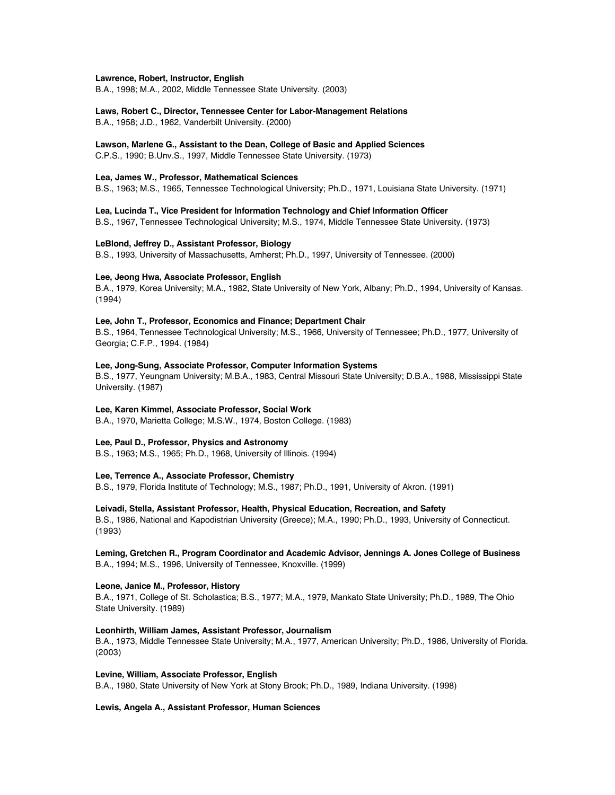#### **Lawrence, Robert, Instructor, English**

B.A., 1998; M.A., 2002, Middle Tennessee State University. (2003)

# **Laws, Robert C., Director, Tennessee Center for Labor-Management Relations**

B.A., 1958; J.D., 1962, Vanderbilt University. (2000)

#### **Lawson, Marlene G., Assistant to the Dean, College of Basic and Applied Sciences**

C.P.S., 1990; B.Unv.S., 1997, Middle Tennessee State University. (1973)

### **Lea, James W., Professor, Mathematical Sciences**

B.S., 1963; M.S., 1965, Tennessee Technological University; Ph.D., 1971, Louisiana State University. (1971)

**Lea, Lucinda T., Vice President for Information Technology and Chief Information Officer** B.S., 1967, Tennessee Technological University; M.S., 1974, Middle Tennessee State University. (1973)

## **LeBlond, Jeffrey D., Assistant Professor, Biology**

B.S., 1993, University of Massachusetts, Amherst; Ph.D., 1997, University of Tennessee. (2000)

#### **Lee, Jeong Hwa, Associate Professor, English**

B.A., 1979, Korea University; M.A., 1982, State University of New York, Albany; Ph.D., 1994, University of Kansas. (1994)

#### **Lee, John T., Professor, Economics and Finance; Department Chair**

B.S., 1964, Tennessee Technological University; M.S., 1966, University of Tennessee; Ph.D., 1977, University of Georgia; C.F.P., 1994. (1984)

## **Lee, Jong-Sung, Associate Professor, Computer Information Systems**

B.S., 1977, Yeungnam University; M.B.A., 1983, Central Missouri State University; D.B.A., 1988, Mississippi State University. (1987)

## **Lee, Karen Kimmel, Associate Professor, Social Work**

B.A., 1970, Marietta College; M.S.W., 1974, Boston College. (1983)

## **Lee, Paul D., Professor, Physics and Astronomy**

B.S., 1963; M.S., 1965; Ph.D., 1968, University of Illinois. (1994)

## **Lee, Terrence A., Associate Professor, Chemistry**

B.S., 1979, Florida Institute of Technology; M.S., 1987; Ph.D., 1991, University of Akron. (1991)

## **Leivadi, Stella, Assistant Professor, Health, Physical Education, Recreation, and Safety**

B.S., 1986, National and Kapodistrian University (Greece); M.A., 1990; Ph.D., 1993, University of Connecticut. (1993)

## **Leming, Gretchen R., Program Coordinator and Academic Advisor, Jennings A. Jones College of Business** B.A., 1994; M.S., 1996, University of Tennessee, Knoxville. (1999)

## **Leone, Janice M., Professor, History**

B.A., 1971, College of St. Scholastica; B.S., 1977; M.A., 1979, Mankato State University; Ph.D., 1989, The Ohio State University. (1989)

## **Leonhirth, William James, Assistant Professor, Journalism**

B.A., 1973, Middle Tennessee State University; M.A., 1977, American University; Ph.D., 1986, University of Florida. (2003)

#### **Levine, William, Associate Professor, English**

B.A., 1980, State University of New York at Stony Brook; Ph.D., 1989, Indiana University. (1998)

## **Lewis, Angela A., Assistant Professor, Human Sciences**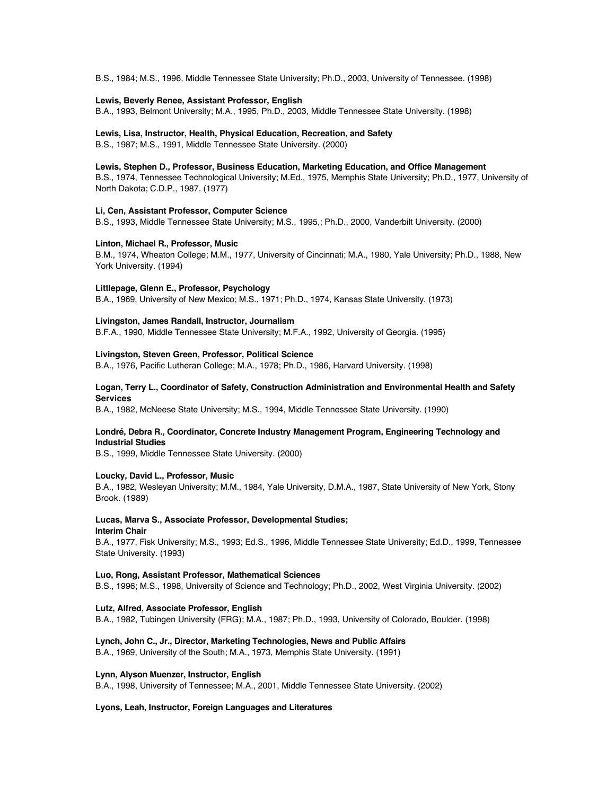B.S., 1984; M.S., 1996, Middle Tennessee State University; Ph.D., 2003, University of Tennessee. (1998)

#### **Lewis, Beverly Renee, Assistant Professor, English**

B.A., 1993, Belmont University; M.A., 1995, Ph.D., 2003, Middle Tennessee State University. (1998)

# **Lewis, Lisa, Instructor, Health, Physical Education, Recreation, and Safety**

B.S., 1987; M.S., 1991, Middle Tennessee State University. (2000)

## **Lewis, Stephen D., Professor, Business Education, Marketing Education, and Office Management**

B.S., 1974, Tennessee Technological University; M.Ed., 1975, Memphis State University; Ph.D., 1977, University of North Dakota; C.D.P., 1987. (1977)

## **Li, Cen, Assistant Professor, Computer Science**

B.S., 1993, Middle Tennessee State University; M.S., 1995,; Ph.D., 2000, Vanderbilt University. (2000)

#### **Linton, Michael R., Professor, Music**

B.M., 1974, Wheaton College; M.M., 1977, University of Cincinnati; M.A., 1980, Yale University; Ph.D., 1988, New York University. (1994)

#### **Littlepage, Glenn E., Professor, Psychology**

B.A., 1969, University of New Mexico; M.S., 1971; Ph.D., 1974, Kansas State University. (1973)

#### **Livingston, James Randall, Instructor, Journalism**

B.F.A., 1990, Middle Tennessee State University; M.F.A., 1992, University of Georgia. (1995)

#### **Livingston, Steven Green, Professor, Political Science**

B.A., 1976, Pacific Lutheran College; M.A., 1978; Ph.D., 1986, Harvard University. (1998)

## **Logan, Terry L., Coordinator of Safety, Construction Administration and Environmental Health and Safety Services**

B.A., 1982, McNeese State University; M.S., 1994, Middle Tennessee State University. (1990)

## **Londré, Debra R., Coordinator, Concrete Industry Management Program, Engineering Technology and Industrial Studies**

B.S., 1999, Middle Tennessee State University. (2000)

## **Loucky, David L., Professor, Music**

B.A., 1982, Wesleyan University; M.M., 1984, Yale University, D.M.A., 1987, State University of New York, Stony Brook. (1989)

#### **Lucas, Marva S., Associate Professor, Developmental Studies; Interim Chair**

B.A., 1977, Fisk University; M.S., 1993; Ed.S., 1996, Middle Tennessee State University; Ed.D., 1999, Tennessee State University. (1993)

#### **Luo, Rong, Assistant Professor, Mathematical Sciences**

B.S., 1996; M.S., 1998, University of Science and Technology; Ph.D., 2002, West Virginia University. (2002)

#### **Lutz, Alfred, Associate Professor, English**

B.A., 1982, Tubingen University (FRG); M.A., 1987; Ph.D., 1993, University of Colorado, Boulder. (1998)

## **Lynch, John C., Jr., Director, Marketing Technologies, News and Public Affairs**

B.A., 1969, University of the South; M.A., 1973, Memphis State University. (1991)

#### **Lynn, Alyson Muenzer, Instructor, English**

B.A., 1998, University of Tennessee; M.A., 2001, Middle Tennessee State University. (2002)

#### **Lyons, Leah, Instructor, Foreign Languages and Literatures**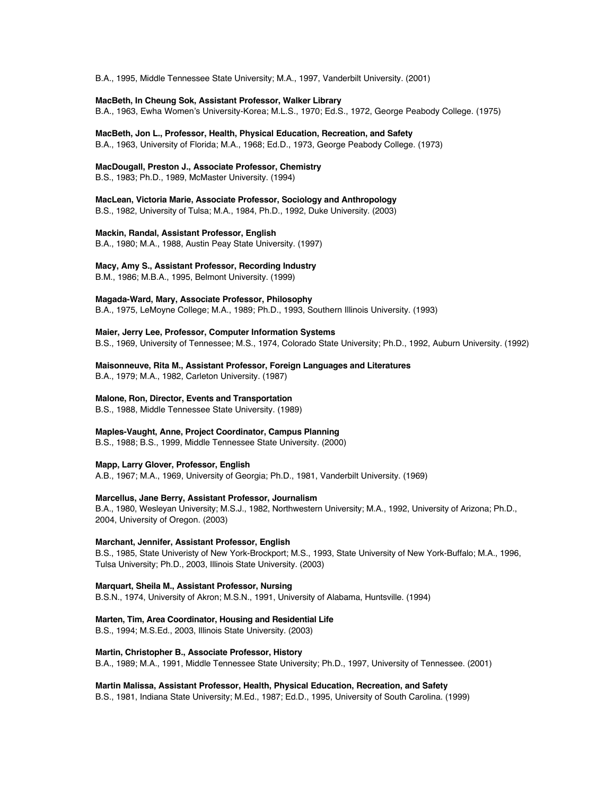B.A., 1995, Middle Tennessee State University; M.A., 1997, Vanderbilt University. (2001)

**MacBeth, In Cheung Sok, Assistant Professor, Walker Library**

B.A., 1963, Ewha Women's University-Korea; M.L.S., 1970; Ed.S., 1972, George Peabody College. (1975)

**MacBeth, Jon L., Professor, Health, Physical Education, Recreation, and Safety**

B.A., 1963, University of Florida; M.A., 1968; Ed.D., 1973, George Peabody College. (1973)

**MacDougall, Preston J., Associate Professor, Chemistry**

B.S., 1983; Ph.D., 1989, McMaster University. (1994)

**MacLean, Victoria Marie, Associate Professor, Sociology and Anthropology** B.S., 1982, University of Tulsa; M.A., 1984, Ph.D., 1992, Duke University. (2003)

**Mackin, Randal, Assistant Professor, English**

B.A., 1980; M.A., 1988, Austin Peay State University. (1997)

**Macy, Amy S., Assistant Professor, Recording Industry**

B.M., 1986; M.B.A., 1995, Belmont University. (1999)

**Magada-Ward, Mary, Associate Professor, Philosophy**

B.A., 1975, LeMoyne College; M.A., 1989; Ph.D., 1993, Southern Illinois University. (1993)

**Maier, Jerry Lee, Professor, Computer Information Systems** B.S., 1969, University of Tennessee; M.S., 1974, Colorado State University; Ph.D., 1992, Auburn University. (1992)

**Maisonneuve, Rita M., Assistant Professor, Foreign Languages and Literatures**

B.A., 1979; M.A., 1982, Carleton University. (1987)

## **Malone, Ron, Director, Events and Transportation**

B.S., 1988, Middle Tennessee State University. (1989)

**Maples-Vaught, Anne, Project Coordinator, Campus Planning**

B.S., 1988; B.S., 1999, Middle Tennessee State University. (2000)

**Mapp, Larry Glover, Professor, English**

A.B., 1967; M.A., 1969, University of Georgia; Ph.D., 1981, Vanderbilt University. (1969)

**Marcellus, Jane Berry, Assistant Professor, Journalism**

B.A., 1980, Wesleyan University; M.S.J., 1982, Northwestern University; M.A., 1992, University of Arizona; Ph.D., 2004, University of Oregon. (2003)

**Marchant, Jennifer, Assistant Professor, English**

B.S., 1985, State Univeristy of New York-Brockport; M.S., 1993, State University of New York-Buffalo; M.A., 1996, Tulsa University; Ph.D., 2003, Illinois State University. (2003)

**Marquart, Sheila M., Assistant Professor, Nursing**

B.S.N., 1974, University of Akron; M.S.N., 1991, University of Alabama, Huntsville. (1994)

**Marten, Tim, Area Coordinator, Housing and Residential Life**

B.S., 1994; M.S.Ed., 2003, Illinois State University. (2003)

**Martin, Christopher B., Associate Professor, History**

B.A., 1989; M.A., 1991, Middle Tennessee State University; Ph.D., 1997, University of Tennessee. (2001)

**Martin Malissa, Assistant Professor, Health, Physical Education, Recreation, and Safety**

B.S., 1981, Indiana State University; M.Ed., 1987; Ed.D., 1995, University of South Carolina. (1999)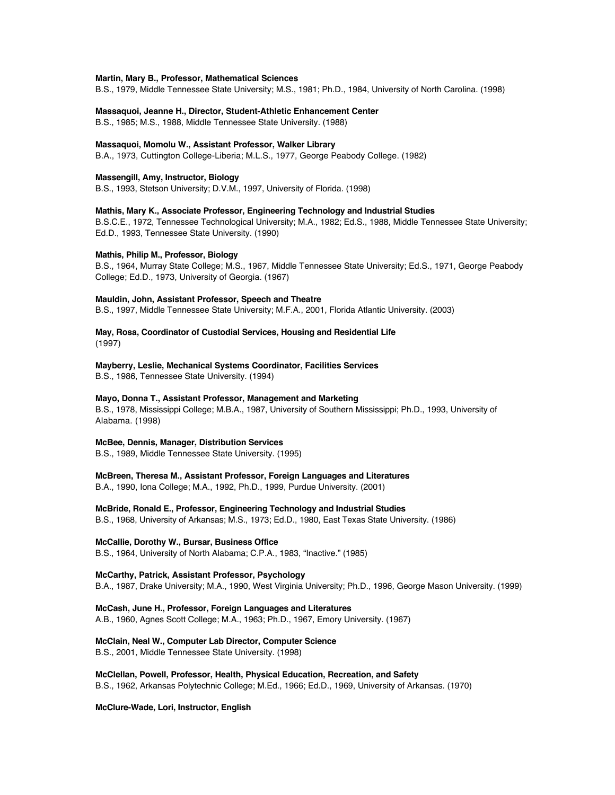#### **Martin, Mary B., Professor, Mathematical Sciences**

B.S., 1979, Middle Tennessee State University; M.S., 1981; Ph.D., 1984, University of North Carolina. (1998)

**Massaquoi, Jeanne H., Director, Student-Athletic Enhancement Center**

B.S., 1985; M.S., 1988, Middle Tennessee State University. (1988)

#### **Massaquoi, Momolu W., Assistant Professor, Walker Library**

B.A., 1973, Cuttington College-Liberia; M.L.S., 1977, George Peabody College. (1982)

#### **Massengill, Amy, Instructor, Biology**

B.S., 1993, Stetson University; D.V.M., 1997, University of Florida. (1998)

**Mathis, Mary K., Associate Professor, Engineering Technology and Industrial Studies**

B.S.C.E., 1972, Tennessee Technological University; M.A., 1982; Ed.S., 1988, Middle Tennessee State University; Ed.D., 1993, Tennessee State University. (1990)

# **Mathis, Philip M., Professor, Biology**

B.S., 1964, Murray State College; M.S., 1967, Middle Tennessee State University; Ed.S., 1971, George Peabody College; Ed.D., 1973, University of Georgia. (1967)

#### **Mauldin, John, Assistant Professor, Speech and Theatre**

B.S., 1997, Middle Tennessee State University; M.F.A., 2001, Florida Atlantic University. (2003)

## **May, Rosa, Coordinator of Custodial Services, Housing and Residential Life** (1997)

# **Mayberry, Leslie, Mechanical Systems Coordinator, Facilities Services**

B.S., 1986, Tennessee State University. (1994)

## **Mayo, Donna T., Assistant Professor, Management and Marketing**

B.S., 1978, Mississippi College; M.B.A., 1987, University of Southern Mississippi; Ph.D., 1993, University of Alabama. (1998)

## **McBee, Dennis, Manager, Distribution Services**

B.S., 1989, Middle Tennessee State University. (1995)

## **McBreen, Theresa M., Assistant Professor, Foreign Languages and Literatures**

B.A., 1990, Iona College; M.A., 1992, Ph.D., 1999, Purdue University. (2001)

## **McBride, Ronald E., Professor, Engineering Technology and Industrial Studies**

B.S., 1968, University of Arkansas; M.S., 1973; Ed.D., 1980, East Texas State University. (1986)

#### **McCallie, Dorothy W., Bursar, Business Office**

B.S., 1964, University of North Alabama; C.P.A., 1983, "Inactive." (1985)

## **McCarthy, Patrick, Assistant Professor, Psychology**

B.A., 1987, Drake University; M.A., 1990, West Virginia University; Ph.D., 1996, George Mason University. (1999)

## **McCash, June H., Professor, Foreign Languages and Literatures** A.B., 1960, Agnes Scott College; M.A., 1963; Ph.D., 1967, Emory University. (1967)

#### **McClain, Neal W., Computer Lab Director, Computer Science**

B.S., 2001, Middle Tennessee State University. (1998)

# **McClellan, Powell, Professor, Health, Physical Education, Recreation, and Safety**

B.S., 1962, Arkansas Polytechnic College; M.Ed., 1966; Ed.D., 1969, University of Arkansas. (1970)

## **McClure-Wade, Lori, Instructor, English**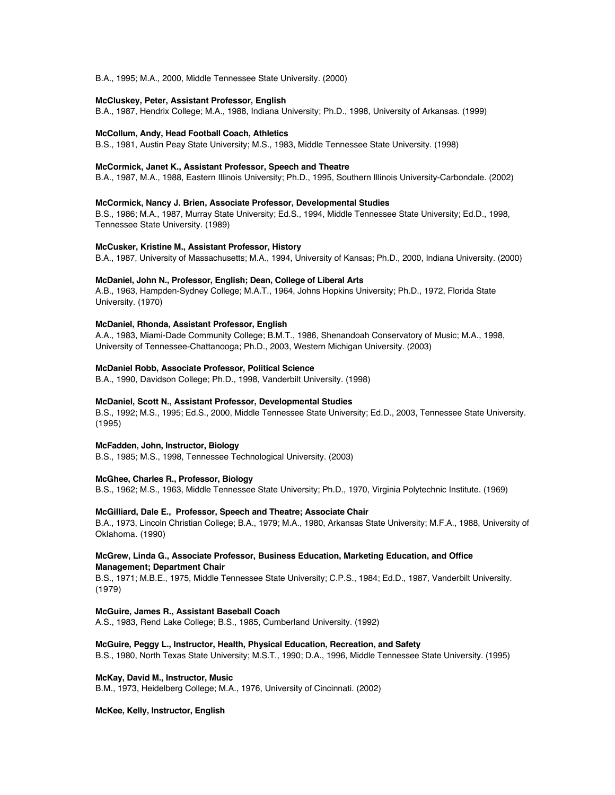B.A., 1995; M.A., 2000, Middle Tennessee State University. (2000)

#### **McCluskey, Peter, Assistant Professor, English**

B.A., 1987, Hendrix College; M.A., 1988, Indiana University; Ph.D., 1998, University of Arkansas. (1999)

#### **McCollum, Andy, Head Football Coach, Athletics**

B.S., 1981, Austin Peay State University; M.S., 1983, Middle Tennessee State University. (1998)

## **McCormick, Janet K., Assistant Professor, Speech and Theatre**

B.A., 1987, M.A., 1988, Eastern Illinois University; Ph.D., 1995, Southern Illinois University-Carbondale. (2002)

## **McCormick, Nancy J. Brien, Associate Professor, Developmental Studies**

B.S., 1986; M.A., 1987, Murray State University; Ed.S., 1994, Middle Tennessee State University; Ed.D., 1998, Tennessee State University. (1989)

#### **McCusker, Kristine M., Assistant Professor, History**

B.A., 1987, University of Massachusetts; M.A., 1994, University of Kansas; Ph.D., 2000, Indiana University. (2000)

#### **McDaniel, John N., Professor, English; Dean, College of Liberal Arts**

A.B., 1963, Hampden-Sydney College; M.A.T., 1964, Johns Hopkins University; Ph.D., 1972, Florida State University. (1970)

#### **McDaniel, Rhonda, Assistant Professor, English**

A.A., 1983, Miami-Dade Community College; B.M.T., 1986, Shenandoah Conservatory of Music; M.A., 1998, University of Tennessee-Chattanooga; Ph.D., 2003, Western Michigan University. (2003)

## **McDaniel Robb, Associate Professor, Political Science**

B.A., 1990, Davidson College; Ph.D., 1998, Vanderbilt University. (1998)

#### **McDaniel, Scott N., Assistant Professor, Developmental Studies**

B.S., 1992; M.S., 1995; Ed.S., 2000, Middle Tennessee State University; Ed.D., 2003, Tennessee State University. (1995)

## **McFadden, John, Instructor, Biology**

B.S., 1985; M.S., 1998, Tennessee Technological University. (2003)

### **McGhee, Charles R., Professor, Biology**

B.S., 1962; M.S., 1963, Middle Tennessee State University; Ph.D., 1970, Virginia Polytechnic Institute. (1969)

## **McGilliard, Dale E., Professor, Speech and Theatre; Associate Chair**

B.A., 1973, Lincoln Christian College; B.A., 1979; M.A., 1980, Arkansas State University; M.F.A., 1988, University of Oklahoma. (1990)

## **McGrew, Linda G., Associate Professor, Business Education, Marketing Education, and Office Management; Department Chair**

B.S., 1971; M.B.E., 1975, Middle Tennessee State University; C.P.S., 1984; Ed.D., 1987, Vanderbilt University. (1979)

#### **McGuire, James R., Assistant Baseball Coach**

A.S., 1983, Rend Lake College; B.S., 1985, Cumberland University. (1992)

## **McGuire, Peggy L., Instructor, Health, Physical Education, Recreation, and Safety**

B.S., 1980, North Texas State University; M.S.T., 1990; D.A., 1996, Middle Tennessee State University. (1995)

### **McKay, David M., Instructor, Music**

B.M., 1973, Heidelberg College; M.A., 1976, University of Cincinnati. (2002)

#### **McKee, Kelly, Instructor, English**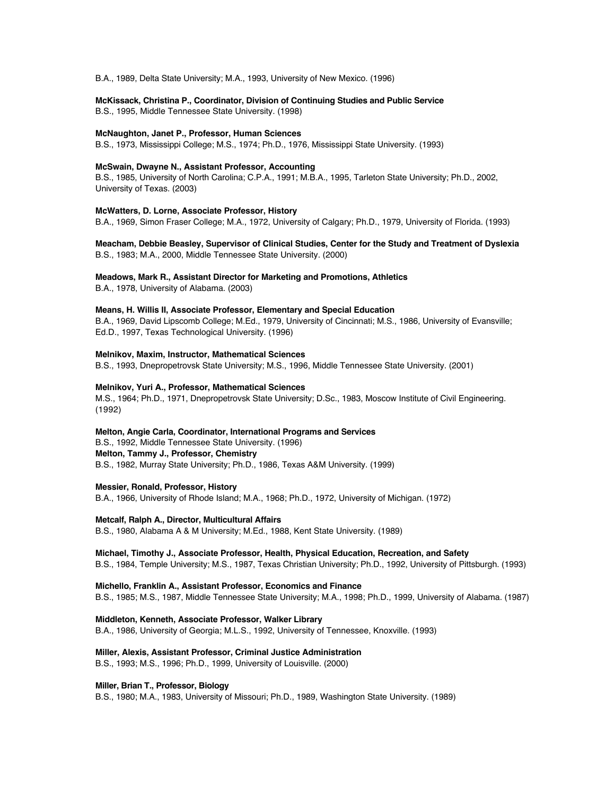B.A., 1989, Delta State University; M.A., 1993, University of New Mexico. (1996)

#### **McKissack, Christina P., Coordinator, Division of Continuing Studies and Public Service**

B.S., 1995, Middle Tennessee State University. (1998)

#### **McNaughton, Janet P., Professor, Human Sciences**

B.S., 1973, Mississippi College; M.S., 1974; Ph.D., 1976, Mississippi State University. (1993)

## **McSwain, Dwayne N., Assistant Professor, Accounting**

B.S., 1985, University of North Carolina; C.P.A., 1991; M.B.A., 1995, Tarleton State University; Ph.D., 2002, University of Texas. (2003)

#### **McWatters, D. Lorne, Associate Professor, History**

B.A., 1969, Simon Fraser College; M.A., 1972, University of Calgary; Ph.D., 1979, University of Florida. (1993)

## **Meacham, Debbie Beasley, Supervisor of Clinical Studies, Center for the Study and Treatment of Dyslexia** B.S., 1983; M.A., 2000, Middle Tennessee State University. (2000)

#### **Meadows, Mark R., Assistant Director for Marketing and Promotions, Athletics**

B.A., 1978, University of Alabama. (2003)

## **Means, H. Willis II, Associate Professor, Elementary and Special Education**

B.A., 1969, David Lipscomb College; M.Ed., 1979, University of Cincinnati; M.S., 1986, University of Evansville; Ed.D., 1997, Texas Technological University. (1996)

### **Melnikov, Maxim, Instructor, Mathematical Sciences**

B.S., 1993, Dnepropetrovsk State University; M.S., 1996, Middle Tennessee State University. (2001)

#### **Melnikov, Yuri A., Professor, Mathematical Sciences**

M.S., 1964; Ph.D., 1971, Dnepropetrovsk State University; D.Sc., 1983, Moscow Institute of Civil Engineering. (1992)

#### **Melton, Angie Carla, Coordinator, International Programs and Services**

B.S., 1992, Middle Tennessee State University. (1996) **Melton, Tammy J., Professor, Chemistry** B.S., 1982, Murray State University; Ph.D., 1986, Texas A&M University. (1999)

#### **Messier, Ronald, Professor, History**

B.A., 1966, University of Rhode Island; M.A., 1968; Ph.D., 1972, University of Michigan. (1972)

#### **Metcalf, Ralph A., Director, Multicultural Affairs**

B.S., 1980, Alabama A & M University; M.Ed., 1988, Kent State University. (1989)

## **Michael, Timothy J., Associate Professor, Health, Physical Education, Recreation, and Safety**

B.S., 1984, Temple University; M.S., 1987, Texas Christian University; Ph.D., 1992, University of Pittsburgh. (1993)

#### **Michello, Franklin A., Assistant Professor, Economics and Finance**

B.S., 1985; M.S., 1987, Middle Tennessee State University; M.A., 1998; Ph.D., 1999, University of Alabama. (1987)

#### **Middleton, Kenneth, Associate Professor, Walker Library**

B.A., 1986, University of Georgia; M.L.S., 1992, University of Tennessee, Knoxville. (1993)

#### **Miller, Alexis, Assistant Professor, Criminal Justice Administration**

B.S., 1993; M.S., 1996; Ph.D., 1999, University of Louisville. (2000)

## **Miller, Brian T., Professor, Biology**

B.S., 1980; M.A., 1983, University of Missouri; Ph.D., 1989, Washington State University. (1989)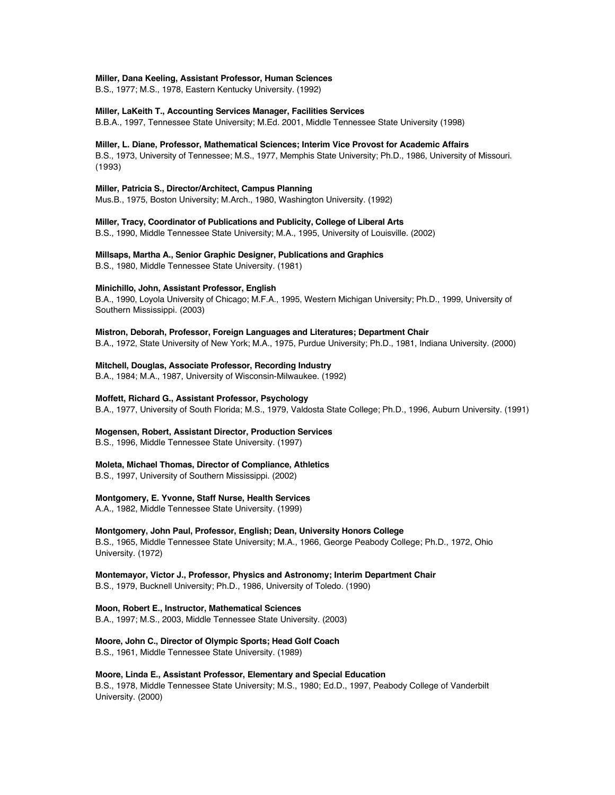#### **Miller, Dana Keeling, Assistant Professor, Human Sciences**

B.S., 1977; M.S., 1978, Eastern Kentucky University. (1992)

#### **Miller, LaKeith T., Accounting Services Manager, Facilities Services**

B.B.A., 1997, Tennessee State University; M.Ed. 2001, Middle Tennessee State University (1998)

#### **Miller, L. Diane, Professor, Mathematical Sciences; Interim Vice Provost for Academic Affairs**

B.S., 1973, University of Tennessee; M.S., 1977, Memphis State University; Ph.D., 1986, University of Missouri. (1993)

#### **Miller, Patricia S., Director/Architect, Campus Planning**

Mus.B., 1975, Boston University; M.Arch., 1980, Washington University. (1992)

**Miller, Tracy, Coordinator of Publications and Publicity, College of Liberal Arts**

B.S., 1990, Middle Tennessee State University; M.A., 1995, University of Louisville. (2002)

#### **Millsaps, Martha A., Senior Graphic Designer, Publications and Graphics**

B.S., 1980, Middle Tennessee State University. (1981)

#### **Minichillo, John, Assistant Professor, English**

B.A., 1990, Loyola University of Chicago; M.F.A., 1995, Western Michigan University; Ph.D., 1999, University of Southern Mississippi. (2003)

#### **Mistron, Deborah, Professor, Foreign Languages and Literatures; Department Chair**

B.A., 1972, State University of New York; M.A., 1975, Purdue University; Ph.D., 1981, Indiana University. (2000)

## **Mitchell, Douglas, Associate Professor, Recording Industry**

B.A., 1984; M.A., 1987, University of Wisconsin-Milwaukee. (1992)

## **Moffett, Richard G., Assistant Professor, Psychology**

B.A., 1977, University of South Florida; M.S., 1979, Valdosta State College; Ph.D., 1996, Auburn University. (1991)

#### **Mogensen, Robert, Assistant Director, Production Services**

B.S., 1996, Middle Tennessee State University. (1997)

## **Moleta, Michael Thomas, Director of Compliance, Athletics**

B.S., 1997, University of Southern Mississippi. (2002)

#### **Montgomery, E. Yvonne, Staff Nurse, Health Services**

A.A., 1982, Middle Tennessee State University. (1999)

## **Montgomery, John Paul, Professor, English; Dean, University Honors College**

B.S., 1965, Middle Tennessee State University; M.A., 1966, George Peabody College; Ph.D., 1972, Ohio University. (1972)

## **Montemayor, Victor J., Professor, Physics and Astronomy; Interim Department Chair** B.S., 1979, Bucknell University; Ph.D., 1986, University of Toledo. (1990)

**Moon, Robert E., Instructor, Mathematical Sciences**

B.A., 1997; M.S., 2003, Middle Tennessee State University. (2003)

#### **Moore, John C., Director of Olympic Sports; Head Golf Coach**

B.S., 1961, Middle Tennessee State University. (1989)

#### **Moore, Linda E., Assistant Professor, Elementary and Special Education**

B.S., 1978, Middle Tennessee State University; M.S., 1980; Ed.D., 1997, Peabody College of Vanderbilt University. (2000)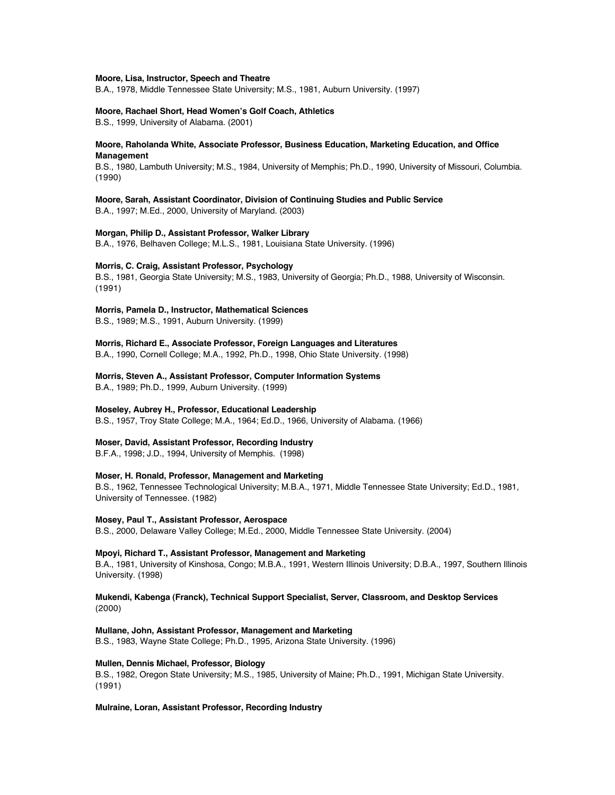#### **Moore, Lisa, Instructor, Speech and Theatre**

B.A., 1978, Middle Tennessee State University; M.S., 1981, Auburn University. (1997)

#### **Moore, Rachael Short, Head Women's Golf Coach, Athletics**

B.S., 1999, University of Alabama. (2001)

## **Moore, Raholanda White, Associate Professor, Business Education, Marketing Education, and Office Management**

B.S., 1980, Lambuth University; M.S., 1984, University of Memphis; Ph.D., 1990, University of Missouri, Columbia. (1990)

# **Moore, Sarah, Assistant Coordinator, Division of Continuing Studies and Public Service**

B.A., 1997; M.Ed., 2000, University of Maryland. (2003)

## **Morgan, Philip D., Assistant Professor, Walker Library**

B.A., 1976, Belhaven College; M.L.S., 1981, Louisiana State University. (1996)

# **Morris, C. Craig, Assistant Professor, Psychology**

B.S., 1981, Georgia State University; M.S., 1983, University of Georgia; Ph.D., 1988, University of Wisconsin. (1991)

## **Morris, Pamela D., Instructor, Mathematical Sciences**

B.S., 1989; M.S., 1991, Auburn University. (1999)

## **Morris, Richard E., Associate Professor, Foreign Languages and Literatures**

B.A., 1990, Cornell College; M.A., 1992, Ph.D., 1998, Ohio State University. (1998)

#### **Morris, Steven A., Assistant Professor, Computer Information Systems**

B.A., 1989; Ph.D., 1999, Auburn University. (1999)

## **Moseley, Aubrey H., Professor, Educational Leadership**

B.S., 1957, Troy State College; M.A., 1964; Ed.D., 1966, University of Alabama. (1966)

## **Moser, David, Assistant Professor, Recording Industry**

B.F.A., 1998; J.D., 1994, University of Memphis. (1998)

## **Moser, H. Ronald, Professor, Management and Marketing**

B.S., 1962, Tennessee Technological University; M.B.A., 1971, Middle Tennessee State University; Ed.D., 1981, University of Tennessee. (1982)

## **Mosey, Paul T., Assistant Professor, Aerospace**

B.S., 2000, Delaware Valley College; M.Ed., 2000, Middle Tennessee State University. (2004)

### **Mpoyi, Richard T., Assistant Professor, Management and Marketing**

B.A., 1981, University of Kinshosa, Congo; M.B.A., 1991, Western Illinois University; D.B.A., 1997, Southern Illinois University. (1998)

## **Mukendi, Kabenga (Franck), Technical Support Specialist, Server, Classroom, and Desktop Services** (2000)

## **Mullane, John, Assistant Professor, Management and Marketing**

B.S., 1983, Wayne State College; Ph.D., 1995, Arizona State University. (1996)

## **Mullen, Dennis Michael, Professor, Biology**

B.S., 1982, Oregon State University; M.S., 1985, University of Maine; Ph.D., 1991, Michigan State University. (1991)

## **Mulraine, Loran, Assistant Professor, Recording Industry**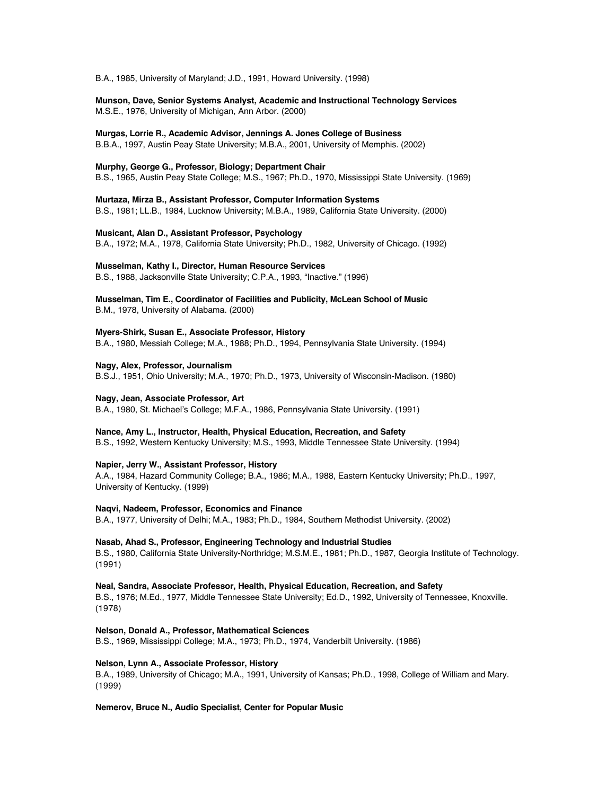B.A., 1985, University of Maryland; J.D., 1991, Howard University. (1998)

**Munson, Dave, Senior Systems Analyst, Academic and Instructional Technology Services** M.S.E., 1976, University of Michigan, Ann Arbor. (2000)

**Murgas, Lorrie R., Academic Advisor, Jennings A. Jones College of Business**

B.B.A., 1997, Austin Peay State University; M.B.A., 2001, University of Memphis. (2002)

## **Murphy, George G., Professor, Biology; Department Chair**

B.S., 1965, Austin Peay State College; M.S., 1967; Ph.D., 1970, Mississippi State University. (1969)

**Murtaza, Mirza B., Assistant Professor, Computer Information Systems** B.S., 1981; LL.B., 1984, Lucknow University; M.B.A., 1989, California State University. (2000)

## **Musicant, Alan D., Assistant Professor, Psychology**

B.A., 1972; M.A., 1978, California State University; Ph.D., 1982, University of Chicago. (1992)

#### **Musselman, Kathy I., Director, Human Resource Services**

B.S., 1988, Jacksonville State University; C.P.A., 1993, "Inactive." (1996)

**Musselman, Tim E., Coordinator of Facilities and Publicity, McLean School of Music** B.M., 1978, University of Alabama. (2000)

**Myers-Shirk, Susan E., Associate Professor, History** B.A., 1980, Messiah College; M.A., 1988; Ph.D., 1994, Pennsylvania State University. (1994)

**Nagy, Alex, Professor, Journalism** B.S.J., 1951, Ohio University; M.A., 1970; Ph.D., 1973, University of Wisconsin-Madison. (1980)

## **Nagy, Jean, Associate Professor, Art**

B.A., 1980, St. Michael's College; M.F.A., 1986, Pennsylvania State University. (1991)

#### **Nance, Amy L., Instructor, Health, Physical Education, Recreation, and Safety**

B.S., 1992, Western Kentucky University; M.S., 1993, Middle Tennessee State University. (1994)

## **Napier, Jerry W., Assistant Professor, History**

A.A., 1984, Hazard Community College; B.A., 1986; M.A., 1988, Eastern Kentucky University; Ph.D., 1997, University of Kentucky. (1999)

## **Naqvi, Nadeem, Professor, Economics and Finance**

B.A., 1977, University of Delhi; M.A., 1983; Ph.D., 1984, Southern Methodist University. (2002)

#### **Nasab, Ahad S., Professor, Engineering Technology and Industrial Studies**

B.S., 1980, California State University-Northridge; M.S.M.E., 1981; Ph.D., 1987, Georgia Institute of Technology. (1991)

#### **Neal, Sandra, Associate Professor, Health, Physical Education, Recreation, and Safety**

B.S., 1976; M.Ed., 1977, Middle Tennessee State University; Ed.D., 1992, University of Tennessee, Knoxville. (1978)

**Nelson, Donald A., Professor, Mathematical Sciences**

B.S., 1969, Mississippi College; M.A., 1973; Ph.D., 1974, Vanderbilt University. (1986)

## **Nelson, Lynn A., Associate Professor, History**

B.A., 1989, University of Chicago; M.A., 1991, University of Kansas; Ph.D., 1998, College of William and Mary. (1999)

**Nemerov, Bruce N., Audio Specialist, Center for Popular Music**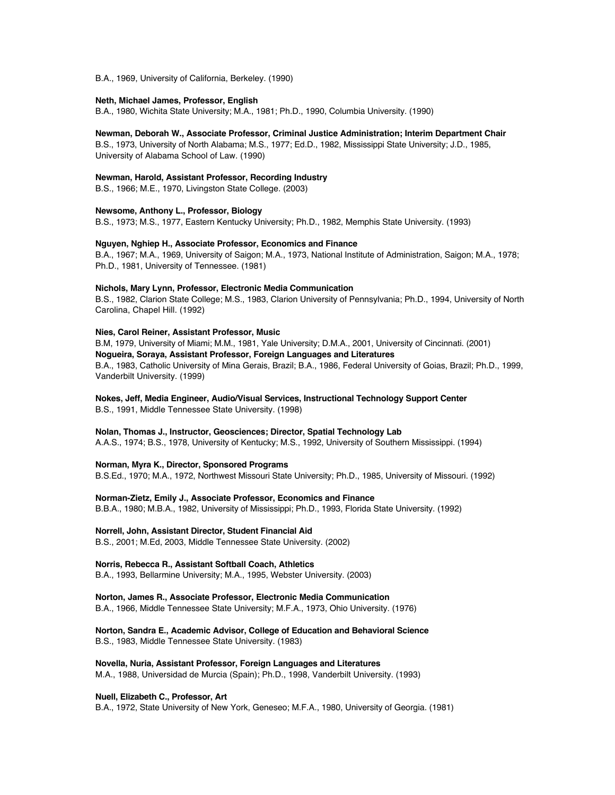B.A., 1969, University of California, Berkeley. (1990)

## **Neth, Michael James, Professor, English**

B.A., 1980, Wichita State University; M.A., 1981; Ph.D., 1990, Columbia University. (1990)

## **Newman, Deborah W., Associate Professor, Criminal Justice Administration; Interim Department Chair**

B.S., 1973, University of North Alabama; M.S., 1977; Ed.D., 1982, Mississippi State University; J.D., 1985, University of Alabama School of Law. (1990)

#### **Newman, Harold, Assistant Professor, Recording Industry**

B.S., 1966; M.E., 1970, Livingston State College. (2003)

#### **Newsome, Anthony L., Professor, Biology**

B.S., 1973; M.S., 1977, Eastern Kentucky University; Ph.D., 1982, Memphis State University. (1993)

#### **Nguyen, Nghiep H., Associate Professor, Economics and Finance**

B.A., 1967; M.A., 1969, University of Saigon; M.A., 1973, National Institute of Administration, Saigon; M.A., 1978; Ph.D., 1981, University of Tennessee. (1981)

#### **Nichols, Mary Lynn, Professor, Electronic Media Communication**

B.S., 1982, Clarion State College; M.S., 1983, Clarion University of Pennsylvania; Ph.D., 1994, University of North Carolina, Chapel Hill. (1992)

## **Nies, Carol Reiner, Assistant Professor, Music**

B.M, 1979, University of Miami; M.M., 1981, Yale University; D.M.A., 2001, University of Cincinnati. (2001) **Nogueira, Soraya, Assistant Professor, Foreign Languages and Literatures** B.A., 1983, Catholic University of Mina Gerais, Brazil; B.A., 1986, Federal University of Goias, Brazil; Ph.D., 1999, Vanderbilt University. (1999)

# **Nokes, Jeff, Media Engineer, Audio/Visual Services, Instructional Technology Support Center**

B.S., 1991, Middle Tennessee State University. (1998)

#### **Nolan, Thomas J., Instructor, Geosciences; Director, Spatial Technology Lab**

A.A.S., 1974; B.S., 1978, University of Kentucky; M.S., 1992, University of Southern Mississippi. (1994)

## **Norman, Myra K., Director, Sponsored Programs**

B.S.Ed., 1970; M.A., 1972, Northwest Missouri State University; Ph.D., 1985, University of Missouri. (1992)

## **Norman-Zietz, Emily J., Associate Professor, Economics and Finance**

B.B.A., 1980; M.B.A., 1982, University of Mississippi; Ph.D., 1993, Florida State University. (1992)

## **Norrell, John, Assistant Director, Student Financial Aid**

B.S., 2001; M.Ed, 2003, Middle Tennessee State University. (2002)

# **Norris, Rebecca R., Assistant Softball Coach, Athletics**

B.A., 1993, Bellarmine University; M.A., 1995, Webster University. (2003)

#### **Norton, James R., Associate Professor, Electronic Media Communication**

B.A., 1966, Middle Tennessee State University; M.F.A., 1973, Ohio University. (1976)

## **Norton, Sandra E., Academic Advisor, College of Education and Behavioral Science** B.S., 1983, Middle Tennessee State University. (1983)

**Novella, Nuria, Assistant Professor, Foreign Languages and Literatures**

# M.A., 1988, Universidad de Murcia (Spain); Ph.D., 1998, Vanderbilt University. (1993)

# **Nuell, Elizabeth C., Professor, Art**

B.A., 1972, State University of New York, Geneseo; M.F.A., 1980, University of Georgia. (1981)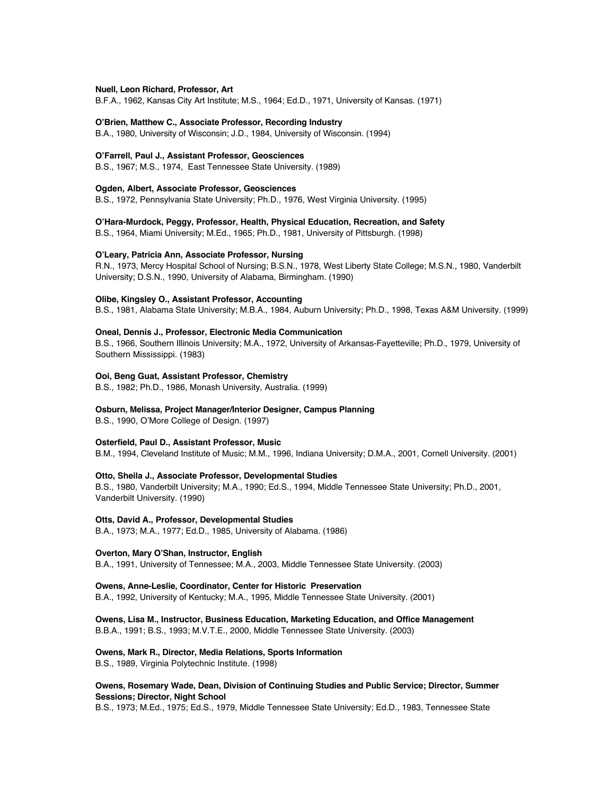#### **Nuell, Leon Richard, Professor, Art**

B.F.A., 1962, Kansas City Art Institute; M.S., 1964; Ed.D., 1971, University of Kansas. (1971)

#### **O'Brien, Matthew C., Associate Professor, Recording Industry**

B.A., 1980, University of Wisconsin; J.D., 1984, University of Wisconsin. (1994)

#### **O'Farrell, Paul J., Assistant Professor, Geosciences**

B.S., 1967; M.S., 1974, East Tennessee State University. (1989)

#### **Ogden, Albert, Associate Professor, Geosciences**

B.S., 1972, Pennsylvania State University; Ph.D., 1976, West Virginia University. (1995)

#### **O'Hara-Murdock, Peggy, Professor, Health, Physical Education, Recreation, and Safety**

B.S., 1964, Miami University; M.Ed., 1965; Ph.D., 1981, University of Pittsburgh. (1998)

#### **O'Leary, Patricia Ann, Associate Professor, Nursing**

R.N., 1973, Mercy Hospital School of Nursing; B.S.N., 1978, West Liberty State College; M.S.N., 1980, Vanderbilt University; D.S.N., 1990, University of Alabama, Birmingham. (1990)

#### **Olibe, Kingsley O., Assistant Professor, Accounting**

B.S., 1981, Alabama State University; M.B.A., 1984, Auburn University; Ph.D., 1998, Texas A&M University. (1999)

## **Oneal, Dennis J., Professor, Electronic Media Communication**

B.S., 1966, Southern Illinois University; M.A., 1972, University of Arkansas-Fayetteville; Ph.D., 1979, University of Southern Mississippi. (1983)

#### **Ooi, Beng Guat, Assistant Professor, Chemistry**

B.S., 1982; Ph.D., 1986, Monash University, Australia. (1999)

#### **Osburn, Melissa, Project Manager/Interior Designer, Campus Planning**

B.S., 1990, O'More College of Design. (1997)

#### **Osterfield, Paul D., Assistant Professor, Music**

B.M., 1994, Cleveland Institute of Music; M.M., 1996, Indiana University; D.M.A., 2001, Cornell University. (2001)

#### **Otto, Sheila J., Associate Professor, Developmental Studies**

B.S., 1980, Vanderbilt University; M.A., 1990; Ed.S., 1994, Middle Tennessee State University; Ph.D., 2001, Vanderbilt University. (1990)

# **Otts, David A., Professor, Developmental Studies**

B.A., 1973; M.A., 1977; Ed.D., 1985, University of Alabama. (1986)

## **Overton, Mary O'Shan, Instructor, English**

B.A., 1991, University of Tennessee; M.A., 2003, Middle Tennessee State University. (2003)

#### **Owens, Anne-Leslie, Coordinator, Center for Historic Preservation**

B.A., 1992, University of Kentucky; M.A., 1995, Middle Tennessee State University. (2001)

# **Owens, Lisa M., Instructor, Business Education, Marketing Education, and Office Management**

B.B.A., 1991; B.S., 1993; M.V.T.E., 2000, Middle Tennessee State University. (2003)

#### **Owens, Mark R., Director, Media Relations, Sports Information**

B.S., 1989, Virginia Polytechnic Institute. (1998)

## **Owens, Rosemary Wade, Dean, Division of Continuing Studies and Public Service; Director, Summer Sessions; Director, Night School**

B.S., 1973; M.Ed., 1975; Ed.S., 1979, Middle Tennessee State University; Ed.D., 1983, Tennessee State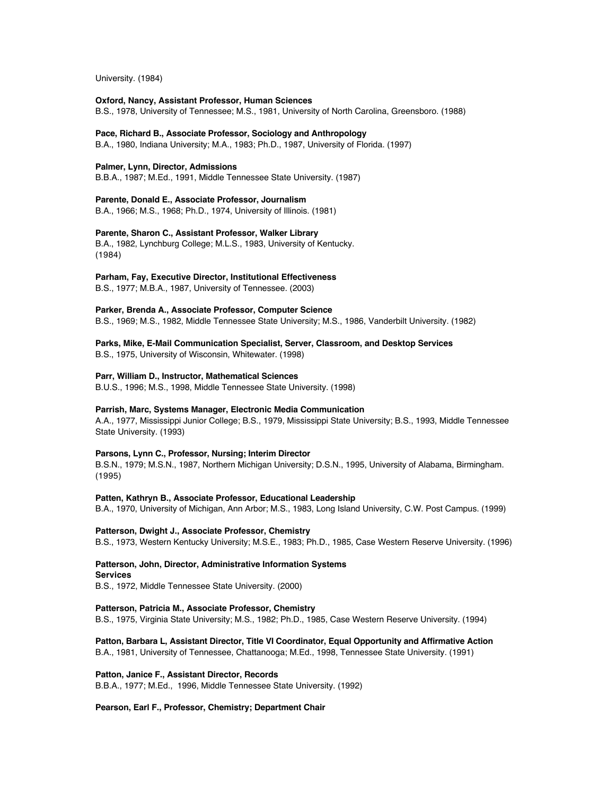University. (1984)

## **Oxford, Nancy, Assistant Professor, Human Sciences**

B.S., 1978, University of Tennessee; M.S., 1981, University of North Carolina, Greensboro. (1988)

# **Pace, Richard B., Associate Professor, Sociology and Anthropology**

B.A., 1980, Indiana University; M.A., 1983; Ph.D., 1987, University of Florida. (1997)

## **Palmer, Lynn, Director, Admissions**

B.B.A., 1987; M.Ed., 1991, Middle Tennessee State University. (1987)

# **Parente, Donald E., Associate Professor, Journalism**

B.A., 1966; M.S., 1968; Ph.D., 1974, University of Illinois. (1981)

## **Parente, Sharon C., Assistant Professor, Walker Library**

B.A., 1982, Lynchburg College; M.L.S., 1983, University of Kentucky. (1984)

#### **Parham, Fay, Executive Director, Institutional Effectiveness**

B.S., 1977; M.B.A., 1987, University of Tennessee. (2003)

#### **Parker, Brenda A., Associate Professor, Computer Science**

B.S., 1969; M.S., 1982, Middle Tennessee State University; M.S., 1986, Vanderbilt University. (1982)

## **Parks, Mike, E-Mail Communication Specialist, Server, Classroom, and Desktop Services**

B.S., 1975, University of Wisconsin, Whitewater. (1998)

#### **Parr, William D., Instructor, Mathematical Sciences**

B.U.S., 1996; M.S., 1998, Middle Tennessee State University. (1998)

## **Parrish, Marc, Systems Manager, Electronic Media Communication**

A.A., 1977, Mississippi Junior College; B.S., 1979, Mississippi State University; B.S., 1993, Middle Tennessee State University. (1993)

## **Parsons, Lynn C., Professor, Nursing; Interim Director**

B.S.N., 1979; M.S.N., 1987, Northern Michigan University; D.S.N., 1995, University of Alabama, Birmingham. (1995)

## **Patten, Kathryn B., Associate Professor, Educational Leadership**

B.A., 1970, University of Michigan, Ann Arbor; M.S., 1983, Long Island University, C.W. Post Campus. (1999)

## **Patterson, Dwight J., Associate Professor, Chemistry**

B.S., 1973, Western Kentucky University; M.S.E., 1983; Ph.D., 1985, Case Western Reserve University. (1996)

## **Patterson, John, Director, Administrative Information Systems**

## **Services**

B.S., 1972, Middle Tennessee State University. (2000)

## **Patterson, Patricia M., Associate Professor, Chemistry**

B.S., 1975, Virginia State University; M.S., 1982; Ph.D., 1985, Case Western Reserve University. (1994)

## **Patton, Barbara L, Assistant Director, Title VI Coordinator, Equal Opportunity and Affirmative Action** B.A., 1981, University of Tennessee, Chattanooga; M.Ed., 1998, Tennessee State University. (1991)

## **Patton, Janice F., Assistant Director, Records**

B.B.A., 1977; M.Ed., 1996, Middle Tennessee State University. (1992)

## **Pearson, Earl F., Professor, Chemistry; Department Chair**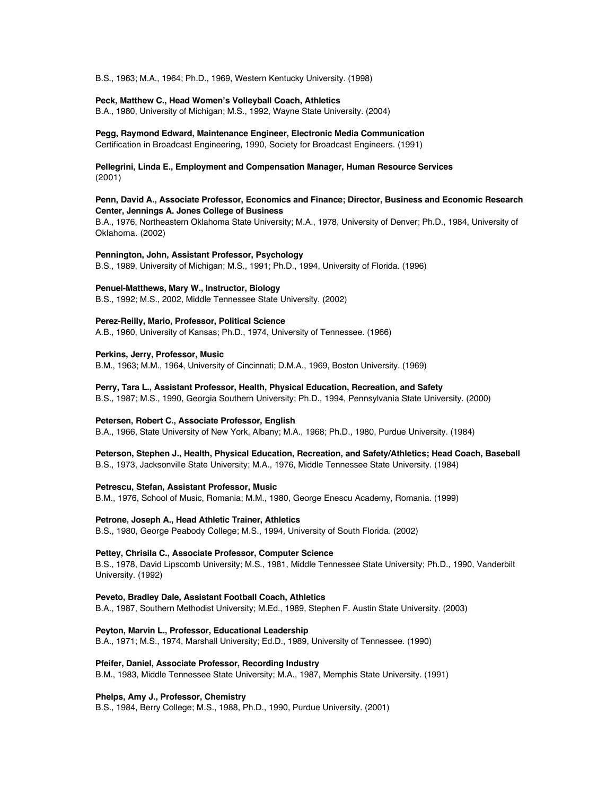B.S., 1963; M.A., 1964; Ph.D., 1969, Western Kentucky University. (1998)

## **Peck, Matthew C., Head Women's Volleyball Coach, Athletics**

B.A., 1980, University of Michigan; M.S., 1992, Wayne State University. (2004)

## **Pegg, Raymond Edward, Maintenance Engineer, Electronic Media Communication**

Certification in Broadcast Engineering, 1990, Society for Broadcast Engineers. (1991)

## **Pellegrini, Linda E., Employment and Compensation Manager, Human Resource Services** (2001)

## **Penn, David A., Associate Professor, Economics and Finance; Director, Business and Economic Research Center, Jennings A. Jones College of Business**

B.A., 1976, Northeastern Oklahoma State University; M.A., 1978, University of Denver; Ph.D., 1984, University of Oklahoma. (2002)

## **Pennington, John, Assistant Professor, Psychology**

B.S., 1989, University of Michigan; M.S., 1991; Ph.D., 1994, University of Florida. (1996)

#### **Penuel-Matthews, Mary W., Instructor, Biology**

B.S., 1992; M.S., 2002, Middle Tennessee State University. (2002)

## **Perez-Reilly, Mario, Professor, Political Science**

A.B., 1960, University of Kansas; Ph.D., 1974, University of Tennessee. (1966)

### **Perkins, Jerry, Professor, Music**

B.M., 1963; M.M., 1964, University of Cincinnati; D.M.A., 1969, Boston University. (1969)

## **Perry, Tara L., Assistant Professor, Health, Physical Education, Recreation, and Safety**

B.S., 1987; M.S., 1990, Georgia Southern University; Ph.D., 1994, Pennsylvania State University. (2000)

#### **Petersen, Robert C., Associate Professor, English**

B.A., 1966, State University of New York, Albany; M.A., 1968; Ph.D., 1980, Purdue University. (1984)

## **Peterson, Stephen J., Health, Physical Education, Recreation, and Safety/Athletics; Head Coach, Baseball**

B.S., 1973, Jacksonville State University; M.A., 1976, Middle Tennessee State University. (1984)

#### **Petrescu, Stefan, Assistant Professor, Music**

B.M., 1976, School of Music, Romania; M.M., 1980, George Enescu Academy, Romania. (1999)

#### **Petrone, Joseph A., Head Athletic Trainer, Athletics**

B.S., 1980, George Peabody College; M.S., 1994, University of South Florida. (2002)

### **Pettey, Chrisila C., Associate Professor, Computer Science**

B.S., 1978, David Lipscomb University; M.S., 1981, Middle Tennessee State University; Ph.D., 1990, Vanderbilt University. (1992)

## **Peveto, Bradley Dale, Assistant Football Coach, Athletics**

B.A., 1987, Southern Methodist University; M.Ed., 1989, Stephen F. Austin State University. (2003)

## **Peyton, Marvin L., Professor, Educational Leadership**

B.A., 1971; M.S., 1974, Marshall University; Ed.D., 1989, University of Tennessee. (1990)

## **Pfeifer, Daniel, Associate Professor, Recording Industry**

B.M., 1983, Middle Tennessee State University; M.A., 1987, Memphis State University. (1991)

## **Phelps, Amy J., Professor, Chemistry**

B.S., 1984, Berry College; M.S., 1988, Ph.D., 1990, Purdue University. (2001)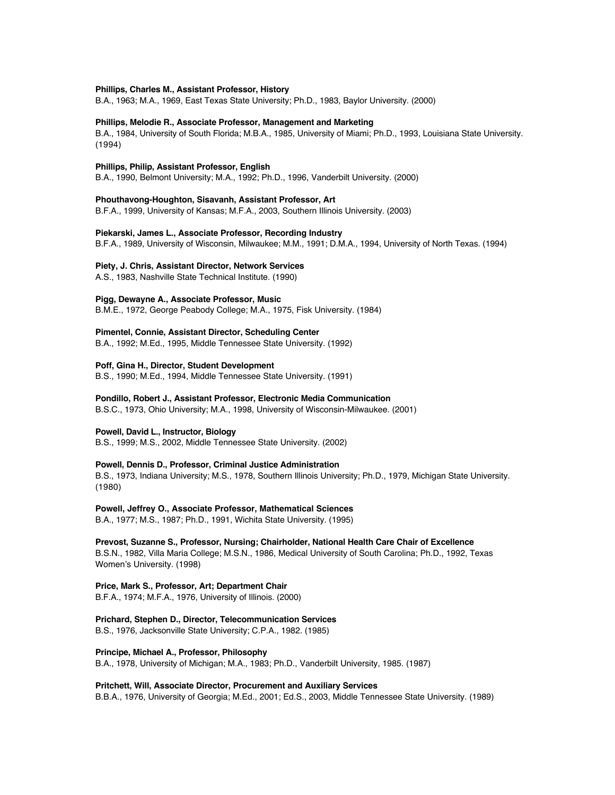#### **Phillips, Charles M., Assistant Professor, History**

B.A., 1963; M.A., 1969, East Texas State University; Ph.D., 1983, Baylor University. (2000)

## **Phillips, Melodie R., Associate Professor, Management and Marketing**

B.A., 1984, University of South Florida; M.B.A., 1985, University of Miami; Ph.D., 1993, Louisiana State University. (1994)

## **Phillips, Philip, Assistant Professor, English**

B.A., 1990, Belmont University; M.A., 1992; Ph.D., 1996, Vanderbilt University. (2000)

# **Phouthavong-Houghton, Sisavanh, Assistant Professor, Art**

B.F.A., 1999, University of Kansas; M.F.A., 2003, Southern Illinois University. (2003)

## **Piekarski, James L., Associate Professor, Recording Industry**

B.F.A., 1989, University of Wisconsin, Milwaukee; M.M., 1991; D.M.A., 1994, University of North Texas. (1994)

#### **Piety, J. Chris, Assistant Director, Network Services**

A.S., 1983, Nashville State Technical Institute. (1990)

## **Pigg, Dewayne A., Associate Professor, Music**

B.M.E., 1972, George Peabody College; M.A., 1975, Fisk University. (1984)

# **Pimentel, Connie, Assistant Director, Scheduling Center**

B.A., 1992; M.Ed., 1995, Middle Tennessee State University. (1992)

## **Poff, Gina H., Director, Student Development**

B.S., 1990; M.Ed., 1994, Middle Tennessee State University. (1991)

#### **Pondillo, Robert J., Assistant Professor, Electronic Media Communication**

B.S.C., 1973, Ohio University; M.A., 1998, University of Wisconsin-Milwaukee. (2001)

## **Powell, David L., Instructor, Biology**

B.S., 1999; M.S., 2002, Middle Tennessee State University. (2002)

#### **Powell, Dennis D., Professor, Criminal Justice Administration**

B.S., 1973, Indiana University; M.S., 1978, Southern Illinois University; Ph.D., 1979, Michigan State University. (1980)

#### **Powell, Jeffrey O., Associate Professor, Mathematical Sciences**

B.A., 1977; M.S., 1987; Ph.D., 1991, Wichita State University. (1995)

**Prevost, Suzanne S., Professor, Nursing; Chairholder, National Health Care Chair of Excellence** B.S.N., 1982, Villa Maria College; M.S.N., 1986, Medical University of South Carolina; Ph.D., 1992, Texas Women's University. (1998)

#### **Price, Mark S., Professor, Art; Department Chair**

B.F.A., 1974; M.F.A., 1976, University of Illinois. (2000)

**Prichard, Stephen D., Director, Telecommunication Services** B.S., 1976, Jacksonville State University; C.P.A., 1982. (1985)

**Principe, Michael A., Professor, Philosophy** B.A., 1978, University of Michigan; M.A., 1983; Ph.D., Vanderbilt University, 1985. (1987)

#### **Pritchett, Will, Associate Director, Procurement and Auxiliary Services**

B.B.A., 1976, University of Georgia; M.Ed., 2001; Ed.S., 2003, Middle Tennessee State University. (1989)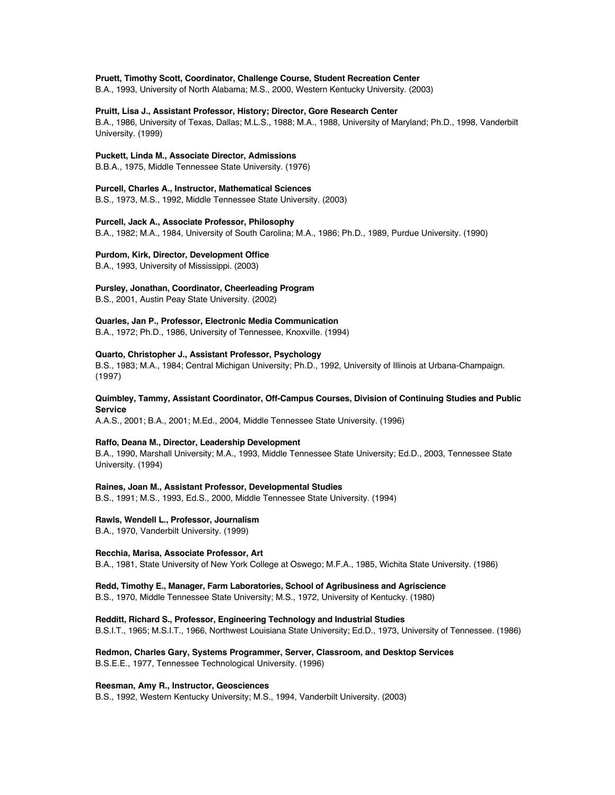## **Pruett, Timothy Scott, Coordinator, Challenge Course, Student Recreation Center**

B.A., 1993, University of North Alabama; M.S., 2000, Western Kentucky University. (2003)

## **Pruitt, Lisa J., Assistant Professor, History; Director, Gore Research Center**

B.A., 1986, University of Texas, Dallas; M.L.S., 1988; M.A., 1988, University of Maryland; Ph.D., 1998, Vanderbilt University. (1999)

#### **Puckett, Linda M., Associate Director, Admissions**

B.B.A., 1975, Middle Tennessee State University. (1976)

#### **Purcell, Charles A., Instructor, Mathematical Sciences**

B.S., 1973, M.S., 1992, Middle Tennessee State University. (2003)

## **Purcell, Jack A., Associate Professor, Philosophy**

B.A., 1982; M.A., 1984, University of South Carolina; M.A., 1986; Ph.D., 1989, Purdue University. (1990)

### **Purdom, Kirk, Director, Development Office**

B.A., 1993, University of Mississippi. (2003)

## **Pursley, Jonathan, Coordinator, Cheerleading Program**

B.S., 2001, Austin Peay State University. (2002)

## **Quarles, Jan P., Professor, Electronic Media Communication**

B.A., 1972; Ph.D., 1986, University of Tennessee, Knoxville. (1994)

#### **Quarto, Christopher J., Assistant Professor, Psychology**

B.S., 1983; M.A., 1984; Central Michigan University; Ph.D., 1992, University of Illinois at Urbana-Champaign. (1997)

## **Quimbley, Tammy, Assistant Coordinator, Off-Campus Courses, Division of Continuing Studies and Public Service**

A.A.S., 2001; B.A., 2001; M.Ed., 2004, Middle Tennessee State University. (1996)

#### **Raffo, Deana M., Director, Leadership Development**

B.A., 1990, Marshall University; M.A., 1993, Middle Tennessee State University; Ed.D., 2003, Tennessee State University. (1994)

#### **Raines, Joan M., Assistant Professor, Developmental Studies**

B.S., 1991; M.S., 1993, Ed.S., 2000, Middle Tennessee State University. (1994)

#### **Rawls, Wendell L., Professor, Journalism**

B.A., 1970, Vanderbilt University. (1999)

## **Recchia, Marisa, Associate Professor, Art**

B.A., 1981, State University of New York College at Oswego; M.F.A., 1985, Wichita State University. (1986)

#### **Redd, Timothy E., Manager, Farm Laboratories, School of Agribusiness and Agriscience**

B.S., 1970, Middle Tennessee State University; M.S., 1972, University of Kentucky. (1980)

**Redditt, Richard S., Professor, Engineering Technology and Industrial Studies**

B.S.I.T., 1965; M.S.I.T., 1966, Northwest Louisiana State University; Ed.D., 1973, University of Tennessee. (1986)

**Redmon, Charles Gary, Systems Programmer, Server, Classroom, and Desktop Services** B.S.E.E., 1977, Tennessee Technological University. (1996)

#### **Reesman, Amy R., Instructor, Geosciences**

B.S., 1992, Western Kentucky University; M.S., 1994, Vanderbilt University. (2003)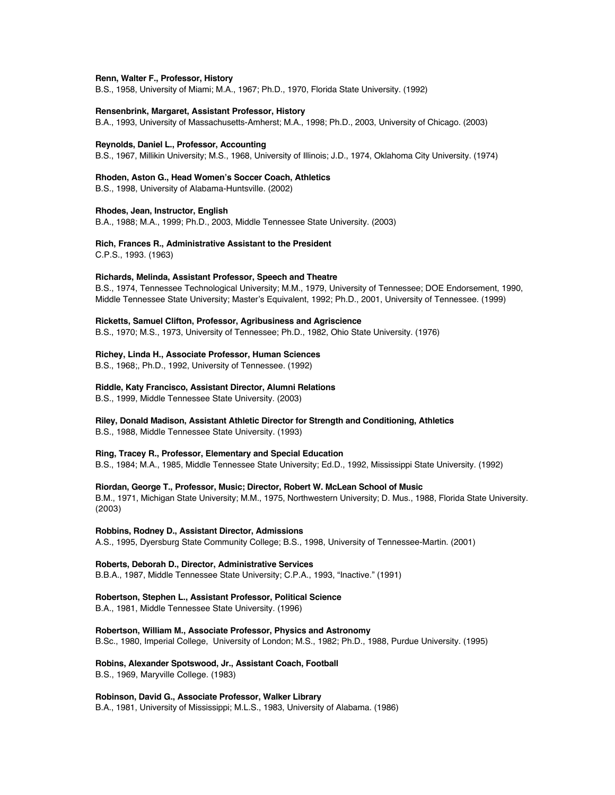#### **Renn, Walter F., Professor, History**

B.S., 1958, University of Miami; M.A., 1967; Ph.D., 1970, Florida State University. (1992)

#### **Rensenbrink, Margaret, Assistant Professor, History**

B.A., 1993, University of Massachusetts-Amherst; M.A., 1998; Ph.D., 2003, University of Chicago. (2003)

#### **Reynolds, Daniel L., Professor, Accounting**

B.S., 1967, Millikin University; M.S., 1968, University of Illinois; J.D., 1974, Oklahoma City University. (1974)

#### **Rhoden, Aston G., Head Women's Soccer Coach, Athletics**

B.S., 1998, University of Alabama-Huntsville. (2002)

#### **Rhodes, Jean, Instructor, English**

B.A., 1988; M.A., 1999; Ph.D., 2003, Middle Tennessee State University. (2003)

# **Rich, Frances R., Administrative Assistant to the President**

C.P.S., 1993. (1963)

#### **Richards, Melinda, Assistant Professor, Speech and Theatre**

B.S., 1974, Tennessee Technological University; M.M., 1979, University of Tennessee; DOE Endorsement, 1990, Middle Tennessee State University; Master's Equivalent, 1992; Ph.D., 2001, University of Tennessee. (1999)

#### **Ricketts, Samuel Clifton, Professor, Agribusiness and Agriscience**

B.S., 1970; M.S., 1973, University of Tennessee; Ph.D., 1982, Ohio State University. (1976)

### **Richey, Linda H., Associate Professor, Human Sciences**

B.S., 1968;, Ph.D., 1992, University of Tennessee. (1992)

#### **Riddle, Katy Francisco, Assistant Director, Alumni Relations**

B.S., 1999, Middle Tennessee State University. (2003)

## **Riley, Donald Madison, Assistant Athletic Director for Strength and Conditioning, Athletics**

B.S., 1988, Middle Tennessee State University. (1993)

## **Ring, Tracey R., Professor, Elementary and Special Education**

B.S., 1984; M.A., 1985, Middle Tennessee State University; Ed.D., 1992, Mississippi State University. (1992)

## **Riordan, George T., Professor, Music; Director, Robert W. McLean School of Music**

B.M., 1971, Michigan State University; M.M., 1975, Northwestern University; D. Mus., 1988, Florida State University. (2003)

## **Robbins, Rodney D., Assistant Director, Admissions**

A.S., 1995, Dyersburg State Community College; B.S., 1998, University of Tennessee-Martin. (2001)

## **Roberts, Deborah D., Director, Administrative Services**

B.B.A., 1987, Middle Tennessee State University; C.P.A., 1993, "Inactive." (1991)

#### **Robertson, Stephen L., Assistant Professor, Political Science**

B.A., 1981, Middle Tennessee State University. (1996)

## **Robertson, William M., Associate Professor, Physics and Astronomy**

B.Sc., 1980, Imperial College, University of London; M.S., 1982; Ph.D., 1988, Purdue University. (1995)

#### **Robins, Alexander Spotswood, Jr., Assistant Coach, Football**

B.S., 1969, Maryville College. (1983)

# **Robinson, David G., Associate Professor, Walker Library**

B.A., 1981, University of Mississippi; M.L.S., 1983, University of Alabama. (1986)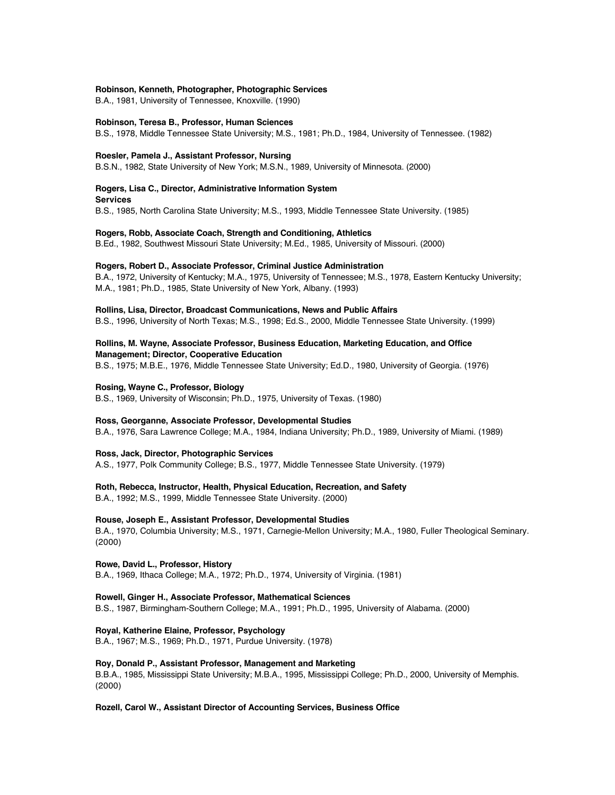#### **Robinson, Kenneth, Photographer, Photographic Services**

B.A., 1981, University of Tennessee, Knoxville. (1990)

#### **Robinson, Teresa B., Professor, Human Sciences**

B.S., 1978, Middle Tennessee State University; M.S., 1981; Ph.D., 1984, University of Tennessee. (1982)

#### **Roesler, Pamela J., Assistant Professor, Nursing**

**Services**

B.S.N., 1982, State University of New York; M.S.N., 1989, University of Minnesota. (2000)

# **Rogers, Lisa C., Director, Administrative Information System**

B.S., 1985, North Carolina State University; M.S., 1993, Middle Tennessee State University. (1985)

## **Rogers, Robb, Associate Coach, Strength and Conditioning, Athletics**

B.Ed., 1982, Southwest Missouri State University; M.Ed., 1985, University of Missouri. (2000)

## **Rogers, Robert D., Associate Professor, Criminal Justice Administration**

B.A., 1972, University of Kentucky; M.A., 1975, University of Tennessee; M.S., 1978, Eastern Kentucky University; M.A., 1981; Ph.D., 1985, State University of New York, Albany. (1993)

#### **Rollins, Lisa, Director, Broadcast Communications, News and Public Affairs**

B.S., 1996, University of North Texas; M.S., 1998; Ed.S., 2000, Middle Tennessee State University. (1999)

## **Rollins, M. Wayne, Associate Professor, Business Education, Marketing Education, and Office Management; Director, Cooperative Education**

B.S., 1975; M.B.E., 1976, Middle Tennessee State University; Ed.D., 1980, University of Georgia. (1976)

#### **Rosing, Wayne C., Professor, Biology**

B.S., 1969, University of Wisconsin; Ph.D., 1975, University of Texas. (1980)

#### **Ross, Georganne, Associate Professor, Developmental Studies**

B.A., 1976, Sara Lawrence College; M.A., 1984, Indiana University; Ph.D., 1989, University of Miami. (1989)

### **Ross, Jack, Director, Photographic Services**

A.S., 1977, Polk Community College; B.S., 1977, Middle Tennessee State University. (1979)

## **Roth, Rebecca, Instructor, Health, Physical Education, Recreation, and Safety**

B.A., 1992; M.S., 1999, Middle Tennessee State University. (2000)

#### **Rouse, Joseph E., Assistant Professor, Developmental Studies**

B.A., 1970, Columbia University; M.S., 1971, Carnegie-Mellon University; M.A., 1980, Fuller Theological Seminary. (2000)

## **Rowe, David L., Professor, History**

B.A., 1969, Ithaca College; M.A., 1972; Ph.D., 1974, University of Virginia. (1981)

## **Rowell, Ginger H., Associate Professor, Mathematical Sciences**

B.S., 1987, Birmingham-Southern College; M.A., 1991; Ph.D., 1995, University of Alabama. (2000)

## **Royal, Katherine Elaine, Professor, Psychology**

B.A., 1967; M.S., 1969; Ph.D., 1971, Purdue University. (1978)

#### **Roy, Donald P., Assistant Professor, Management and Marketing**

B.B.A., 1985, Mississippi State University; M.B.A., 1995, Mississippi College; Ph.D., 2000, University of Memphis. (2000)

#### **Rozell, Carol W., Assistant Director of Accounting Services, Business Office**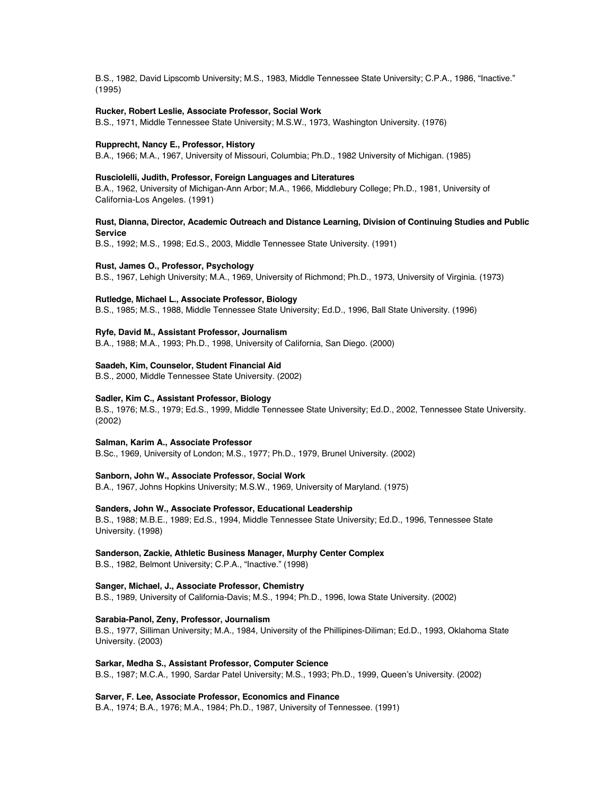B.S., 1982, David Lipscomb University; M.S., 1983, Middle Tennessee State University; C.P.A., 1986, "Inactive." (1995)

#### **Rucker, Robert Leslie, Associate Professor, Social Work**

B.S., 1971, Middle Tennessee State University; M.S.W., 1973, Washington University. (1976)

#### **Rupprecht, Nancy E., Professor, History**

B.A., 1966; M.A., 1967, University of Missouri, Columbia; Ph.D., 1982 University of Michigan. (1985)

#### **Rusciolelli, Judith, Professor, Foreign Languages and Literatures**

B.A., 1962, University of Michigan-Ann Arbor; M.A., 1966, Middlebury College; Ph.D., 1981, University of California-Los Angeles. (1991)

## **Rust, Dianna, Director, Academic Outreach and Distance Learning, Division of Continuing Studies and Public Service**

B.S., 1992; M.S., 1998; Ed.S., 2003, Middle Tennessee State University. (1991)

#### **Rust, James O., Professor, Psychology**

B.S., 1967, Lehigh University; M.A., 1969, University of Richmond; Ph.D., 1973, University of Virginia. (1973)

## **Rutledge, Michael L., Associate Professor, Biology**

B.S., 1985; M.S., 1988, Middle Tennessee State University; Ed.D., 1996, Ball State University. (1996)

#### **Ryfe, David M., Assistant Professor, Journalism**

B.A., 1988; M.A., 1993; Ph.D., 1998, University of California, San Diego. (2000)

## **Saadeh, Kim, Counselor, Student Financial Aid**

B.S., 2000, Middle Tennessee State University. (2002)

## **Sadler, Kim C., Assistant Professor, Biology**

B.S., 1976; M.S., 1979; Ed.S., 1999, Middle Tennessee State University; Ed.D., 2002, Tennessee State University. (2002)

#### **Salman, Karim A., Associate Professor**

B.Sc., 1969, University of London; M.S., 1977; Ph.D., 1979, Brunel University. (2002)

#### **Sanborn, John W., Associate Professor, Social Work**

B.A., 1967, Johns Hopkins University; M.S.W., 1969, University of Maryland. (1975)

## **Sanders, John W., Associate Professor, Educational Leadership**

B.S., 1988; M.B.E., 1989; Ed.S., 1994, Middle Tennessee State University; Ed.D., 1996, Tennessee State University. (1998)

## **Sanderson, Zackie, Athletic Business Manager, Murphy Center Complex**

B.S., 1982, Belmont University; C.P.A., "Inactive." (1998)

## **Sanger, Michael, J., Associate Professor, Chemistry**

B.S., 1989, University of California-Davis; M.S., 1994; Ph.D., 1996, Iowa State University. (2002)

#### **Sarabia-Panol, Zeny, Professor, Journalism**

B.S., 1977, Silliman University; M.A., 1984, University of the Phillipines-Diliman; Ed.D., 1993, Oklahoma State University. (2003)

## **Sarkar, Medha S., Assistant Professor, Computer Science**

B.S., 1987; M.C.A., 1990, Sardar Patel University; M.S., 1993; Ph.D., 1999, Queen's University. (2002)

## **Sarver, F. Lee, Associate Professor, Economics and Finance**

B.A., 1974; B.A., 1976; M.A., 1984; Ph.D., 1987, University of Tennessee. (1991)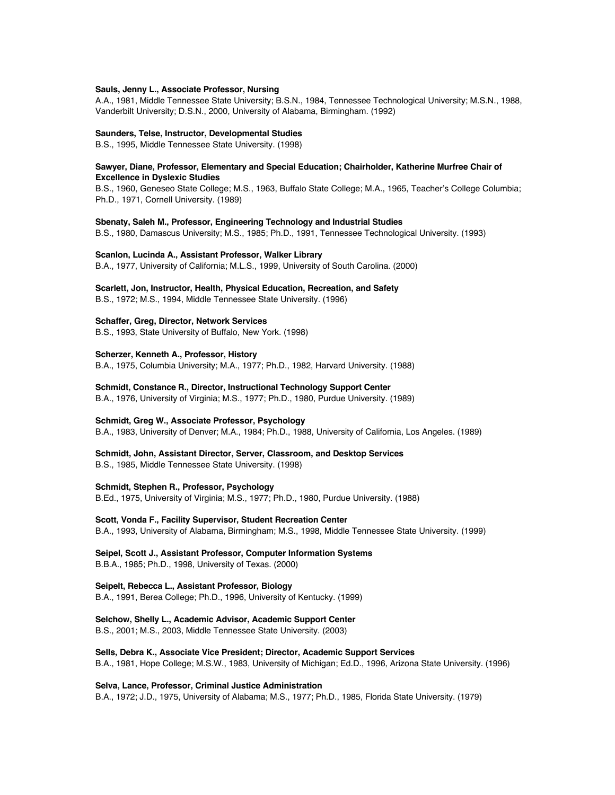#### **Sauls, Jenny L., Associate Professor, Nursing**

A.A., 1981, Middle Tennessee State University; B.S.N., 1984, Tennessee Technological University; M.S.N., 1988, Vanderbilt University; D.S.N., 2000, University of Alabama, Birmingham. (1992)

#### **Saunders, Telse, Instructor, Developmental Studies**

B.S., 1995, Middle Tennessee State University. (1998)

## **Sawyer, Diane, Professor, Elementary and Special Education; Chairholder, Katherine Murfree Chair of Excellence in Dyslexic Studies**

B.S., 1960, Geneseo State College; M.S., 1963, Buffalo State College; M.A., 1965, Teacher's College Columbia; Ph.D., 1971, Cornell University. (1989)

#### **Sbenaty, Saleh M., Professor, Engineering Technology and Industrial Studies**

B.S., 1980, Damascus University; M.S., 1985; Ph.D., 1991, Tennessee Technological University. (1993)

#### **Scanlon, Lucinda A., Assistant Professor, Walker Library**

B.A., 1977, University of California; M.L.S., 1999, University of South Carolina. (2000)

#### **Scarlett, Jon, Instructor, Health, Physical Education, Recreation, and Safety**

B.S., 1972; M.S., 1994, Middle Tennessee State University. (1996)

## **Schaffer, Greg, Director, Network Services**

B.S., 1993, State University of Buffalo, New York. (1998)

#### **Scherzer, Kenneth A., Professor, History**

B.A., 1975, Columbia University; M.A., 1977; Ph.D., 1982, Harvard University. (1988)

**Schmidt, Constance R., Director, Instructional Technology Support Center**

B.A., 1976, University of Virginia; M.S., 1977; Ph.D., 1980, Purdue University. (1989)

## **Schmidt, Greg W., Associate Professor, Psychology**

B.A., 1983, University of Denver; M.A., 1984; Ph.D., 1988, University of California, Los Angeles. (1989)

### **Schmidt, John, Assistant Director, Server, Classroom, and Desktop Services**

B.S., 1985, Middle Tennessee State University. (1998)

#### **Schmidt, Stephen R., Professor, Psychology**

B.Ed., 1975, University of Virginia; M.S., 1977; Ph.D., 1980, Purdue University. (1988)

**Scott, Vonda F., Facility Supervisor, Student Recreation Center** B.A., 1993, University of Alabama, Birmingham; M.S., 1998, Middle Tennessee State University. (1999)

#### **Seipel, Scott J., Assistant Professor, Computer Information Systems**

B.B.A., 1985; Ph.D., 1998, University of Texas. (2000)

#### **Seipelt, Rebecca L., Assistant Professor, Biology**

B.A., 1991, Berea College; Ph.D., 1996, University of Kentucky. (1999)

**Selchow, Shelly L., Academic Advisor, Academic Support Center**

B.S., 2001; M.S., 2003, Middle Tennessee State University. (2003)

## **Sells, Debra K., Associate Vice President; Director, Academic Support Services** B.A., 1981, Hope College; M.S.W., 1983, University of Michigan; Ed.D., 1996, Arizona State University. (1996)

#### **Selva, Lance, Professor, Criminal Justice Administration**

B.A., 1972; J.D., 1975, University of Alabama; M.S., 1977; Ph.D., 1985, Florida State University. (1979)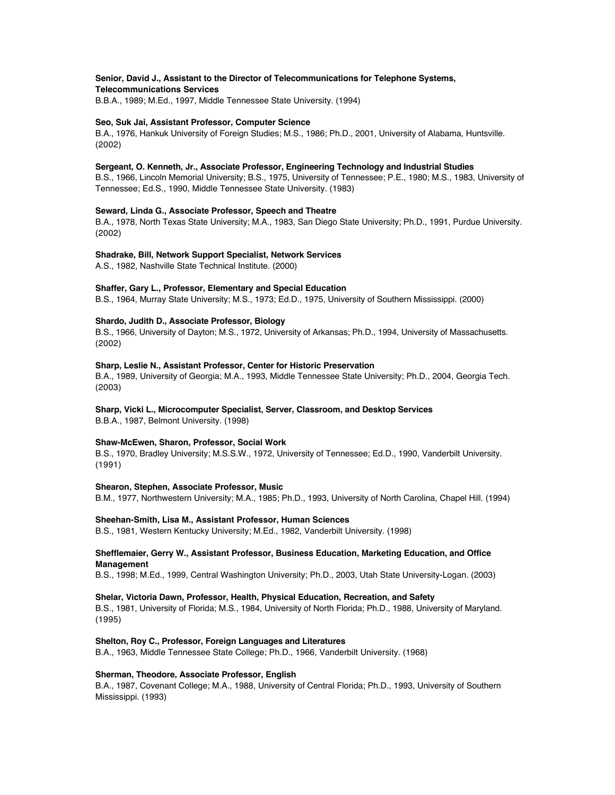## **Senior, David J., Assistant to the Director of Telecommunications for Telephone Systems, Telecommunications Services**

B.B.A., 1989; M.Ed., 1997, Middle Tennessee State University. (1994)

## **Seo, Suk Jai, Assistant Professor, Computer Science**

B.A., 1976, Hankuk University of Foreign Studies; M.S., 1986; Ph.D., 2001, University of Alabama, Huntsville. (2002)

## **Sergeant, O. Kenneth, Jr., Associate Professor, Engineering Technology and Industrial Studies**

B.S., 1966, Lincoln Memorial University; B.S., 1975, University of Tennessee; P.E., 1980; M.S., 1983, University of Tennessee; Ed.S., 1990, Middle Tennessee State University. (1983)

## **Seward, Linda G., Associate Professor, Speech and Theatre**

B.A., 1978, North Texas State University; M.A., 1983, San Diego State University; Ph.D., 1991, Purdue University. (2002)

## **Shadrake, Bill, Network Support Specialist, Network Services**

A.S., 1982, Nashville State Technical Institute. (2000)

## **Shaffer, Gary L., Professor, Elementary and Special Education**

B.S., 1964, Murray State University; M.S., 1973; Ed.D., 1975, University of Southern Mississippi. (2000)

## **Shardo, Judith D., Associate Professor, Biology**

B.S., 1966, University of Dayton; M.S., 1972, University of Arkansas; Ph.D., 1994, University of Massachusetts. (2002)

## **Sharp, Leslie N., Assistant Professor, Center for Historic Preservation**

B.A., 1989, University of Georgia; M.A., 1993, Middle Tennessee State University; Ph.D., 2004, Georgia Tech. (2003)

## **Sharp, Vicki L., Microcomputer Specialist, Server, Classroom, and Desktop Services**

B.B.A., 1987, Belmont University. (1998)

## **Shaw-McEwen, Sharon, Professor, Social Work**

B.S., 1970, Bradley University; M.S.S.W., 1972, University of Tennessee; Ed.D., 1990, Vanderbilt University. (1991)

## **Shearon, Stephen, Associate Professor, Music**

B.M., 1977, Northwestern University; M.A., 1985; Ph.D., 1993, University of North Carolina, Chapel Hill. (1994)

## **Sheehan-Smith, Lisa M., Assistant Professor, Human Sciences**

B.S., 1981, Western Kentucky University; M.Ed., 1982, Vanderbilt University. (1998)

## **Shefflemaier, Gerry W., Assistant Professor, Business Education, Marketing Education, and Office Management**

B.S., 1998; M.Ed., 1999, Central Washington University; Ph.D., 2003, Utah State University-Logan. (2003)

## **Shelar, Victoria Dawn, Professor, Health, Physical Education, Recreation, and Safety**

B.S., 1981, University of Florida; M.S., 1984, University of North Florida; Ph.D., 1988, University of Maryland. (1995)

## **Shelton, Roy C., Professor, Foreign Languages and Literatures**

B.A., 1963, Middle Tennessee State College; Ph.D., 1966, Vanderbilt University. (1968)

## **Sherman, Theodore, Associate Professor, English**

B.A., 1987, Covenant College; M.A., 1988, University of Central Florida; Ph.D., 1993, University of Southern Mississippi. (1993)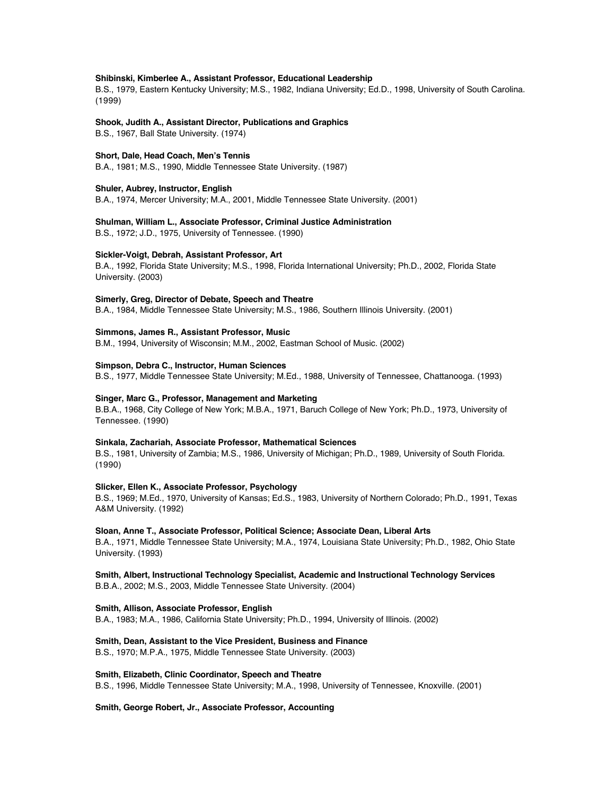#### **Shibinski, Kimberlee A., Assistant Professor, Educational Leadership**

B.S., 1979, Eastern Kentucky University; M.S., 1982, Indiana University; Ed.D., 1998, University of South Carolina. (1999)

# **Shook, Judith A., Assistant Director, Publications and Graphics**

B.S., 1967, Ball State University. (1974)

#### **Short, Dale, Head Coach, Men's Tennis**

B.A., 1981; M.S., 1990, Middle Tennessee State University. (1987)

#### **Shuler, Aubrey, Instructor, English**

B.A., 1974, Mercer University; M.A., 2001, Middle Tennessee State University. (2001)

#### **Shulman, William L., Associate Professor, Criminal Justice Administration**

B.S., 1972; J.D., 1975, University of Tennessee. (1990)

#### **Sickler-Voigt, Debrah, Assistant Professor, Art**

B.A., 1992, Florida State University; M.S., 1998, Florida International University; Ph.D., 2002, Florida State University. (2003)

#### **Simerly, Greg, Director of Debate, Speech and Theatre**

B.A., 1984, Middle Tennessee State University; M.S., 1986, Southern Illinois University. (2001)

#### **Simmons, James R., Assistant Professor, Music**

B.M., 1994, University of Wisconsin; M.M., 2002, Eastman School of Music. (2002)

## **Simpson, Debra C., Instructor, Human Sciences**

B.S., 1977, Middle Tennessee State University; M.Ed., 1988, University of Tennessee, Chattanooga. (1993)

#### **Singer, Marc G., Professor, Management and Marketing**

B.B.A., 1968, City College of New York; M.B.A., 1971, Baruch College of New York; Ph.D., 1973, University of Tennessee. (1990)

#### **Sinkala, Zachariah, Associate Professor, Mathematical Sciences**

B.S., 1981, University of Zambia; M.S., 1986, University of Michigan; Ph.D., 1989, University of South Florida. (1990)

#### **Slicker, Ellen K., Associate Professor, Psychology**

B.S., 1969; M.Ed., 1970, University of Kansas; Ed.S., 1983, University of Northern Colorado; Ph.D., 1991, Texas A&M University. (1992)

## **Sloan, Anne T., Associate Professor, Political Science; Associate Dean, Liberal Arts**

B.A., 1971, Middle Tennessee State University; M.A., 1974, Louisiana State University; Ph.D., 1982, Ohio State University. (1993)

**Smith, Albert, Instructional Technology Specialist, Academic and Instructional Technology Services** B.B.A., 2002; M.S., 2003, Middle Tennessee State University. (2004)

#### **Smith, Allison, Associate Professor, English**

B.A., 1983; M.A., 1986, California State University; Ph.D., 1994, University of Illinois. (2002)

#### **Smith, Dean, Assistant to the Vice President, Business and Finance**

B.S., 1970; M.P.A., 1975, Middle Tennessee State University. (2003)

#### **Smith, Elizabeth, Clinic Coordinator, Speech and Theatre**

B.S., 1996, Middle Tennessee State University; M.A., 1998, University of Tennessee, Knoxville. (2001)

## **Smith, George Robert, Jr., Associate Professor, Accounting**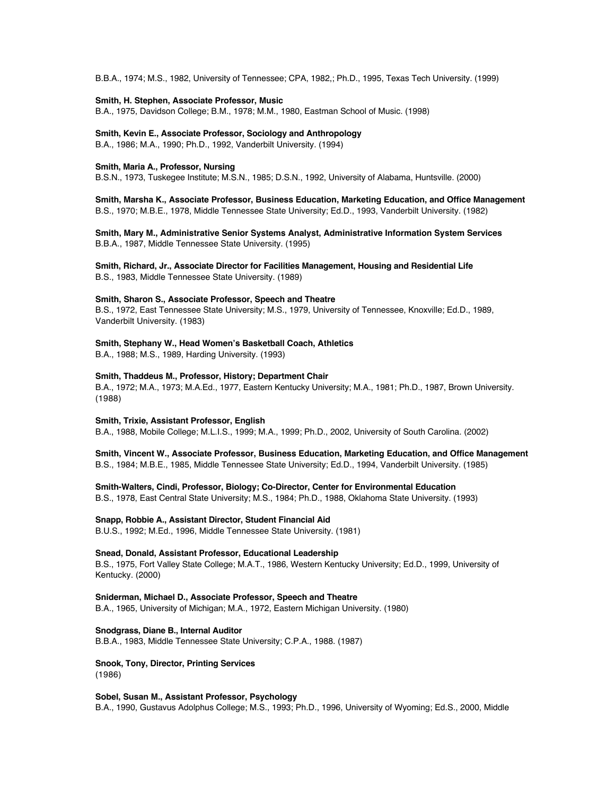B.B.A., 1974; M.S., 1982, University of Tennessee; CPA, 1982,; Ph.D., 1995, Texas Tech University. (1999)

#### **Smith, H. Stephen, Associate Professor, Music**

B.A., 1975, Davidson College; B.M., 1978; M.M., 1980, Eastman School of Music. (1998)

## **Smith, Kevin E., Associate Professor, Sociology and Anthropology**

B.A., 1986; M.A., 1990; Ph.D., 1992, Vanderbilt University. (1994)

## **Smith, Maria A., Professor, Nursing**

B.S.N., 1973, Tuskegee Institute; M.S.N., 1985; D.S.N., 1992, University of Alabama, Huntsville. (2000)

**Smith, Marsha K., Associate Professor, Business Education, Marketing Education, and Office Management** B.S., 1970; M.B.E., 1978, Middle Tennessee State University; Ed.D., 1993, Vanderbilt University. (1982)

## **Smith, Mary M., Administrative Senior Systems Analyst, Administrative Information System Services** B.B.A., 1987, Middle Tennessee State University. (1995)

**Smith, Richard, Jr., Associate Director for Facilities Management, Housing and Residential Life** B.S., 1983, Middle Tennessee State University. (1989)

#### **Smith, Sharon S., Associate Professor, Speech and Theatre**

B.S., 1972, East Tennessee State University; M.S., 1979, University of Tennessee, Knoxville; Ed.D., 1989, Vanderbilt University. (1983)

#### **Smith, Stephany W., Head Women's Basketball Coach, Athletics**

B.A., 1988; M.S., 1989, Harding University. (1993)

## **Smith, Thaddeus M., Professor, History; Department Chair**

B.A., 1972; M.A., 1973; M.A.Ed., 1977, Eastern Kentucky University; M.A., 1981; Ph.D., 1987, Brown University. (1988)

#### **Smith, Trixie, Assistant Professor, English**

B.A., 1988, Mobile College; M.L.I.S., 1999; M.A., 1999; Ph.D., 2002, University of South Carolina. (2002)

# **Smith, Vincent W., Associate Professor, Business Education, Marketing Education, and Office Management**

B.S., 1984; M.B.E., 1985, Middle Tennessee State University; Ed.D., 1994, Vanderbilt University. (1985)

## **Smith-Walters, Cindi, Professor, Biology; Co-Director, Center for Environmental Education**

B.S., 1978, East Central State University; M.S., 1984; Ph.D., 1988, Oklahoma State University. (1993)

## **Snapp, Robbie A., Assistant Director, Student Financial Aid**

B.U.S., 1992; M.Ed., 1996, Middle Tennessee State University. (1981)

### **Snead, Donald, Assistant Professor, Educational Leadership**

B.S., 1975, Fort Valley State College; M.A.T., 1986, Western Kentucky University; Ed.D., 1999, University of Kentucky. (2000)

## **Sniderman, Michael D., Associate Professor, Speech and Theatre**

B.A., 1965, University of Michigan; M.A., 1972, Eastern Michigan University. (1980)

## **Snodgrass, Diane B., Internal Auditor**

B.B.A., 1983, Middle Tennessee State University; C.P.A., 1988. (1987)

## **Snook, Tony, Director, Printing Services**

(1986)

# **Sobel, Susan M., Assistant Professor, Psychology**

B.A., 1990, Gustavus Adolphus College; M.S., 1993; Ph.D., 1996, University of Wyoming; Ed.S., 2000, Middle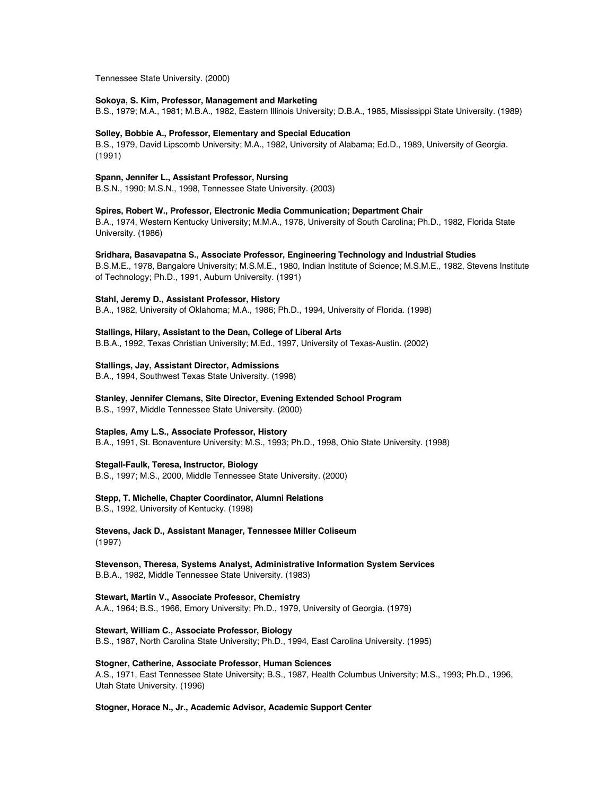Tennessee State University. (2000)

## **Sokoya, S. Kim, Professor, Management and Marketing**

B.S., 1979; M.A., 1981; M.B.A., 1982, Eastern Illinois University; D.B.A., 1985, Mississippi State University. (1989)

## **Solley, Bobbie A., Professor, Elementary and Special Education**

B.S., 1979, David Lipscomb University; M.A., 1982, University of Alabama; Ed.D., 1989, University of Georgia. (1991)

## **Spann, Jennifer L., Assistant Professor, Nursing**

B.S.N., 1990; M.S.N., 1998, Tennessee State University. (2003)

## **Spires, Robert W., Professor, Electronic Media Communication; Department Chair**

B.A., 1974, Western Kentucky University; M.M.A., 1978, University of South Carolina; Ph.D., 1982, Florida State University. (1986)

## **Sridhara, Basavapatna S., Associate Professor, Engineering Technology and Industrial Studies**

B.S.M.E., 1978, Bangalore University; M.S.M.E., 1980, Indian Institute of Science; M.S.M.E., 1982, Stevens Institute of Technology; Ph.D., 1991, Auburn University. (1991)

## **Stahl, Jeremy D., Assistant Professor, History**

B.A., 1982, University of Oklahoma; M.A., 1986; Ph.D., 1994, University of Florida. (1998)

# **Stallings, Hilary, Assistant to the Dean, College of Liberal Arts**

B.B.A., 1992, Texas Christian University; M.Ed., 1997, University of Texas-Austin. (2002)

## **Stallings, Jay, Assistant Director, Admissions**

B.A., 1994, Southwest Texas State University. (1998)

## **Stanley, Jennifer Clemans, Site Director, Evening Extended School Program**

B.S., 1997, Middle Tennessee State University. (2000)

## **Staples, Amy L.S., Associate Professor, History**

B.A., 1991, St. Bonaventure University; M.S., 1993; Ph.D., 1998, Ohio State University. (1998)

## **Stegall-Faulk, Teresa, Instructor, Biology**

B.S., 1997; M.S., 2000, Middle Tennessee State University. (2000)

## **Stepp, T. Michelle, Chapter Coordinator, Alumni Relations**

B.S., 1992, University of Kentucky. (1998)

# **Stevens, Jack D., Assistant Manager, Tennessee Miller Coliseum** (1997)

**Stevenson, Theresa, Systems Analyst, Administrative Information System Services** B.B.A., 1982, Middle Tennessee State University. (1983)

## **Stewart, Martin V., Associate Professor, Chemistry** A.A., 1964; B.S., 1966, Emory University; Ph.D., 1979, University of Georgia. (1979)

**Stewart, William C., Associate Professor, Biology**

B.S., 1987, North Carolina State University; Ph.D., 1994, East Carolina University. (1995)

# **Stogner, Catherine, Associate Professor, Human Sciences**

A.S., 1971, East Tennessee State University; B.S., 1987, Health Columbus University; M.S., 1993; Ph.D., 1996, Utah State University. (1996)

#### **Stogner, Horace N., Jr., Academic Advisor, Academic Support Center**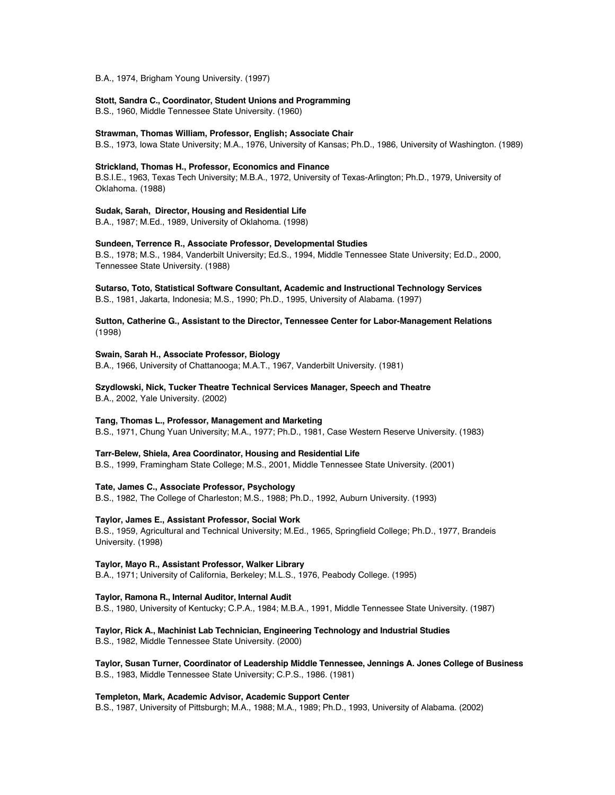B.A., 1974, Brigham Young University. (1997)

### **Stott, Sandra C., Coordinator, Student Unions and Programming**

B.S., 1960, Middle Tennessee State University. (1960)

## **Strawman, Thomas William, Professor, English; Associate Chair**

B.S., 1973, Iowa State University; M.A., 1976, University of Kansas; Ph.D., 1986, University of Washington. (1989)

## **Strickland, Thomas H., Professor, Economics and Finance**

B.S.I.E., 1963, Texas Tech University; M.B.A., 1972, University of Texas-Arlington; Ph.D., 1979, University of Oklahoma. (1988)

#### **Sudak, Sarah, Director, Housing and Residential Life**

B.A., 1987; M.Ed., 1989, University of Oklahoma. (1998)

#### **Sundeen, Terrence R., Associate Professor, Developmental Studies**

B.S., 1978; M.S., 1984, Vanderbilt University; Ed.S., 1994, Middle Tennessee State University; Ed.D., 2000, Tennessee State University. (1988)

**Sutarso, Toto, Statistical Software Consultant, Academic and Instructional Technology Services** B.S., 1981, Jakarta, Indonesia; M.S., 1990; Ph.D., 1995, University of Alabama. (1997)

## **Sutton, Catherine G., Assistant to the Director, Tennessee Center for Labor-Management Relations** (1998)

### **Swain, Sarah H., Associate Professor, Biology**

B.A., 1966, University of Chattanooga; M.A.T., 1967, Vanderbilt University. (1981)

**Szydlowski, Nick, Tucker Theatre Technical Services Manager, Speech and Theatre** B.A., 2002, Yale University. (2002)

#### **Tang, Thomas L., Professor, Management and Marketing**

B.S., 1971, Chung Yuan University; M.A., 1977; Ph.D., 1981, Case Western Reserve University. (1983)

#### **Tarr-Belew, Shiela, Area Coordinator, Housing and Residential Life**

B.S., 1999, Framingham State College; M.S., 2001, Middle Tennessee State University. (2001)

**Tate, James C., Associate Professor, Psychology**

B.S., 1982, The College of Charleston; M.S., 1988; Ph.D., 1992, Auburn University. (1993)

## **Taylor, James E., Assistant Professor, Social Work**

B.S., 1959, Agricultural and Technical University; M.Ed., 1965, Springfield College; Ph.D., 1977, Brandeis University. (1998)

## **Taylor, Mayo R., Assistant Professor, Walker Library**

B.A., 1971; University of California, Berkeley; M.L.S., 1976, Peabody College. (1995)

## **Taylor, Ramona R., Internal Auditor, Internal Audit**

B.S., 1980, University of Kentucky; C.P.A., 1984; M.B.A., 1991, Middle Tennessee State University. (1987)

# **Taylor, Rick A., Machinist Lab Technician, Engineering Technology and Industrial Studies**

B.S., 1982, Middle Tennessee State University. (2000)

# **Taylor, Susan Turner, Coordinator of Leadership Middle Tennessee, Jennings A. Jones College of Business** B.S., 1983, Middle Tennessee State University; C.P.S., 1986. (1981)

#### **Templeton, Mark, Academic Advisor, Academic Support Center**

B.S., 1987, University of Pittsburgh; M.A., 1988; M.A., 1989; Ph.D., 1993, University of Alabama. (2002)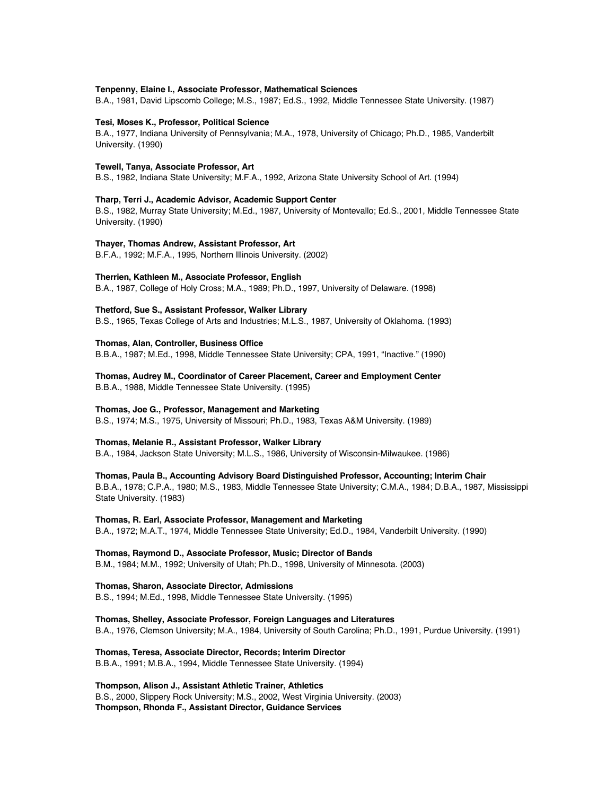#### **Tenpenny, Elaine I., Associate Professor, Mathematical Sciences**

B.A., 1981, David Lipscomb College; M.S., 1987; Ed.S., 1992, Middle Tennessee State University. (1987)

#### **Tesi, Moses K., Professor, Political Science**

B.A., 1977, Indiana University of Pennsylvania; M.A., 1978, University of Chicago; Ph.D., 1985, Vanderbilt University. (1990)

#### **Tewell, Tanya, Associate Professor, Art**

B.S., 1982, Indiana State University; M.F.A., 1992, Arizona State University School of Art. (1994)

## **Tharp, Terri J., Academic Advisor, Academic Support Center**

B.S., 1982, Murray State University; M.Ed., 1987, University of Montevallo; Ed.S., 2001, Middle Tennessee State University. (1990)

#### **Thayer, Thomas Andrew, Assistant Professor, Art**

B.F.A., 1992; M.F.A., 1995, Northern Illinois University. (2002)

#### **Therrien, Kathleen M., Associate Professor, English**

B.A., 1987, College of Holy Cross; M.A., 1989; Ph.D., 1997, University of Delaware. (1998)

#### **Thetford, Sue S., Assistant Professor, Walker Library**

B.S., 1965, Texas College of Arts and Industries; M.L.S., 1987, University of Oklahoma. (1993)

#### **Thomas, Alan, Controller, Business Office**

B.B.A., 1987; M.Ed., 1998, Middle Tennessee State University; CPA, 1991, "Inactive." (1990)

**Thomas, Audrey M., Coordinator of Career Placement, Career and Employment Center** B.B.A., 1988, Middle Tennessee State University. (1995)

#### **Thomas, Joe G., Professor, Management and Marketing**

B.S., 1974; M.S., 1975, University of Missouri; Ph.D., 1983, Texas A&M University. (1989)

## **Thomas, Melanie R., Assistant Professor, Walker Library**

B.A., 1984, Jackson State University; M.L.S., 1986, University of Wisconsin-Milwaukee. (1986)

## **Thomas, Paula B., Accounting Advisory Board Distinguished Professor, Accounting; Interim Chair**

B.B.A., 1978; C.P.A., 1980; M.S., 1983, Middle Tennessee State University; C.M.A., 1984; D.B.A., 1987, Mississippi State University. (1983)

## **Thomas, R. Earl, Associate Professor, Management and Marketing**

B.A., 1972; M.A.T., 1974, Middle Tennessee State University; Ed.D., 1984, Vanderbilt University. (1990)

### **Thomas, Raymond D., Associate Professor, Music; Director of Bands**

B.M., 1984; M.M., 1992; University of Utah; Ph.D., 1998, University of Minnesota. (2003)

#### **Thomas, Sharon, Associate Director, Admissions**

B.S., 1994; M.Ed., 1998, Middle Tennessee State University. (1995)

## **Thomas, Shelley, Associate Professor, Foreign Languages and Literatures** B.A., 1976, Clemson University; M.A., 1984, University of South Carolina; Ph.D., 1991, Purdue University. (1991)

**Thomas, Teresa, Associate Director, Records; Interim Director** B.B.A., 1991; M.B.A., 1994, Middle Tennessee State University. (1994)

# **Thompson, Alison J., Assistant Athletic Trainer, Athletics**

B.S., 2000, Slippery Rock University; M.S., 2002, West Virginia University. (2003) **Thompson, Rhonda F., Assistant Director, Guidance Services**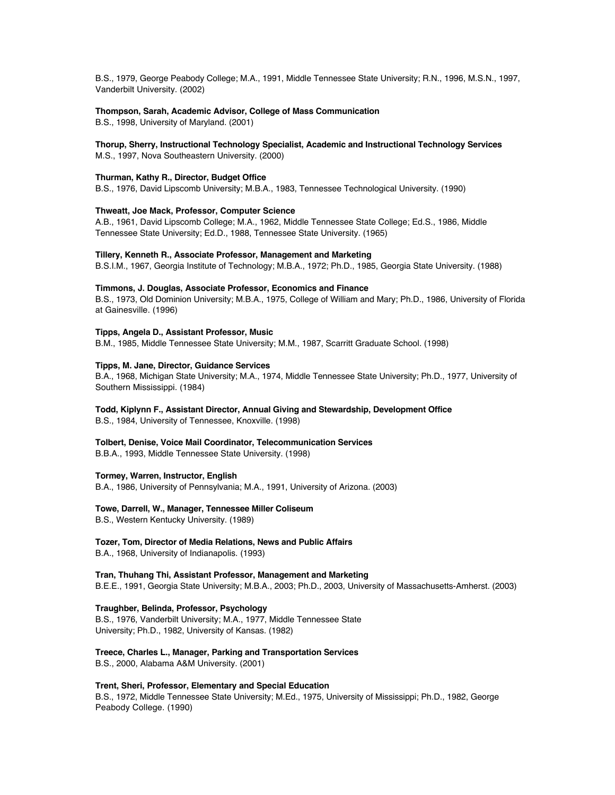B.S., 1979, George Peabody College; M.A., 1991, Middle Tennessee State University; R.N., 1996, M.S.N., 1997, Vanderbilt University. (2002)

## **Thompson, Sarah, Academic Advisor, College of Mass Communication**

B.S., 1998, University of Maryland. (2001)

## **Thorup, Sherry, Instructional Technology Specialist, Academic and Instructional Technology Services** M.S., 1997, Nova Southeastern University. (2000)

## **Thurman, Kathy R., Director, Budget Office**

B.S., 1976, David Lipscomb University; M.B.A., 1983, Tennessee Technological University. (1990)

## **Thweatt, Joe Mack, Professor, Computer Science**

A.B., 1961, David Lipscomb College; M.A., 1962, Middle Tennessee State College; Ed.S., 1986, Middle Tennessee State University; Ed.D., 1988, Tennessee State University. (1965)

## **Tillery, Kenneth R., Associate Professor, Management and Marketing**

B.S.I.M., 1967, Georgia Institute of Technology; M.B.A., 1972; Ph.D., 1985, Georgia State University. (1988)

## **Timmons, J. Douglas, Associate Professor, Economics and Finance**

B.S., 1973, Old Dominion University; M.B.A., 1975, College of William and Mary; Ph.D., 1986, University of Florida at Gainesville. (1996)

## **Tipps, Angela D., Assistant Professor, Music**

B.M., 1985, Middle Tennessee State University; M.M., 1987, Scarritt Graduate School. (1998)

## **Tipps, M. Jane, Director, Guidance Services**

B.A., 1968, Michigan State University; M.A., 1974, Middle Tennessee State University; Ph.D., 1977, University of Southern Mississippi. (1984)

#### **Todd, Kiplynn F., Assistant Director, Annual Giving and Stewardship, Development Office**

B.S., 1984, University of Tennessee, Knoxville. (1998)

### **Tolbert, Denise, Voice Mail Coordinator, Telecommunication Services**

B.B.A., 1993, Middle Tennessee State University. (1998)

## **Tormey, Warren, Instructor, English**

B.A., 1986, University of Pennsylvania; M.A., 1991, University of Arizona. (2003)

#### **Towe, Darrell, W., Manager, Tennessee Miller Coliseum**

B.S., Western Kentucky University. (1989)

#### **Tozer, Tom, Director of Media Relations, News and Public Affairs**

B.A., 1968, University of Indianapolis. (1993)

**Tran, Thuhang Thi, Assistant Professor, Management and Marketing** B.E.E., 1991, Georgia State University; M.B.A., 2003; Ph.D., 2003, University of Massachusetts-Amherst. (2003)

## **Traughber, Belinda, Professor, Psychology**

B.S., 1976, Vanderbilt University; M.A., 1977, Middle Tennessee State University; Ph.D., 1982, University of Kansas. (1982)

## **Treece, Charles L., Manager, Parking and Transportation Services**

B.S., 2000, Alabama A&M University. (2001)

# **Trent, Sheri, Professor, Elementary and Special Education**

B.S., 1972, Middle Tennessee State University; M.Ed., 1975, University of Mississippi; Ph.D., 1982, George Peabody College. (1990)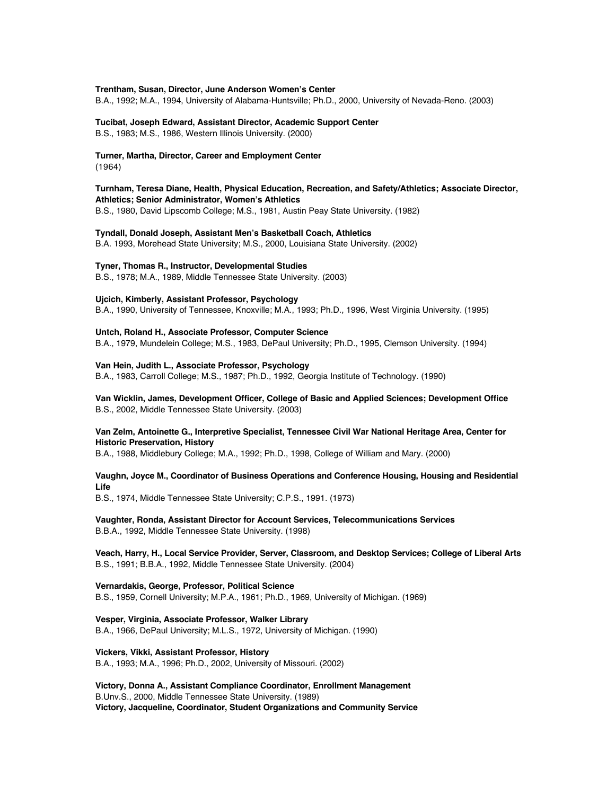## **Trentham, Susan, Director, June Anderson Women's Center**

B.A., 1992; M.A., 1994, University of Alabama-Huntsville; Ph.D., 2000, University of Nevada-Reno. (2003)

### **Tucibat, Joseph Edward, Assistant Director, Academic Support Center** B.S., 1983; M.S., 1986, Western Illinois University. (2000)

# **Turner, Martha, Director, Career and Employment Center**

(1964)

# **Turnham, Teresa Diane, Health, Physical Education, Recreation, and Safety/Athletics; Associate Director, Athletics; Senior Administrator, Women's Athletics**

B.S., 1980, David Lipscomb College; M.S., 1981, Austin Peay State University. (1982)

## **Tyndall, Donald Joseph, Assistant Men's Basketball Coach, Athletics**

B.A. 1993, Morehead State University; M.S., 2000, Louisiana State University. (2002)

## **Tyner, Thomas R., Instructor, Developmental Studies**

B.S., 1978; M.A., 1989, Middle Tennessee State University. (2003)

## **Ujcich, Kimberly, Assistant Professor, Psychology**

B.A., 1990, University of Tennessee, Knoxville; M.A., 1993; Ph.D., 1996, West Virginia University. (1995)

## **Untch, Roland H., Associate Professor, Computer Science**

B.A., 1979, Mundelein College; M.S., 1983, DePaul University; Ph.D., 1995, Clemson University. (1994)

#### **Van Hein, Judith L., Associate Professor, Psychology**

B.A., 1983, Carroll College; M.S., 1987; Ph.D., 1992, Georgia Institute of Technology. (1990)

# **Van Wicklin, James, Development Officer, College of Basic and Applied Sciences; Development Office** B.S., 2002, Middle Tennessee State University. (2003)

## **Van Zelm, Antoinette G., Interpretive Specialist, Tennessee Civil War National Heritage Area, Center for Historic Preservation, History**

B.A., 1988, Middlebury College; M.A., 1992; Ph.D., 1998, College of William and Mary. (2000)

## **Vaughn, Joyce M., Coordinator of Business Operations and Conference Housing, Housing and Residential Life**

B.S., 1974, Middle Tennessee State University; C.P.S., 1991. (1973)

**Vaughter, Ronda, Assistant Director for Account Services, Telecommunications Services** B.B.A., 1992, Middle Tennessee State University. (1998)

## **Veach, Harry, H., Local Service Provider, Server, Classroom, and Desktop Services; College of Liberal Arts** B.S., 1991; B.B.A., 1992, Middle Tennessee State University. (2004)

#### **Vernardakis, George, Professor, Political Science**

B.S., 1959, Cornell University; M.P.A., 1961; Ph.D., 1969, University of Michigan. (1969)

## **Vesper, Virginia, Associate Professor, Walker Library**

B.A., 1966, DePaul University; M.L.S., 1972, University of Michigan. (1990)

### **Vickers, Vikki, Assistant Professor, History**

B.A., 1993; M.A., 1996; Ph.D., 2002, University of Missouri. (2002)

**Victory, Donna A., Assistant Compliance Coordinator, Enrollment Management** B.Unv.S., 2000, Middle Tennessee State University. (1989) **Victory, Jacqueline, Coordinator, Student Organizations and Community Service**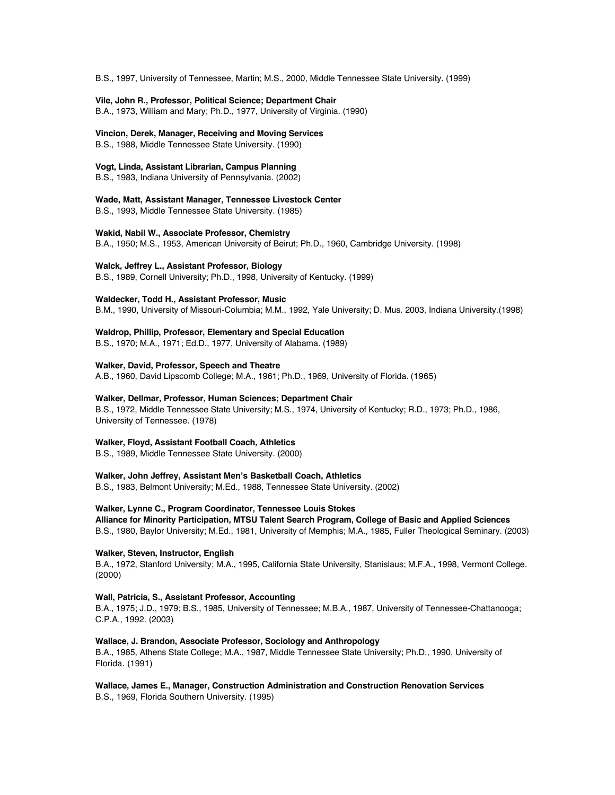B.S., 1997, University of Tennessee, Martin; M.S., 2000, Middle Tennessee State University. (1999)

**Vile, John R., Professor, Political Science; Department Chair** B.A., 1973, William and Mary; Ph.D., 1977, University of Virginia. (1990)

**Vincion, Derek, Manager, Receiving and Moving Services**

B.S., 1988, Middle Tennessee State University. (1990)

**Vogt, Linda, Assistant Librarian, Campus Planning**

B.S., 1983, Indiana University of Pennsylvania. (2002)

**Wade, Matt, Assistant Manager, Tennessee Livestock Center**

B.S., 1993, Middle Tennessee State University. (1985)

**Wakid, Nabil W., Associate Professor, Chemistry**

B.A., 1950; M.S., 1953, American University of Beirut; Ph.D., 1960, Cambridge University. (1998)

**Walck, Jeffrey L., Assistant Professor, Biology**

B.S., 1989, Cornell University; Ph.D., 1998, University of Kentucky. (1999)

## **Waldecker, Todd H., Assistant Professor, Music**

B.M., 1990, University of Missouri-Columbia; M.M., 1992, Yale University; D. Mus. 2003, Indiana University.(1998)

## **Waldrop, Phillip, Professor, Elementary and Special Education**

B.S., 1970; M.A., 1971; Ed.D., 1977, University of Alabama. (1989)

## **Walker, David, Professor, Speech and Theatre**

A.B., 1960, David Lipscomb College; M.A., 1961; Ph.D., 1969, University of Florida. (1965)

## **Walker, Dellmar, Professor, Human Sciences; Department Chair**

B.S., 1972, Middle Tennessee State University; M.S., 1974, University of Kentucky; R.D., 1973; Ph.D., 1986, University of Tennessee. (1978)

## **Walker, Floyd, Assistant Football Coach, Athletics**

B.S., 1989, Middle Tennessee State University. (2000)

## **Walker, John Jeffrey, Assistant Men's Basketball Coach, Athletics**

B.S., 1983, Belmont University; M.Ed., 1988, Tennessee State University. (2002)

## **Walker, Lynne C., Program Coordinator, Tennessee Louis Stokes**

**Alliance for Minority Participation, MTSU Talent Search Program, College of Basic and Applied Sciences** B.S., 1980, Baylor University; M.Ed., 1981, University of Memphis; M.A., 1985, Fuller Theological Seminary. (2003)

## **Walker, Steven, Instructor, English**

B.A., 1972, Stanford University; M.A., 1995, California State University, Stanislaus; M.F.A., 1998, Vermont College. (2000)

## **Wall, Patricia, S., Assistant Professor, Accounting**

B.A., 1975; J.D., 1979; B.S., 1985, University of Tennessee; M.B.A., 1987, University of Tennessee-Chattanooga; C.P.A., 1992. (2003)

## **Wallace, J. Brandon, Associate Professor, Sociology and Anthropology**

B.A., 1985, Athens State College; M.A., 1987, Middle Tennessee State University; Ph.D., 1990, University of Florida. (1991)

**Wallace, James E., Manager, Construction Administration and Construction Renovation Services** B.S., 1969, Florida Southern University. (1995)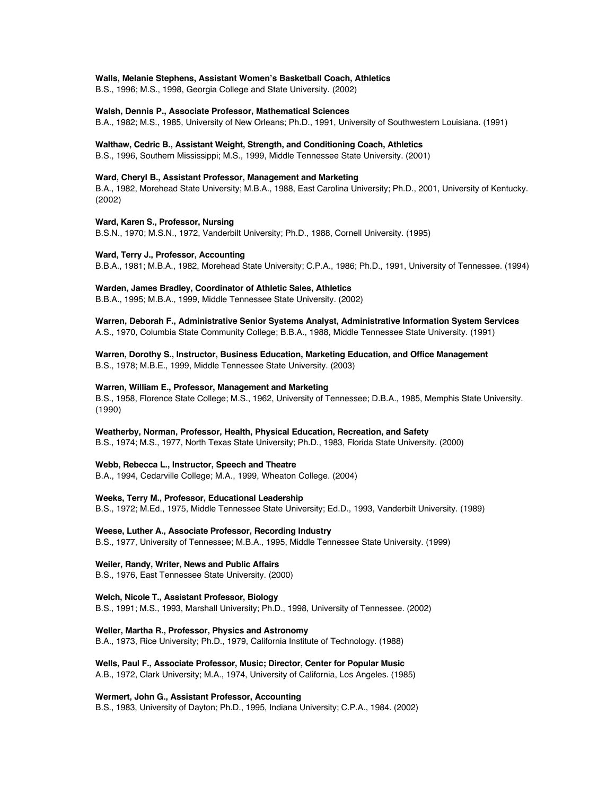#### **Walls, Melanie Stephens, Assistant Women's Basketball Coach, Athletics**

B.S., 1996; M.S., 1998, Georgia College and State University. (2002)

#### **Walsh, Dennis P., Associate Professor, Mathematical Sciences**

B.A., 1982; M.S., 1985, University of New Orleans; Ph.D., 1991, University of Southwestern Louisiana. (1991)

#### **Walthaw, Cedric B., Assistant Weight, Strength, and Conditioning Coach, Athletics**

B.S., 1996, Southern Mississippi; M.S., 1999, Middle Tennessee State University. (2001)

## **Ward, Cheryl B., Assistant Professor, Management and Marketing**

B.A., 1982, Morehead State University; M.B.A., 1988, East Carolina University; Ph.D., 2001, University of Kentucky. (2002)

#### **Ward, Karen S., Professor, Nursing**

B.S.N., 1970; M.S.N., 1972, Vanderbilt University; Ph.D., 1988, Cornell University. (1995)

#### **Ward, Terry J., Professor, Accounting**

B.B.A., 1981; M.B.A., 1982, Morehead State University; C.P.A., 1986; Ph.D., 1991, University of Tennessee. (1994)

## **Warden, James Bradley, Coordinator of Athletic Sales, Athletics**

B.B.A., 1995; M.B.A., 1999, Middle Tennessee State University. (2002)

**Warren, Deborah F., Administrative Senior Systems Analyst, Administrative Information System Services** A.S., 1970, Columbia State Community College; B.B.A., 1988, Middle Tennessee State University. (1991)

## **Warren, Dorothy S., Instructor, Business Education, Marketing Education, and Office Management** B.S., 1978; M.B.E., 1999, Middle Tennessee State University. (2003)

#### **Warren, William E., Professor, Management and Marketing**

B.S., 1958, Florence State College; M.S., 1962, University of Tennessee; D.B.A., 1985, Memphis State University. (1990)

#### **Weatherby, Norman, Professor, Health, Physical Education, Recreation, and Safety**

B.S., 1974; M.S., 1977, North Texas State University; Ph.D., 1983, Florida State University. (2000)

## **Webb, Rebecca L., Instructor, Speech and Theatre**

B.A., 1994, Cedarville College; M.A., 1999, Wheaton College. (2004)

## **Weeks, Terry M., Professor, Educational Leadership**

B.S., 1972; M.Ed., 1975, Middle Tennessee State University; Ed.D., 1993, Vanderbilt University. (1989)

## **Weese, Luther A., Associate Professor, Recording Industry**

B.S., 1977, University of Tennessee; M.B.A., 1995, Middle Tennessee State University. (1999)

## **Weiler, Randy, Writer, News and Public Affairs**

B.S., 1976, East Tennessee State University. (2000)

## **Welch, Nicole T., Assistant Professor, Biology**

B.S., 1991; M.S., 1993, Marshall University; Ph.D., 1998, University of Tennessee. (2002)

## **Weller, Martha R., Professor, Physics and Astronomy**

B.A., 1973, Rice University; Ph.D., 1979, California Institute of Technology. (1988)

**Wells, Paul F., Associate Professor, Music; Director, Center for Popular Music**

A.B., 1972, Clark University; M.A., 1974, University of California, Los Angeles. (1985)

#### **Wermert, John G., Assistant Professor, Accounting**

B.S., 1983, University of Dayton; Ph.D., 1995, Indiana University; C.P.A., 1984. (2002)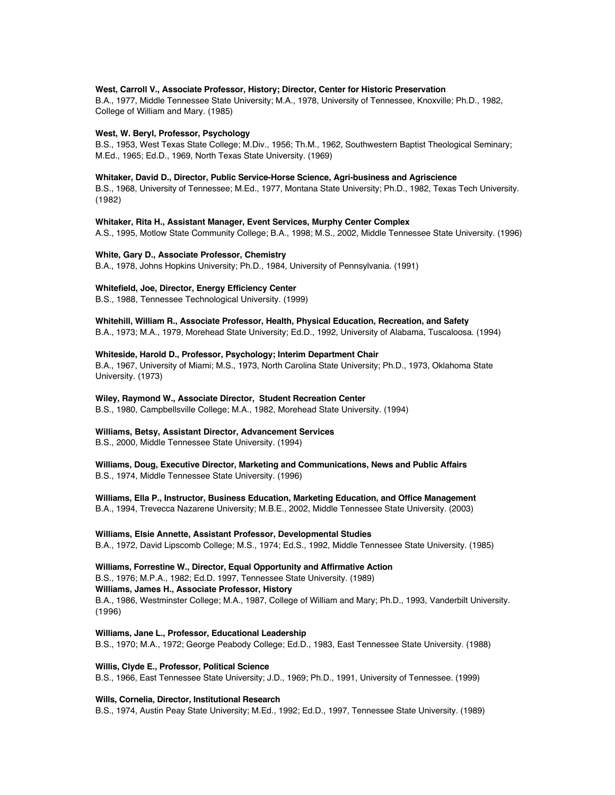## **West, Carroll V., Associate Professor, History; Director, Center for Historic Preservation**

B.A., 1977, Middle Tennessee State University; M.A., 1978, University of Tennessee, Knoxville; Ph.D., 1982, College of William and Mary. (1985)

#### **West, W. Beryl, Professor, Psychology**

B.S., 1953, West Texas State College; M.Div., 1956; Th.M., 1962, Southwestern Baptist Theological Seminary; M.Ed., 1965; Ed.D., 1969, North Texas State University. (1969)

#### **Whitaker, David D., Director, Public Service-Horse Science, Agri-business and Agriscience**

B.S., 1968, University of Tennessee; M.Ed., 1977, Montana State University; Ph.D., 1982, Texas Tech University. (1982)

#### **Whitaker, Rita H., Assistant Manager, Event Services, Murphy Center Complex**

A.S., 1995, Motlow State Community College; B.A., 1998; M.S., 2002, Middle Tennessee State University. (1996)

### **White, Gary D., Associate Professor, Chemistry**

B.A., 1978, Johns Hopkins University; Ph.D., 1984, University of Pennsylvania. (1991)

#### **Whitefield, Joe, Director, Energy Efficiency Center**

B.S., 1988, Tennessee Technological University. (1999)

# **Whitehill, William R., Associate Professor, Health, Physical Education, Recreation, and Safety**

B.A., 1973; M.A., 1979, Morehead State University; Ed.D., 1992, University of Alabama, Tuscaloosa. (1994)

#### **Whiteside, Harold D., Professor, Psychology; Interim Department Chair**

B.A., 1967, University of Miami; M.S., 1973, North Carolina State University; Ph.D., 1973, Oklahoma State University. (1973)

#### **Wiley, Raymond W., Associate Director, Student Recreation Center**

B.S., 1980, Campbellsville College; M.A., 1982, Morehead State University. (1994)

#### **Williams, Betsy, Assistant Director, Advancement Services**

B.S., 2000, Middle Tennessee State University. (1994)

# **Williams, Doug, Executive Director, Marketing and Communications, News and Public Affairs**

B.S., 1974, Middle Tennessee State University. (1996)

## **Williams, Ella P., Instructor, Business Education, Marketing Education, and Office Management**

B.A., 1994, Trevecca Nazarene University; M.B.E., 2002, Middle Tennessee State University. (2003)

## **Williams, Elsie Annette, Assistant Professor, Developmental Studies**

B.A., 1972, David Lipscomb College; M.S., 1974; Ed.S., 1992, Middle Tennessee State University. (1985)

## **Williams, Forrestine W., Director, Equal Opportunity and Affirmative Action** B.S., 1976; M.P.A., 1982; Ed.D. 1997, Tennessee State University. (1989)

# **Williams, James H., Associate Professor, History**

B.A., 1986, Westminster College; M.A., 1987, College of William and Mary; Ph.D., 1993, Vanderbilt University. (1996)

#### **Williams, Jane L., Professor, Educational Leadership**

B.S., 1970; M.A., 1972; George Peabody College; Ed.D., 1983, East Tennessee State University. (1988)

## **Willis, Clyde E., Professor, Political Science**

B.S., 1966, East Tennessee State University; J.D., 1969; Ph.D., 1991, University of Tennessee. (1999)

#### **Wills, Cornelia, Director, Institutional Research**

B.S., 1974, Austin Peay State University; M.Ed., 1992; Ed.D., 1997, Tennessee State University. (1989)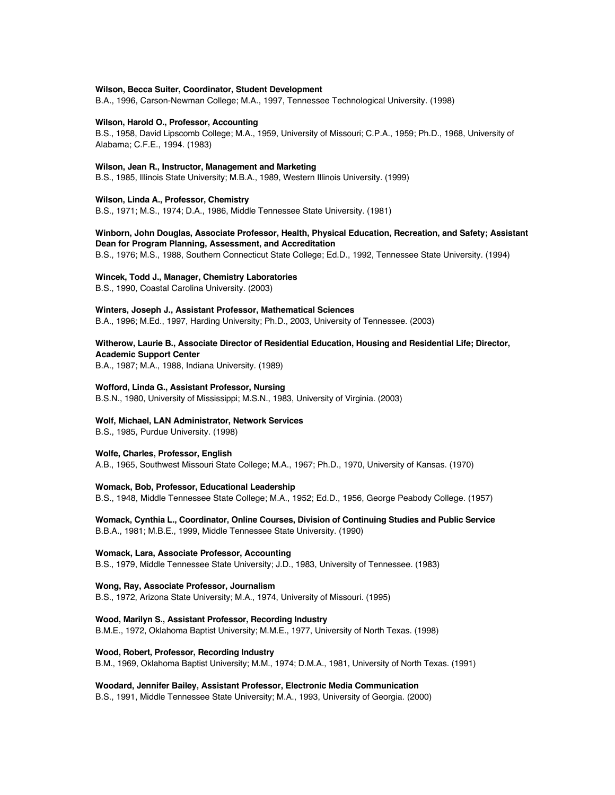#### **Wilson, Becca Suiter, Coordinator, Student Development**

B.A., 1996, Carson-Newman College; M.A., 1997, Tennessee Technological University. (1998)

#### **Wilson, Harold O., Professor, Accounting**

B.S., 1958, David Lipscomb College; M.A., 1959, University of Missouri; C.P.A., 1959; Ph.D., 1968, University of Alabama; C.F.E., 1994. (1983)

## **Wilson, Jean R., Instructor, Management and Marketing**

B.S., 1985, Illinois State University; M.B.A., 1989, Western Illinois University. (1999)

## **Wilson, Linda A., Professor, Chemistry**

B.S., 1971; M.S., 1974; D.A., 1986, Middle Tennessee State University. (1981)

# **Winborn, John Douglas, Associate Professor, Health, Physical Education, Recreation, and Safety; Assistant Dean for Program Planning, Assessment, and Accreditation**

B.S., 1976; M.S., 1988, Southern Connecticut State College; Ed.D., 1992, Tennessee State University. (1994)

#### **Wincek, Todd J., Manager, Chemistry Laboratories**

B.S., 1990, Coastal Carolina University. (2003)

#### **Winters, Joseph J., Assistant Professor, Mathematical Sciences**

B.A., 1996; M.Ed., 1997, Harding University; Ph.D., 2003, University of Tennessee. (2003)

# **Witherow, Laurie B., Associate Director of Residential Education, Housing and Residential Life; Director, Academic Support Center**

B.A., 1987; M.A., 1988, Indiana University. (1989)

#### **Wofford, Linda G., Assistant Professor, Nursing**

B.S.N., 1980, University of Mississippi; M.S.N., 1983, University of Virginia. (2003)

## **Wolf, Michael, LAN Administrator, Network Services**

B.S., 1985, Purdue University. (1998)

## **Wolfe, Charles, Professor, English**

A.B., 1965, Southwest Missouri State College; M.A., 1967; Ph.D., 1970, University of Kansas. (1970)

#### **Womack, Bob, Professor, Educational Leadership**

B.S., 1948, Middle Tennessee State College; M.A., 1952; Ed.D., 1956, George Peabody College. (1957)

## **Womack, Cynthia L., Coordinator, Online Courses, Division of Continuing Studies and Public Service** B.B.A., 1981; M.B.E., 1999, Middle Tennessee State University. (1990)

### **Womack, Lara, Associate Professor, Accounting**

B.S., 1979, Middle Tennessee State University; J.D., 1983, University of Tennessee. (1983)

## **Wong, Ray, Associate Professor, Journalism**

B.S., 1972, Arizona State University; M.A., 1974, University of Missouri. (1995)

#### **Wood, Marilyn S., Assistant Professor, Recording Industry**

B.M.E., 1972, Oklahoma Baptist University; M.M.E., 1977, University of North Texas. (1998)

### **Wood, Robert, Professor, Recording Industry**

B.M., 1969, Oklahoma Baptist University; M.M., 1974; D.M.A., 1981, University of North Texas. (1991)

## **Woodard, Jennifer Bailey, Assistant Professor, Electronic Media Communication**

B.S., 1991, Middle Tennessee State University; M.A., 1993, University of Georgia. (2000)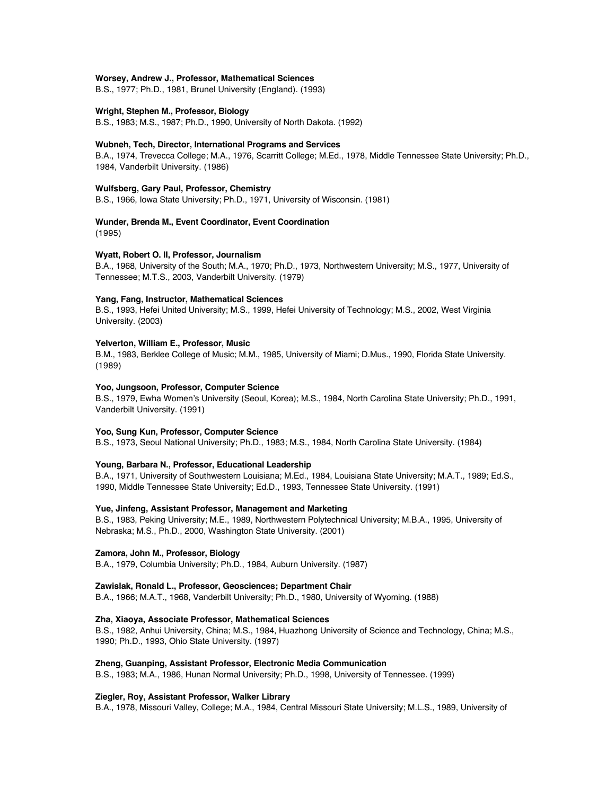### **Worsey, Andrew J., Professor, Mathematical Sciences**

B.S., 1977; Ph.D., 1981, Brunel University (England). (1993)

#### **Wright, Stephen M., Professor, Biology**

B.S., 1983; M.S., 1987; Ph.D., 1990, University of North Dakota. (1992)

## **Wubneh, Tech, Director, International Programs and Services**

B.A., 1974, Trevecca College; M.A., 1976, Scarritt College; M.Ed., 1978, Middle Tennessee State University; Ph.D., 1984, Vanderbilt University. (1986)

#### **Wulfsberg, Gary Paul, Professor, Chemistry**

B.S., 1966, Iowa State University; Ph.D., 1971, University of Wisconsin. (1981)

# **Wunder, Brenda M., Event Coordinator, Event Coordination**

(1995)

## **Wyatt, Robert O. II, Professor, Journalism**

B.A., 1968, University of the South; M.A., 1970; Ph.D., 1973, Northwestern University; M.S., 1977, University of Tennessee; M.T.S., 2003, Vanderbilt University. (1979)

### **Yang, Fang, Instructor, Mathematical Sciences**

B.S., 1993, Hefei United University; M.S., 1999, Hefei University of Technology; M.S., 2002, West Virginia University. (2003)

## **Yelverton, William E., Professor, Music**

B.M., 1983, Berklee College of Music; M.M., 1985, University of Miami; D.Mus., 1990, Florida State University. (1989)

## **Yoo, Jungsoon, Professor, Computer Science**

B.S., 1979, Ewha Women's University (Seoul, Korea); M.S., 1984, North Carolina State University; Ph.D., 1991, Vanderbilt University. (1991)

#### **Yoo, Sung Kun, Professor, Computer Science**

B.S., 1973, Seoul National University; Ph.D., 1983; M.S., 1984, North Carolina State University. (1984)

## **Young, Barbara N., Professor, Educational Leadership**

B.A., 1971, University of Southwestern Louisiana; M.Ed., 1984, Louisiana State University; M.A.T., 1989; Ed.S., 1990, Middle Tennessee State University; Ed.D., 1993, Tennessee State University. (1991)

## **Yue, Jinfeng, Assistant Professor, Management and Marketing**

B.S., 1983, Peking University; M.E., 1989, Northwestern Polytechnical University; M.B.A., 1995, University of Nebraska; M.S., Ph.D., 2000, Washington State University. (2001)

#### **Zamora, John M., Professor, Biology**

B.A., 1979, Columbia University; Ph.D., 1984, Auburn University. (1987)

#### **Zawislak, Ronald L., Professor, Geosciences; Department Chair**

B.A., 1966; M.A.T., 1968, Vanderbilt University; Ph.D., 1980, University of Wyoming. (1988)

## **Zha, Xiaoya, Associate Professor, Mathematical Sciences**

B.S., 1982, Anhui University, China; M.S., 1984, Huazhong University of Science and Technology, China; M.S., 1990; Ph.D., 1993, Ohio State University. (1997)

#### **Zheng, Guanping, Assistant Professor, Electronic Media Communication**

B.S., 1983; M.A., 1986, Hunan Normal University; Ph.D., 1998, University of Tennessee. (1999)

## **Ziegler, Roy, Assistant Professor, Walker Library**

B.A., 1978, Missouri Valley, College; M.A., 1984, Central Missouri State University; M.L.S., 1989, University of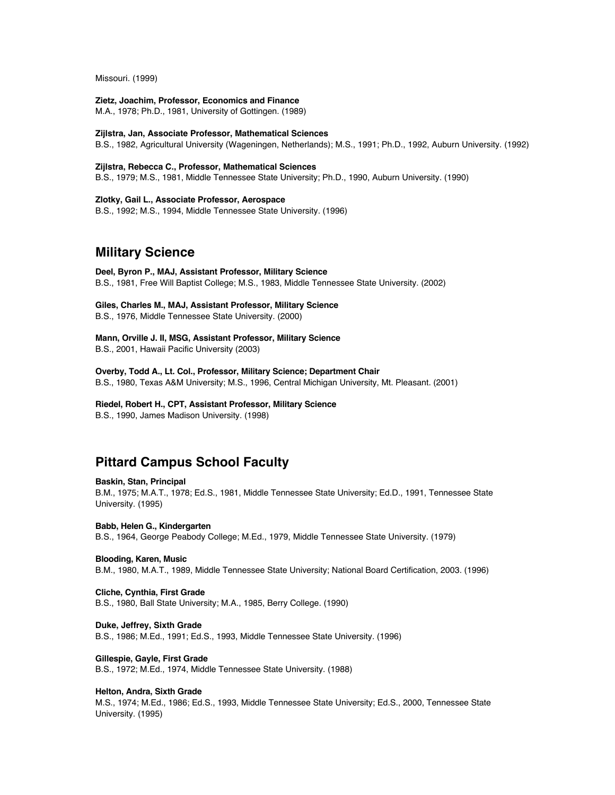Missouri. (1999)

**Zietz, Joachim, Professor, Economics and Finance** M.A., 1978; Ph.D., 1981, University of Gottingen. (1989)

**Zijlstra, Jan, Associate Professor, Mathematical Sciences** B.S., 1982, Agricultural University (Wageningen, Netherlands); M.S., 1991; Ph.D., 1992, Auburn University. (1992)

**Zijlstra, Rebecca C., Professor, Mathematical Sciences** B.S., 1979; M.S., 1981, Middle Tennessee State University; Ph.D., 1990, Auburn University. (1990)

**Zlotky, Gail L., Associate Professor, Aerospace** B.S., 1992; M.S., 1994, Middle Tennessee State University. (1996)

# **Military Science**

**Deel, Byron P., MAJ, Assistant Professor, Military Science** B.S., 1981, Free Will Baptist College; M.S., 1983, Middle Tennessee State University. (2002)

**Giles, Charles M., MAJ, Assistant Professor, Military Science**

B.S., 1976, Middle Tennessee State University. (2000)

**Mann, Orville J. II, MSG, Assistant Professor, Military Science** B.S., 2001, Hawaii Pacific University (2003)

**Overby, Todd A., Lt. Col., Professor, Military Science; Department Chair** B.S., 1980, Texas A&M University; M.S., 1996, Central Michigan University, Mt. Pleasant. (2001)

## **Riedel, Robert H., CPT, Assistant Professor, Military Science**

B.S., 1990, James Madison University. (1998)

# **Pittard Campus School Faculty**

## **Baskin, Stan, Principal**

B.M., 1975; M.A.T., 1978; Ed.S., 1981, Middle Tennessee State University; Ed.D., 1991, Tennessee State University. (1995)

**Babb, Helen G., Kindergarten**

B.S., 1964, George Peabody College; M.Ed., 1979, Middle Tennessee State University. (1979)

## **Blooding, Karen, Music**

B.M., 1980, M.A.T., 1989, Middle Tennessee State University; National Board Certification, 2003. (1996)

**Cliche, Cynthia, First Grade**

B.S., 1980, Ball State University; M.A., 1985, Berry College. (1990)

# **Duke, Jeffrey, Sixth Grade**

B.S., 1986; M.Ed., 1991; Ed.S., 1993, Middle Tennessee State University. (1996)

**Gillespie, Gayle, First Grade**

B.S., 1972; M.Ed., 1974, Middle Tennessee State University. (1988)

## **Helton, Andra, Sixth Grade**

M.S., 1974; M.Ed., 1986; Ed.S., 1993, Middle Tennessee State University; Ed.S., 2000, Tennessee State University. (1995)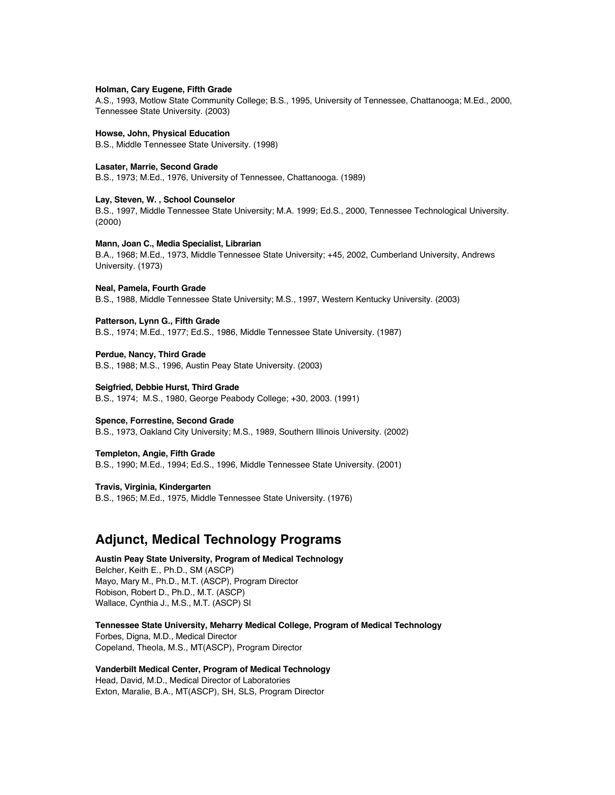#### **Holman, Cary Eugene, Fifth Grade**

A.S., 1993, Motlow State Community College; B.S., 1995, University of Tennessee, Chattanooga; M.Ed., 2000, Tennessee State University. (2003)

# **Howse, John, Physical Education**

B.S., Middle Tennessee State University. (1998)

## **Lasater, Marrie, Second Grade**

B.S., 1973; M.Ed., 1976, University of Tennessee, Chattanooga. (1989)

## **Lay, Steven, W. , School Counselor**

B.S., 1997, Middle Tennessee State University; M.A. 1999; Ed.S., 2000, Tennessee Technological University. (2000)

## **Mann, Joan C., Media Specialist, Librarian**

B.A., 1968; M.Ed., 1973, Middle Tennessee State University; +45, 2002, Cumberland University, Andrews University. (1973)

#### **Neal, Pamela, Fourth Grade**

B.S., 1988, Middle Tennessee State University; M.S., 1997, Western Kentucky University. (2003)

#### **Patterson, Lynn G., Fifth Grade**

B.S., 1974; M.Ed., 1977; Ed.S., 1986, Middle Tennessee State University. (1987)

## **Perdue, Nancy, Third Grade**

B.S., 1988; M.S., 1996, Austin Peay State University. (2003)

#### **Seigfried, Debbie Hurst, Third Grade**

B.S., 1974; M.S., 1980, George Peabody College; +30, 2003. (1991)

## **Spence, Forrestine, Second Grade**

B.S., 1973, Oakland City University; M.S., 1989, Southern Illinois University. (2002)

#### **Templeton, Angie, Fifth Grade**

B.S., 1990; M.Ed., 1994; Ed.S., 1996, Middle Tennessee State University. (2001)

## **Travis, Virginia, Kindergarten**

B.S., 1965; M.Ed., 1975, Middle Tennessee State University. (1976)

# **Adjunct, Medical Technology Programs**

**Austin Peay State University, Program of Medical Technology** Belcher, Keith E., Ph.D., SM (ASCP) Mayo, Mary M., Ph.D., M.T. (ASCP), Program Director Robison, Robert D., Ph.D., M.T. (ASCP) Wallace, Cynthia J., M.S., M.T. (ASCP) SI

**Tennessee State University, Meharry Medical College, Program of Medical Technology** Forbes, Digna, M.D., Medical Director Copeland, Theola, M.S., MT(ASCP), Program Director

# **Vanderbilt Medical Center, Program of Medical Technology**

Head, David, M.D., Medical Director of Laboratories Exton, Maralie, B.A., MT(ASCP), SH, SLS, Program Director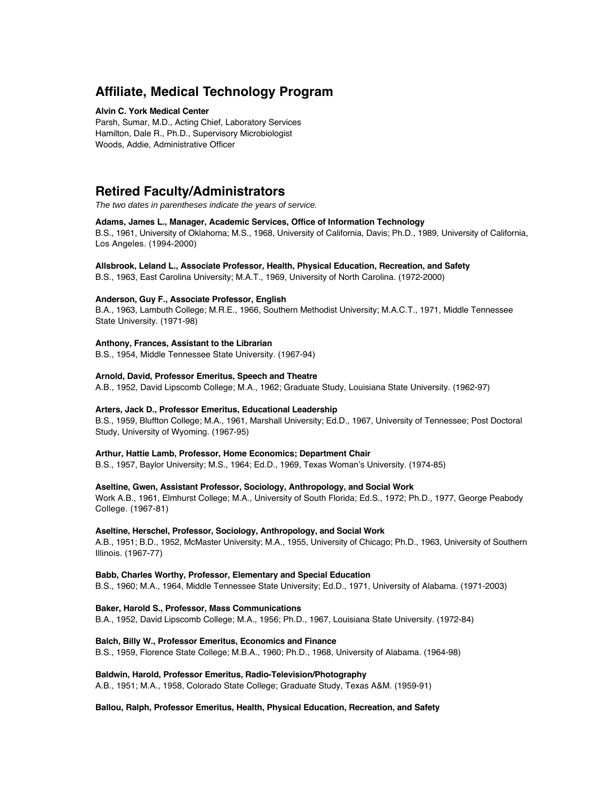# **Affiliate, Medical Technology Program**

## **Alvin C. York Medical Center**

Parsh, Sumar, M.D., Acting Chief, Laboratory Services Hamilton, Dale R., Ph.D., Supervisory Microbiologist Woods, Addie, Administrative Officer

# **Retired Faculty/Administrators**

The two dates in parentheses indicate the years of service.

## **Adams, James L., Manager, Academic Services, Office of Information Technology**

B.S., 1961, University of Oklahoma; M.S., 1968, University of California, Davis; Ph.D., 1989, University of California, Los Angeles. (1994-2000)

## **Allsbrook, Leland L., Associate Professor, Health, Physical Education, Recreation, and Safety**

B.S., 1963, East Carolina University; M.A.T., 1969, University of North Carolina. (1972-2000)

## **Anderson, Guy F., Associate Professor, English**

B.A., 1963, Lambuth College; M.R.E., 1966, Southern Methodist University; M.A.C.T., 1971, Middle Tennessee State University. (1971-98)

## **Anthony, Frances, Assistant to the Librarian**

B.S., 1954, Middle Tennessee State University. (1967-94)

## **Arnold, David, Professor Emeritus, Speech and Theatre**

A.B., 1952, David Lipscomb College; M.A., 1962; Graduate Study, Louisiana State University. (1962-97)

## **Arters, Jack D., Professor Emeritus, Educational Leadership**

B.S., 1959, Bluffton College; M.A., 1961, Marshall University; Ed.D., 1967, University of Tennessee; Post Doctoral Study, University of Wyoming. (1967-95)

## **Arthur, Hattie Lamb, Professor, Home Economics; Department Chair**

B.S., 1957, Baylor University; M.S., 1964; Ed.D., 1969, Texas Woman's University. (1974-85)

## **Aseltine, Gwen, Assistant Professor, Sociology, Anthropology, and Social Work**

Work A.B., 1961, Elmhurst College; M.A., University of South Florida; Ed.S., 1972; Ph.D., 1977, George Peabody College. (1967-81)

## **Aseltine, Herschel, Professor, Sociology, Anthropology, and Social Work**

A.B., 1951; B.D., 1952, McMaster University; M.A., 1955, University of Chicago; Ph.D., 1963, University of Southern Illinois. (1967-77)

# **Babb, Charles Worthy, Professor, Elementary and Special Education**

B.S., 1960; M.A., 1964, Middle Tennessee State University; Ed.D., 1971, University of Alabama. (1971-2003)

#### **Baker, Harold S., Professor, Mass Communications**

B.A., 1952, David Lipscomb College; M.A., 1956; Ph.D., 1967, Louisiana State University. (1972-84)

## **Balch, Billy W., Professor Emeritus, Economics and Finance**

B.S., 1959, Florence State College; M.B.A., 1960; Ph.D., 1968, University of Alabama. (1964-98)

## **Baldwin, Harold, Professor Emeritus, Radio-Television/Photography**

A.B., 1951; M.A., 1958, Colorado State College; Graduate Study, Texas A&M. (1959-91)

## **Ballou, Ralph, Professor Emeritus, Health, Physical Education, Recreation, and Safety**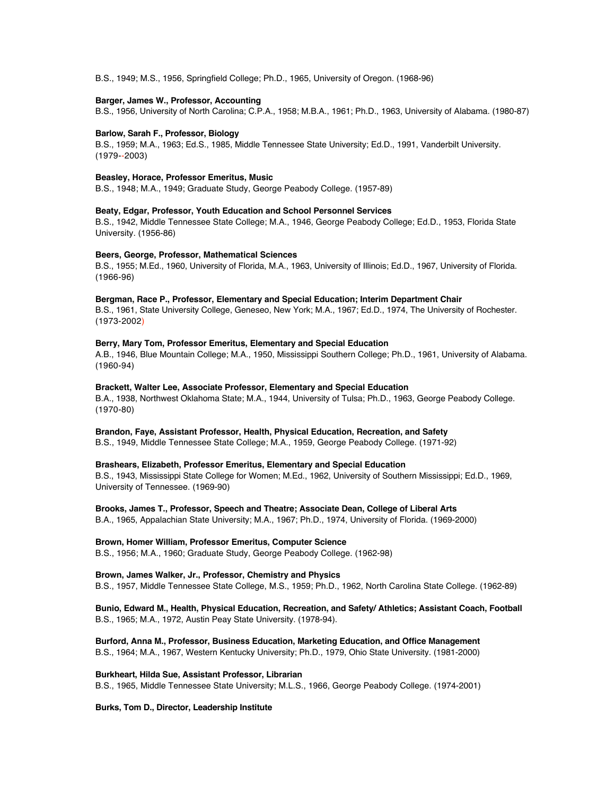B.S., 1949; M.S., 1956, Springfield College; Ph.D., 1965, University of Oregon. (1968-96)

## **Barger, James W., Professor, Accounting**

B.S., 1956, University of North Carolina; C.P.A., 1958; M.B.A., 1961; Ph.D., 1963, University of Alabama. (1980-87)

## **Barlow, Sarah F., Professor, Biology**

B.S., 1959; M.A., 1963; Ed.S., 1985, Middle Tennessee State University; Ed.D., 1991, Vanderbilt University. (1979--2003)

## **Beasley, Horace, Professor Emeritus, Music**

B.S., 1948; M.A., 1949; Graduate Study, George Peabody College. (1957-89)

## **Beaty, Edgar, Professor, Youth Education and School Personnel Services**

B.S., 1942, Middle Tennessee State College; M.A., 1946, George Peabody College; Ed.D., 1953, Florida State University. (1956-86)

## **Beers, George, Professor, Mathematical Sciences**

B.S., 1955; M.Ed., 1960, University of Florida, M.A., 1963, University of Illinois; Ed.D., 1967, University of Florida. (1966-96)

## **Bergman, Race P., Professor, Elementary and Special Education; Interim Department Chair**

B.S., 1961, State University College, Geneseo, New York; M.A., 1967; Ed.D., 1974, The University of Rochester. (1973-2002)

## **Berry, Mary Tom, Professor Emeritus, Elementary and Special Education**

A.B., 1946, Blue Mountain College; M.A., 1950, Mississippi Southern College; Ph.D., 1961, University of Alabama. (1960-94)

## **Brackett, Walter Lee, Associate Professor, Elementary and Special Education**

B.A., 1938, Northwest Oklahoma State; M.A., 1944, University of Tulsa; Ph.D., 1963, George Peabody College. (1970-80)

#### **Brandon, Faye, Assistant Professor, Health, Physical Education, Recreation, and Safety**

B.S., 1949, Middle Tennessee State College; M.A., 1959, George Peabody College. (1971-92)

# **Brashears, Elizabeth, Professor Emeritus, Elementary and Special Education**

B.S., 1943, Mississippi State College for Women; M.Ed., 1962, University of Southern Mississippi; Ed.D., 1969, University of Tennessee. (1969-90)

## **Brooks, James T., Professor, Speech and Theatre; Associate Dean, College of Liberal Arts**

B.A., 1965, Appalachian State University; M.A., 1967; Ph.D., 1974, University of Florida. (1969-2000)

# **Brown, Homer William, Professor Emeritus, Computer Science**

B.S., 1956; M.A., 1960; Graduate Study, George Peabody College. (1962-98)

# **Brown, James Walker, Jr., Professor, Chemistry and Physics**

B.S., 1957, Middle Tennessee State College, M.S., 1959; Ph.D., 1962, North Carolina State College. (1962-89)

# **Bunio, Edward M., Health, Physical Education, Recreation, and Safety/ Athletics; Assistant Coach, Football** B.S., 1965; M.A., 1972, Austin Peay State University. (1978-94).

**Burford, Anna M., Professor, Business Education, Marketing Education, and Office Management** B.S., 1964; M.A., 1967, Western Kentucky University; Ph.D., 1979, Ohio State University. (1981-2000)

## **Burkheart, Hilda Sue, Assistant Professor, Librarian**

B.S., 1965, Middle Tennessee State University; M.L.S., 1966, George Peabody College. (1974-2001)

## **Burks, Tom D., Director, Leadership Institute**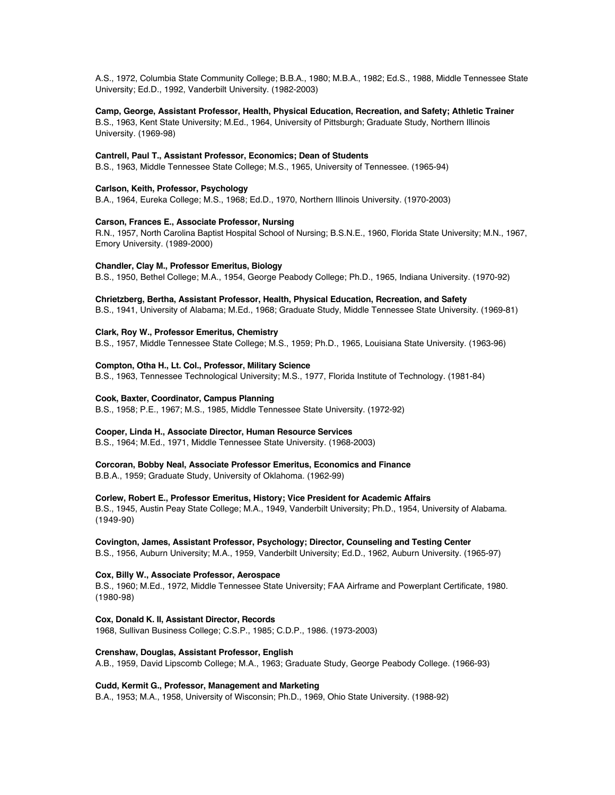A.S., 1972, Columbia State Community College; B.B.A., 1980; M.B.A., 1982; Ed.S., 1988, Middle Tennessee State University; Ed.D., 1992, Vanderbilt University. (1982-2003)

# **Camp, George, Assistant Professor, Health, Physical Education, Recreation, and Safety; Athletic Trainer**

B.S., 1963, Kent State University; M.Ed., 1964, University of Pittsburgh; Graduate Study, Northern Illinois University. (1969-98)

# **Cantrell, Paul T., Assistant Professor, Economics; Dean of Students**

B.S., 1963, Middle Tennessee State College; M.S., 1965, University of Tennessee. (1965-94)

# **Carlson, Keith, Professor, Psychology**

B.A., 1964, Eureka College; M.S., 1968; Ed.D., 1970, Northern Illinois University. (1970-2003)

# **Carson, Frances E., Associate Professor, Nursing**

R.N., 1957, North Carolina Baptist Hospital School of Nursing; B.S.N.E., 1960, Florida State University; M.N., 1967, Emory University. (1989-2000)

# **Chandler, Clay M., Professor Emeritus, Biology**

B.S., 1950, Bethel College; M.A., 1954, George Peabody College; Ph.D., 1965, Indiana University. (1970-92)

# **Chrietzberg, Bertha, Assistant Professor, Health, Physical Education, Recreation, and Safety**

B.S., 1941, University of Alabama; M.Ed., 1968; Graduate Study, Middle Tennessee State University. (1969-81)

# **Clark, Roy W., Professor Emeritus, Chemistry**

B.S., 1957, Middle Tennessee State College; M.S., 1959; Ph.D., 1965, Louisiana State University. (1963-96)

# **Compton, Otha H., Lt. Col., Professor, Military Science**

B.S., 1963, Tennessee Technological University; M.S., 1977, Florida Institute of Technology. (1981-84)

# **Cook, Baxter, Coordinator, Campus Planning**

B.S., 1958; P.E., 1967; M.S., 1985, Middle Tennessee State University. (1972-92)

# **Cooper, Linda H., Associate Director, Human Resource Services**

B.S., 1964; M.Ed., 1971, Middle Tennessee State University. (1968-2003)

# **Corcoran, Bobby Neal, Associate Professor Emeritus, Economics and Finance**

B.B.A., 1959; Graduate Study, University of Oklahoma. (1962-99)

# **Corlew, Robert E., Professor Emeritus, History; Vice President for Academic Affairs**

B.S., 1945, Austin Peay State College; M.A., 1949, Vanderbilt University; Ph.D., 1954, University of Alabama. (1949-90)

# **Covington, James, Assistant Professor, Psychology; Director, Counseling and Testing Center**

B.S., 1956, Auburn University; M.A., 1959, Vanderbilt University; Ed.D., 1962, Auburn University. (1965-97)

# **Cox, Billy W., Associate Professor, Aerospace**

B.S., 1960; M.Ed., 1972, Middle Tennessee State University; FAA Airframe and Powerplant Certificate, 1980. (1980-98)

**Cox, Donald K. II, Assistant Director, Records**

1968, Sullivan Business College; C.S.P., 1985; C.D.P., 1986. (1973-2003)

# **Crenshaw, Douglas, Assistant Professor, English**

A.B., 1959, David Lipscomb College; M.A., 1963; Graduate Study, George Peabody College. (1966-93)

# **Cudd, Kermit G., Professor, Management and Marketing**

B.A., 1953; M.A., 1958, University of Wisconsin; Ph.D., 1969, Ohio State University. (1988-92)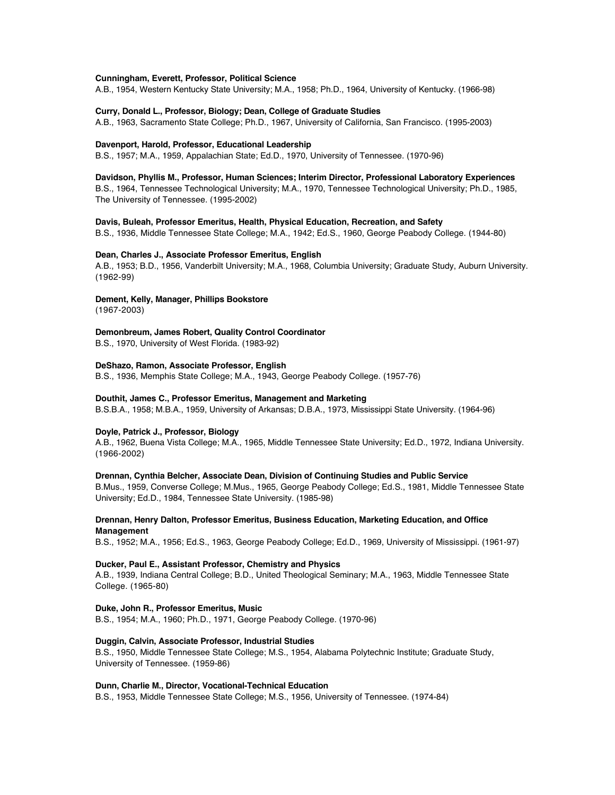### **Cunningham, Everett, Professor, Political Science**

A.B., 1954, Western Kentucky State University; M.A., 1958; Ph.D., 1964, University of Kentucky. (1966-98)

#### **Curry, Donald L., Professor, Biology; Dean, College of Graduate Studies**

A.B., 1963, Sacramento State College; Ph.D., 1967, University of California, San Francisco. (1995-2003)

#### **Davenport, Harold, Professor, Educational Leadership**

B.S., 1957; M.A., 1959, Appalachian State; Ed.D., 1970, University of Tennessee. (1970-96)

# **Davidson, Phyllis M., Professor, Human Sciences; Interim Director, Professional Laboratory Experiences**

B.S., 1964, Tennessee Technological University; M.A., 1970, Tennessee Technological University; Ph.D., 1985, The University of Tennessee. (1995-2002)

# **Davis, Buleah, Professor Emeritus, Health, Physical Education, Recreation, and Safety**

B.S., 1936, Middle Tennessee State College; M.A., 1942; Ed.S., 1960, George Peabody College. (1944-80)

#### **Dean, Charles J., Associate Professor Emeritus, English**

A.B., 1953; B.D., 1956, Vanderbilt University; M.A., 1968, Columbia University; Graduate Study, Auburn University. (1962-99)

# **Dement, Kelly, Manager, Phillips Bookstore**

(1967-2003)

# **Demonbreum, James Robert, Quality Control Coordinator**

B.S., 1970, University of West Florida. (1983-92)

# **DeShazo, Ramon, Associate Professor, English**

B.S., 1936, Memphis State College; M.A., 1943, George Peabody College. (1957-76)

# **Douthit, James C., Professor Emeritus, Management and Marketing**

B.S.B.A., 1958; M.B.A., 1959, University of Arkansas; D.B.A., 1973, Mississippi State University. (1964-96)

# **Doyle, Patrick J., Professor, Biology**

A.B., 1962, Buena Vista College; M.A., 1965, Middle Tennessee State University; Ed.D., 1972, Indiana University. (1966-2002)

#### **Drennan, Cynthia Belcher, Associate Dean, Division of Continuing Studies and Public Service**

B.Mus., 1959, Converse College; M.Mus., 1965, George Peabody College; Ed.S., 1981, Middle Tennessee State University; Ed.D., 1984, Tennessee State University. (1985-98)

# **Drennan, Henry Dalton, Professor Emeritus, Business Education, Marketing Education, and Office Management**

B.S., 1952; M.A., 1956; Ed.S., 1963, George Peabody College; Ed.D., 1969, University of Mississippi. (1961-97)

### **Ducker, Paul E., Assistant Professor, Chemistry and Physics**

A.B., 1939, Indiana Central College; B.D., United Theological Seminary; M.A., 1963, Middle Tennessee State College. (1965-80)

# **Duke, John R., Professor Emeritus, Music**

B.S., 1954; M.A., 1960; Ph.D., 1971, George Peabody College. (1970-96)

#### **Duggin, Calvin, Associate Professor, Industrial Studies**

B.S., 1950, Middle Tennessee State College; M.S., 1954, Alabama Polytechnic Institute; Graduate Study, University of Tennessee. (1959-86)

### **Dunn, Charlie M., Director, Vocational-Technical Education**

B.S., 1953, Middle Tennessee State College; M.S., 1956, University of Tennessee. (1974-84)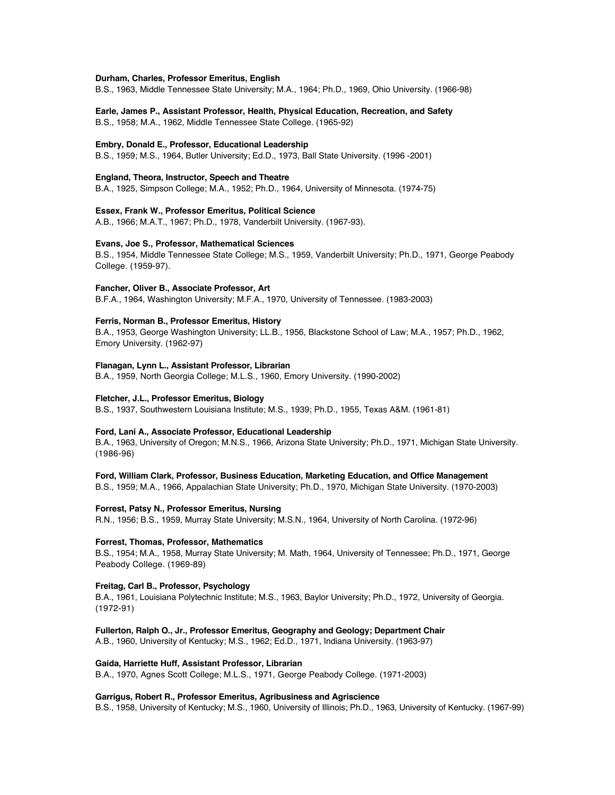#### **Durham, Charles, Professor Emeritus, English**

B.S., 1963, Middle Tennessee State University; M.A., 1964; Ph.D., 1969, Ohio University. (1966-98)

# **Earle, James P., Assistant Professor, Health, Physical Education, Recreation, and Safety**

B.S., 1958; M.A., 1962, Middle Tennessee State College. (1965-92)

# **Embry, Donald E., Professor, Educational Leadership**

B.S., 1959; M.S., 1964, Butler University; Ed.D., 1973, Ball State University. (1996 -2001)

# **England, Theora, Instructor, Speech and Theatre**

B.A., 1925, Simpson College; M.A., 1952; Ph.D., 1964, University of Minnesota. (1974-75)

# **Essex, Frank W., Professor Emeritus, Political Science**

A.B., 1966; M.A.T., 1967; Ph.D., 1978, Vanderbilt University. (1967-93).

# **Evans, Joe S., Professor, Mathematical Sciences**

B.S., 1954, Middle Tennessee State College; M.S., 1959, Vanderbilt University; Ph.D., 1971, George Peabody College. (1959-97).

### **Fancher, Oliver B., Associate Professor, Art**

B.F.A., 1964, Washington University; M.F.A., 1970, University of Tennessee. (1983-2003)

### **Ferris, Norman B., Professor Emeritus, History**

B.A., 1953, George Washington University; LL.B., 1956, Blackstone School of Law; M.A., 1957; Ph.D., 1962, Emory University. (1962-97)

### **Flanagan, Lynn L., Assistant Professor, Librarian**

B.A., 1959, North Georgia College; M.L.S., 1960, Emory University. (1990-2002)

# **Fletcher, J.L., Professor Emeritus, Biology**

B.S., 1937, Southwestern Louisiana Institute; M.S., 1939; Ph.D., 1955, Texas A&M. (1961-81)

# **Ford, Lani A., Associate Professor, Educational Leadership**

B.A., 1963, University of Oregon; M.N.S., 1966, Arizona State University; Ph.D., 1971, Michigan State University. (1986-96)

#### **Ford, William Clark, Professor, Business Education, Marketing Education, and Office Management**

B.S., 1959; M.A., 1966, Appalachian State University; Ph.D., 1970, Michigan State University. (1970-2003)

#### **Forrest, Patsy N., Professor Emeritus, Nursing**

R.N., 1956; B.S., 1959, Murray State University; M.S.N., 1964, University of North Carolina. (1972-96)

#### **Forrest, Thomas, Professor, Mathematics**

B.S., 1954; M.A., 1958, Murray State University; M. Math, 1964, University of Tennessee; Ph.D., 1971, George Peabody College. (1969-89)

### **Freitag, Carl B., Professor, Psychology**

B.A., 1961, Louisiana Polytechnic Institute; M.S., 1963, Baylor University; Ph.D., 1972, University of Georgia. (1972-91)

# **Fullerton, Ralph O., Jr., Professor Emeritus, Geography and Geology; Department Chair**

A.B., 1960, University of Kentucky; M.S., 1962; Ed.D., 1971, Indiana University. (1963-97)

# **Gaida, Harriette Huff, Assistant Professor, Librarian**

B.A., 1970, Agnes Scott College; M.L.S., 1971, George Peabody College. (1971-2003)

### **Garrigus, Robert R., Professor Emeritus, Agribusiness and Agriscience**

B.S., 1958, University of Kentucky; M.S., 1960, University of Illinois; Ph.D., 1963, University of Kentucky. (1967-99)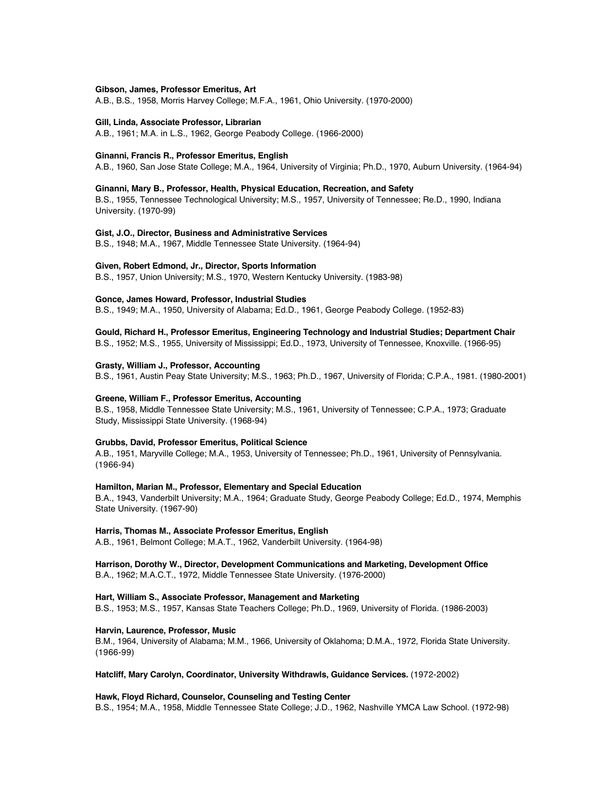#### **Gibson, James, Professor Emeritus, Art**

A.B., B.S., 1958, Morris Harvey College; M.F.A., 1961, Ohio University. (1970-2000)

#### **Gill, Linda, Associate Professor, Librarian**

A.B., 1961; M.A. in L.S., 1962, George Peabody College. (1966-2000)

#### **Ginanni, Francis R., Professor Emeritus, English**

A.B., 1960, San Jose State College; M.A., 1964, University of Virginia; Ph.D., 1970, Auburn University. (1964-94)

#### **Ginanni, Mary B., Professor, Health, Physical Education, Recreation, and Safety**

B.S., 1955, Tennessee Technological University; M.S., 1957, University of Tennessee; Re.D., 1990, Indiana University. (1970-99)

#### **Gist, J.O., Director, Business and Administrative Services**

B.S., 1948; M.A., 1967, Middle Tennessee State University. (1964-94)

### **Given, Robert Edmond, Jr., Director, Sports Information**

B.S., 1957, Union University; M.S., 1970, Western Kentucky University. (1983-98)

# **Gonce, James Howard, Professor, Industrial Studies**

B.S., 1949; M.A., 1950, University of Alabama; Ed.D., 1961, George Peabody College. (1952-83)

# **Gould, Richard H., Professor Emeritus, Engineering Technology and Industrial Studies; Department Chair**

B.S., 1952; M.S., 1955, University of Mississippi; Ed.D., 1973, University of Tennessee, Knoxville. (1966-95)

# **Grasty, William J., Professor, Accounting**

B.S., 1961, Austin Peay State University; M.S., 1963; Ph.D., 1967, University of Florida; C.P.A., 1981. (1980-2001)

### **Greene, William F., Professor Emeritus, Accounting**

B.S., 1958, Middle Tennessee State University; M.S., 1961, University of Tennessee; C.P.A., 1973; Graduate Study, Mississippi State University. (1968-94)

#### **Grubbs, David, Professor Emeritus, Political Science**

A.B., 1951, Maryville College; M.A., 1953, University of Tennessee; Ph.D., 1961, University of Pennsylvania. (1966-94)

### **Hamilton, Marian M., Professor, Elementary and Special Education**

B.A., 1943, Vanderbilt University; M.A., 1964; Graduate Study, George Peabody College; Ed.D., 1974, Memphis State University. (1967-90)

#### **Harris, Thomas M., Associate Professor Emeritus, English**

A.B., 1961, Belmont College; M.A.T., 1962, Vanderbilt University. (1964-98)

# **Harrison, Dorothy W., Director, Development Communications and Marketing, Development Office**

B.A., 1962; M.A.C.T., 1972, Middle Tennessee State University. (1976-2000)

# **Hart, William S., Associate Professor, Management and Marketing**

B.S., 1953; M.S., 1957, Kansas State Teachers College; Ph.D., 1969, University of Florida. (1986-2003)

# **Harvin, Laurence, Professor, Music**

B.M., 1964, University of Alabama; M.M., 1966, University of Oklahoma; D.M.A., 1972, Florida State University. (1966-99)

# **Hatcliff, Mary Carolyn, Coordinator, University Withdrawls, Guidance Services.** (1972-2002)

### **Hawk, Floyd Richard, Counselor, Counseling and Testing Center**

B.S., 1954; M.A., 1958, Middle Tennessee State College; J.D., 1962, Nashville YMCA Law School. (1972-98)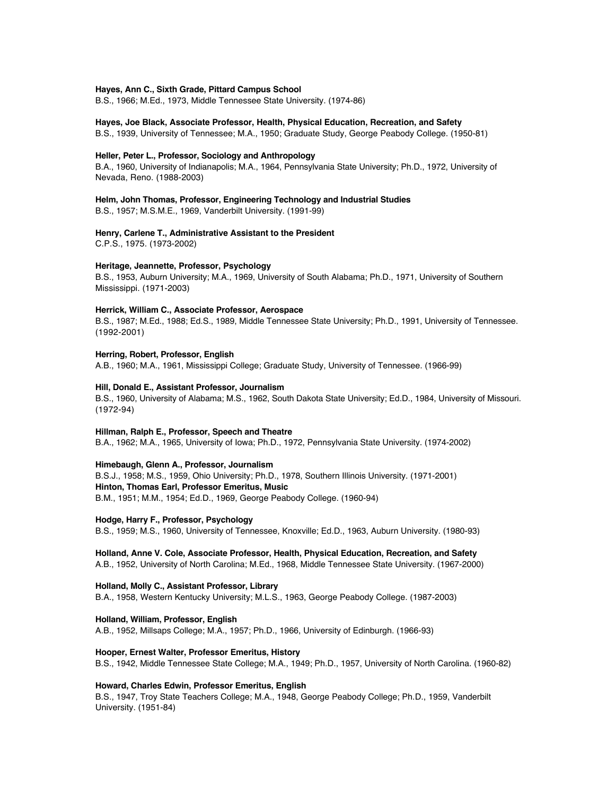### **Hayes, Ann C., Sixth Grade, Pittard Campus School**

B.S., 1966; M.Ed., 1973, Middle Tennessee State University. (1974-86)

#### **Hayes, Joe Black, Associate Professor, Health, Physical Education, Recreation, and Safety**

B.S., 1939, University of Tennessee; M.A., 1950; Graduate Study, George Peabody College. (1950-81)

#### **Heller, Peter L., Professor, Sociology and Anthropology**

B.A., 1960, University of Indianapolis; M.A., 1964, Pennsylvania State University; Ph.D., 1972, University of Nevada, Reno. (1988-2003)

# **Helm, John Thomas, Professor, Engineering Technology and Industrial Studies**

B.S., 1957; M.S.M.E., 1969, Vanderbilt University. (1991-99)

# **Henry, Carlene T., Administrative Assistant to the President**

C.P.S., 1975. (1973-2002)

# **Heritage, Jeannette, Professor, Psychology**

B.S., 1953, Auburn University; M.A., 1969, University of South Alabama; Ph.D., 1971, University of Southern Mississippi. (1971-2003)

#### **Herrick, William C., Associate Professor, Aerospace**

B.S., 1987; M.Ed., 1988; Ed.S., 1989, Middle Tennessee State University; Ph.D., 1991, University of Tennessee. (1992-2001)

#### **Herring, Robert, Professor, English**

A.B., 1960; M.A., 1961, Mississippi College; Graduate Study, University of Tennessee. (1966-99)

#### **Hill, Donald E., Assistant Professor, Journalism**

B.S., 1960, University of Alabama; M.S., 1962, South Dakota State University; Ed.D., 1984, University of Missouri. (1972-94)

#### **Hillman, Ralph E., Professor, Speech and Theatre**

B.A., 1962; M.A., 1965, University of Iowa; Ph.D., 1972, Pennsylvania State University. (1974-2002)

### **Himebaugh, Glenn A., Professor, Journalism**

B.S.J., 1958; M.S., 1959, Ohio University; Ph.D., 1978, Southern Illinois University. (1971-2001) **Hinton, Thomas Earl, Professor Emeritus, Music** B.M., 1951; M.M., 1954; Ed.D., 1969, George Peabody College. (1960-94)

#### **Hodge, Harry F., Professor, Psychology**

B.S., 1959; M.S., 1960, University of Tennessee, Knoxville; Ed.D., 1963, Auburn University. (1980-93)

# **Holland, Anne V. Cole, Associate Professor, Health, Physical Education, Recreation, and Safety**

A.B., 1952, University of North Carolina; M.Ed., 1968, Middle Tennessee State University. (1967-2000)

#### **Holland, Molly C., Assistant Professor, Library**

B.A., 1958, Western Kentucky University; M.L.S., 1963, George Peabody College. (1987-2003)

#### **Holland, William, Professor, English**

A.B., 1952, Millsaps College; M.A., 1957; Ph.D., 1966, University of Edinburgh. (1966-93)

# **Hooper, Ernest Walter, Professor Emeritus, History**

B.S., 1942, Middle Tennessee State College; M.A., 1949; Ph.D., 1957, University of North Carolina. (1960-82)

### **Howard, Charles Edwin, Professor Emeritus, English**

B.S., 1947, Troy State Teachers College; M.A., 1948, George Peabody College; Ph.D., 1959, Vanderbilt University. (1951-84)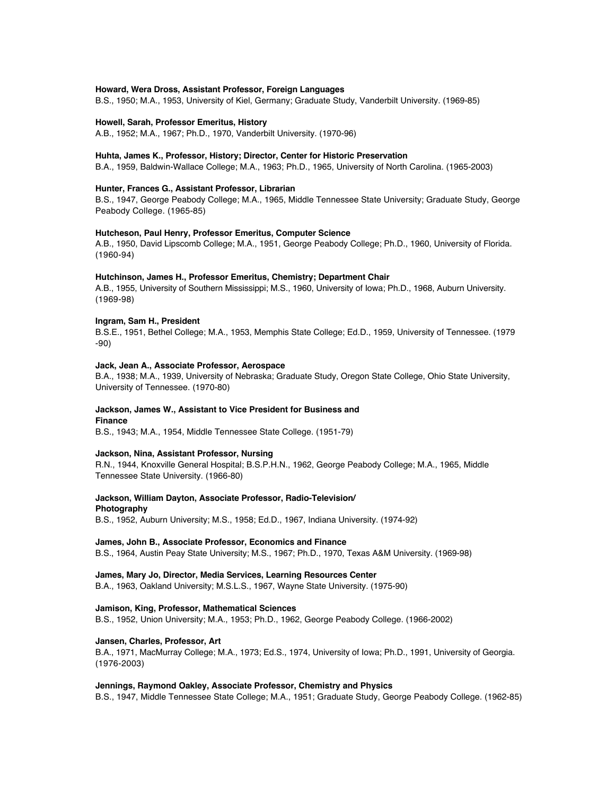# **Howard, Wera Dross, Assistant Professor, Foreign Languages**

B.S., 1950; M.A., 1953, University of Kiel, Germany; Graduate Study, Vanderbilt University. (1969-85)

#### **Howell, Sarah, Professor Emeritus, History**

A.B., 1952; M.A., 1967; Ph.D., 1970, Vanderbilt University. (1970-96)

#### **Huhta, James K., Professor, History; Director, Center for Historic Preservation**

B.A., 1959, Baldwin-Wallace College; M.A., 1963; Ph.D., 1965, University of North Carolina. (1965-2003)

#### **Hunter, Frances G., Assistant Professor, Librarian**

B.S., 1947, George Peabody College; M.A., 1965, Middle Tennessee State University; Graduate Study, George Peabody College. (1965-85)

# **Hutcheson, Paul Henry, Professor Emeritus, Computer Science**

A.B., 1950, David Lipscomb College; M.A., 1951, George Peabody College; Ph.D., 1960, University of Florida. (1960-94)

#### **Hutchinson, James H., Professor Emeritus, Chemistry; Department Chair**

A.B., 1955, University of Southern Mississippi; M.S., 1960, University of Iowa; Ph.D., 1968, Auburn University. (1969-98)

#### **Ingram, Sam H., President**

B.S.E., 1951, Bethel College; M.A., 1953, Memphis State College; Ed.D., 1959, University of Tennessee. (1979 -90)

# **Jack, Jean A., Associate Professor, Aerospace**

B.A., 1938; M.A., 1939, University of Nebraska; Graduate Study, Oregon State College, Ohio State University, University of Tennessee. (1970-80)

# **Jackson, James W., Assistant to Vice President for Business and Finance**

B.S., 1943; M.A., 1954, Middle Tennessee State College. (1951-79)

# **Jackson, Nina, Assistant Professor, Nursing**

R.N., 1944, Knoxville General Hospital; B.S.P.H.N., 1962, George Peabody College; M.A., 1965, Middle Tennessee State University. (1966-80)

# **Jackson, William Dayton, Associate Professor, Radio-Television/**

# **Photography**

B.S., 1952, Auburn University; M.S., 1958; Ed.D., 1967, Indiana University. (1974-92)

#### **James, John B., Associate Professor, Economics and Finance**

B.S., 1964, Austin Peay State University; M.S., 1967; Ph.D., 1970, Texas A&M University. (1969-98)

# **James, Mary Jo, Director, Media Services, Learning Resources Center**

B.A., 1963, Oakland University; M.S.L.S., 1967, Wayne State University. (1975-90)

#### **Jamison, King, Professor, Mathematical Sciences**

B.S., 1952, Union University; M.A., 1953; Ph.D., 1962, George Peabody College. (1966-2002)

# **Jansen, Charles, Professor, Art**

B.A., 1971, MacMurray College; M.A., 1973; Ed.S., 1974, University of Iowa; Ph.D., 1991, University of Georgia. (1976-2003)

# **Jennings, Raymond Oakley, Associate Professor, Chemistry and Physics**

B.S., 1947, Middle Tennessee State College; M.A., 1951; Graduate Study, George Peabody College. (1962-85)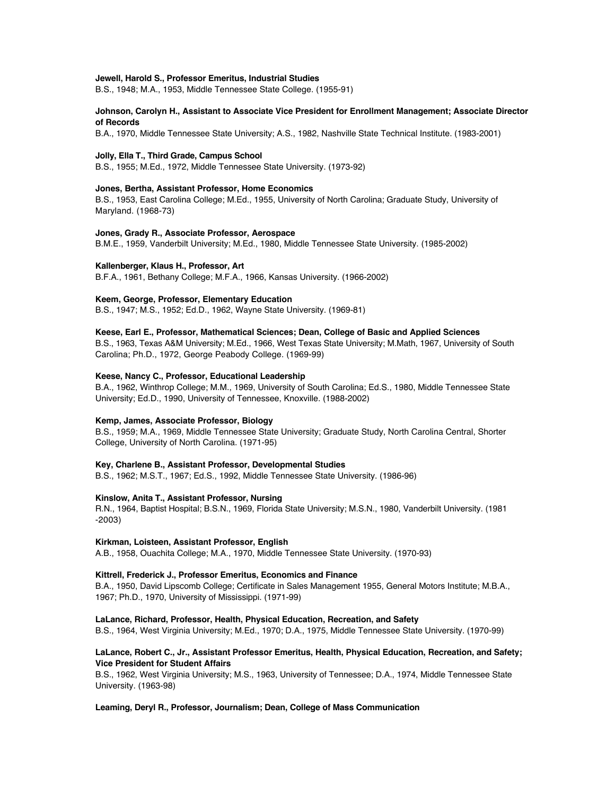#### **Jewell, Harold S., Professor Emeritus, Industrial Studies**

B.S., 1948; M.A., 1953, Middle Tennessee State College. (1955-91)

# **Johnson, Carolyn H., Assistant to Associate Vice President for Enrollment Management; Associate Director of Records**

B.A., 1970, Middle Tennessee State University; A.S., 1982, Nashville State Technical Institute. (1983-2001)

### **Jolly, Ella T., Third Grade, Campus School**

B.S., 1955; M.Ed., 1972, Middle Tennessee State University. (1973-92)

### **Jones, Bertha, Assistant Professor, Home Economics**

B.S., 1953, East Carolina College; M.Ed., 1955, University of North Carolina; Graduate Study, University of Maryland. (1968-73)

# **Jones, Grady R., Associate Professor, Aerospace**

B.M.E., 1959, Vanderbilt University; M.Ed., 1980, Middle Tennessee State University. (1985-2002)

# **Kallenberger, Klaus H., Professor, Art**

B.F.A., 1961, Bethany College; M.F.A., 1966, Kansas University. (1966-2002)

# **Keem, George, Professor, Elementary Education**

B.S., 1947; M.S., 1952; Ed.D., 1962, Wayne State University. (1969-81)

# **Keese, Earl E., Professor, Mathematical Sciences; Dean, College of Basic and Applied Sciences**

B.S., 1963, Texas A&M University; M.Ed., 1966, West Texas State University; M.Math, 1967, University of South Carolina; Ph.D., 1972, George Peabody College. (1969-99)

### **Keese, Nancy C., Professor, Educational Leadership**

B.A., 1962, Winthrop College; M.M., 1969, University of South Carolina; Ed.S., 1980, Middle Tennessee State University; Ed.D., 1990, University of Tennessee, Knoxville. (1988-2002)

#### **Kemp, James, Associate Professor, Biology**

B.S., 1959; M.A., 1969, Middle Tennessee State University; Graduate Study, North Carolina Central, Shorter College, University of North Carolina. (1971-95)

#### **Key, Charlene B., Assistant Professor, Developmental Studies**

B.S., 1962; M.S.T., 1967; Ed.S., 1992, Middle Tennessee State University. (1986-96)

# **Kinslow, Anita T., Assistant Professor, Nursing**

R.N., 1964, Baptist Hospital; B.S.N., 1969, Florida State University; M.S.N., 1980, Vanderbilt University. (1981 -2003)

# **Kirkman, Loisteen, Assistant Professor, English**

A.B., 1958, Ouachita College; M.A., 1970, Middle Tennessee State University. (1970-93)

### **Kittrell, Frederick J., Professor Emeritus, Economics and Finance**

B.A., 1950, David Lipscomb College; Certificate in Sales Management 1955, General Motors Institute; M.B.A., 1967; Ph.D., 1970, University of Mississippi. (1971-99)

#### **LaLance, Richard, Professor, Health, Physical Education, Recreation, and Safety**

B.S., 1964, West Virginia University; M.Ed., 1970; D.A., 1975, Middle Tennessee State University. (1970-99)

# **LaLance, Robert C., Jr., Assistant Professor Emeritus, Health, Physical Education, Recreation, and Safety; Vice President for Student Affairs**

B.S., 1962, West Virginia University; M.S., 1963, University of Tennessee; D.A., 1974, Middle Tennessee State University. (1963-98)

# **Leaming, Deryl R., Professor, Journalism; Dean, College of Mass Communication**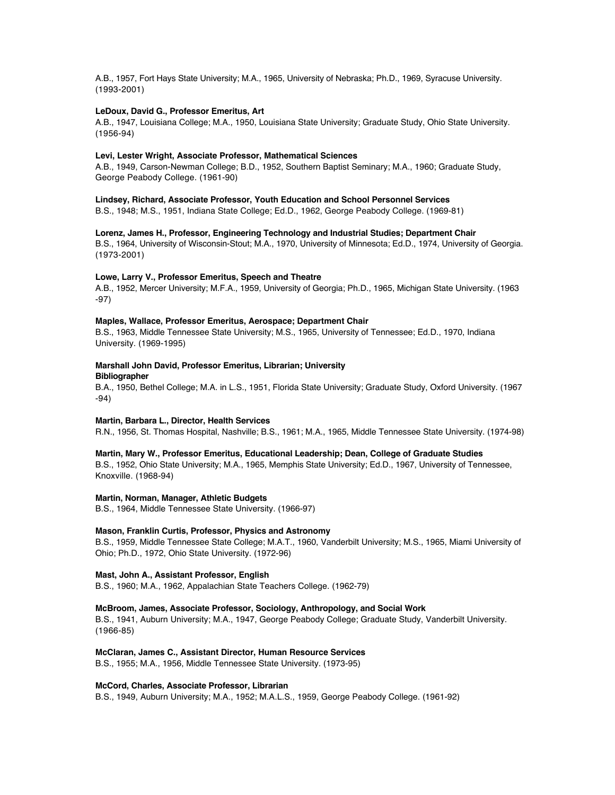A.B., 1957, Fort Hays State University; M.A., 1965, University of Nebraska; Ph.D., 1969, Syracuse University. (1993-2001)

# **LeDoux, David G., Professor Emeritus, Art**

A.B., 1947, Louisiana College; M.A., 1950, Louisiana State University; Graduate Study, Ohio State University. (1956-94)

### **Levi, Lester Wright, Associate Professor, Mathematical Sciences**

A.B., 1949, Carson-Newman College; B.D., 1952, Southern Baptist Seminary; M.A., 1960; Graduate Study, George Peabody College. (1961-90)

# **Lindsey, Richard, Associate Professor, Youth Education and School Personnel Services**

B.S., 1948; M.S., 1951, Indiana State College; Ed.D., 1962, George Peabody College. (1969-81)

# **Lorenz, James H., Professor, Engineering Technology and Industrial Studies; Department Chair**

B.S., 1964, University of Wisconsin-Stout; M.A., 1970, University of Minnesota; Ed.D., 1974, University of Georgia. (1973-2001)

# **Lowe, Larry V., Professor Emeritus, Speech and Theatre**

A.B., 1952, Mercer University; M.F.A., 1959, University of Georgia; Ph.D., 1965, Michigan State University. (1963 -97)

# **Maples, Wallace, Professor Emeritus, Aerospace; Department Chair**

B.S., 1963, Middle Tennessee State University; M.S., 1965, University of Tennessee; Ed.D., 1970, Indiana University. (1969-1995)

# **Marshall John David, Professor Emeritus, Librarian; University Bibliographer**

B.A., 1950, Bethel College; M.A. in L.S., 1951, Florida State University; Graduate Study, Oxford University. (1967 -94)

# **Martin, Barbara L., Director, Health Services**

R.N., 1956, St. Thomas Hospital, Nashville; B.S., 1961; M.A., 1965, Middle Tennessee State University. (1974-98)

### **Martin, Mary W., Professor Emeritus, Educational Leadership; Dean, College of Graduate Studies**

B.S., 1952, Ohio State University; M.A., 1965, Memphis State University; Ed.D., 1967, University of Tennessee, Knoxville. (1968-94)

# **Martin, Norman, Manager, Athletic Budgets**

B.S., 1964, Middle Tennessee State University. (1966-97)

# **Mason, Franklin Curtis, Professor, Physics and Astronomy**

B.S., 1959, Middle Tennessee State College; M.A.T., 1960, Vanderbilt University; M.S., 1965, Miami University of Ohio; Ph.D., 1972, Ohio State University. (1972-96)

# **Mast, John A., Assistant Professor, English**

B.S., 1960; M.A., 1962, Appalachian State Teachers College. (1962-79)

### **McBroom, James, Associate Professor, Sociology, Anthropology, and Social Work**

B.S., 1941, Auburn University; M.A., 1947, George Peabody College; Graduate Study, Vanderbilt University. (1966-85)

# **McClaran, James C., Assistant Director, Human Resource Services**

B.S., 1955; M.A., 1956, Middle Tennessee State University. (1973-95)

# **McCord, Charles, Associate Professor, Librarian**

B.S., 1949, Auburn University; M.A., 1952; M.A.L.S., 1959, George Peabody College. (1961-92)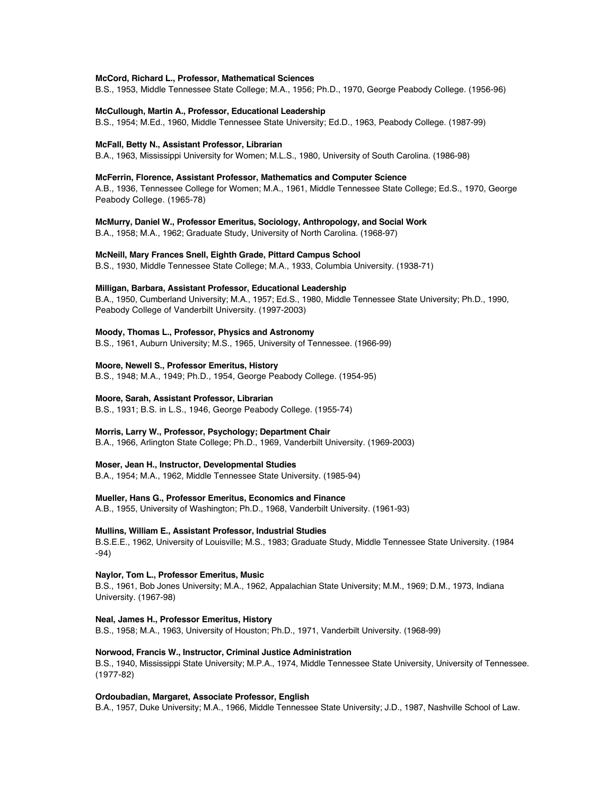#### **McCord, Richard L., Professor, Mathematical Sciences**

B.S., 1953, Middle Tennessee State College; M.A., 1956; Ph.D., 1970, George Peabody College. (1956-96)

#### **McCullough, Martin A., Professor, Educational Leadership**

B.S., 1954; M.Ed., 1960, Middle Tennessee State University; Ed.D., 1963, Peabody College. (1987-99)

#### **McFall, Betty N., Assistant Professor, Librarian**

B.A., 1963, Mississippi University for Women; M.L.S., 1980, University of South Carolina. (1986-98)

# **McFerrin, Florence, Assistant Professor, Mathematics and Computer Science**

A.B., 1936, Tennessee College for Women; M.A., 1961, Middle Tennessee State College; Ed.S., 1970, George Peabody College. (1965-78)

**McMurry, Daniel W., Professor Emeritus, Sociology, Anthropology, and Social Work**

B.A., 1958; M.A., 1962; Graduate Study, University of North Carolina. (1968-97)

**McNeill, Mary Frances Snell, Eighth Grade, Pittard Campus School**

B.S., 1930, Middle Tennessee State College; M.A., 1933, Columbia University. (1938-71)

### **Milligan, Barbara, Assistant Professor, Educational Leadership**

B.A., 1950, Cumberland University; M.A., 1957; Ed.S., 1980, Middle Tennessee State University; Ph.D., 1990, Peabody College of Vanderbilt University. (1997-2003)

# **Moody, Thomas L., Professor, Physics and Astronomy**

B.S., 1961, Auburn University; M.S., 1965, University of Tennessee. (1966-99)

# **Moore, Newell S., Professor Emeritus, History**

B.S., 1948; M.A., 1949; Ph.D., 1954, George Peabody College. (1954-95)

# **Moore, Sarah, Assistant Professor, Librarian**

B.S., 1931; B.S. in L.S., 1946, George Peabody College. (1955-74)

# **Morris, Larry W., Professor, Psychology; Department Chair**

B.A., 1966, Arlington State College; Ph.D., 1969, Vanderbilt University. (1969-2003)

# **Moser, Jean H., Instructor, Developmental Studies**

B.A., 1954; M.A., 1962, Middle Tennessee State University. (1985-94)

# **Mueller, Hans G., Professor Emeritus, Economics and Finance**

A.B., 1955, University of Washington; Ph.D., 1968, Vanderbilt University. (1961-93)

# **Mullins, William E., Assistant Professor, Industrial Studies**

B.S.E.E., 1962, University of Louisville; M.S., 1983; Graduate Study, Middle Tennessee State University. (1984 -94)

# **Naylor, Tom L., Professor Emeritus, Music**

B.S., 1961, Bob Jones University; M.A., 1962, Appalachian State University; M.M., 1969; D.M., 1973, Indiana University. (1967-98)

# **Neal, James H., Professor Emeritus, History**

B.S., 1958; M.A., 1963, University of Houston; Ph.D., 1971, Vanderbilt University. (1968-99)

#### **Norwood, Francis W., Instructor, Criminal Justice Administration**

B.S., 1940, Mississippi State University; M.P.A., 1974, Middle Tennessee State University, University of Tennessee. (1977-82)

# **Ordoubadian, Margaret, Associate Professor, English**

B.A., 1957, Duke University; M.A., 1966, Middle Tennessee State University; J.D., 1987, Nashville School of Law.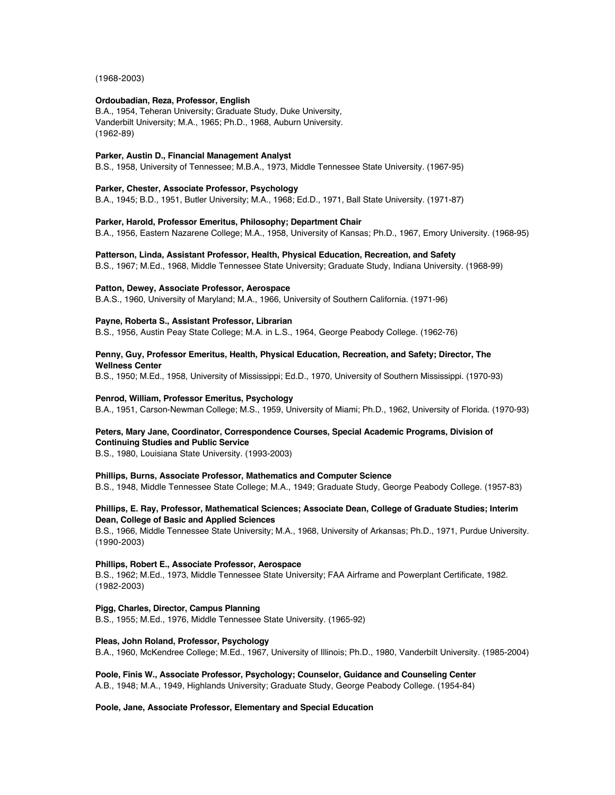(1968-2003)

# **Ordoubadian, Reza, Professor, English**

B.A., 1954, Teheran University; Graduate Study, Duke University, Vanderbilt University; M.A., 1965; Ph.D., 1968, Auburn University. (1962-89)

### **Parker, Austin D., Financial Management Analyst**

B.S., 1958, University of Tennessee; M.B.A., 1973, Middle Tennessee State University. (1967-95)

# **Parker, Chester, Associate Professor, Psychology**

B.A., 1945; B.D., 1951, Butler University; M.A., 1968; Ed.D., 1971, Ball State University. (1971-87)

# **Parker, Harold, Professor Emeritus, Philosophy; Department Chair**

B.A., 1956, Eastern Nazarene College; M.A., 1958, University of Kansas; Ph.D., 1967, Emory University. (1968-95)

# **Patterson, Linda, Assistant Professor, Health, Physical Education, Recreation, and Safety**

B.S., 1967; M.Ed., 1968, Middle Tennessee State University; Graduate Study, Indiana University. (1968-99)

# **Patton, Dewey, Associate Professor, Aerospace**

B.A.S., 1960, University of Maryland; M.A., 1966, University of Southern California. (1971-96)

# **Payne, Roberta S., Assistant Professor, Librarian**

B.S., 1956, Austin Peay State College; M.A. in L.S., 1964, George Peabody College. (1962-76)

# **Penny, Guy, Professor Emeritus, Health, Physical Education, Recreation, and Safety; Director, The Wellness Center**

B.S., 1950; M.Ed., 1958, University of Mississippi; Ed.D., 1970, University of Southern Mississippi. (1970-93)

### **Penrod, William, Professor Emeritus, Psychology**

B.A., 1951, Carson-Newman College; M.S., 1959, University of Miami; Ph.D., 1962, University of Florida. (1970-93)

# **Peters, Mary Jane, Coordinator, Correspondence Courses, Special Academic Programs, Division of Continuing Studies and Public Service**

B.S., 1980, Louisiana State University. (1993-2003)

### **Phillips, Burns, Associate Professor, Mathematics and Computer Science**

B.S., 1948, Middle Tennessee State College; M.A., 1949; Graduate Study, George Peabody College. (1957-83)

# **Phillips, E. Ray, Professor, Mathematical Sciences; Associate Dean, College of Graduate Studies; Interim Dean, College of Basic and Applied Sciences**

B.S., 1966, Middle Tennessee State University; M.A., 1968, University of Arkansas; Ph.D., 1971, Purdue University. (1990-2003)

### **Phillips, Robert E., Associate Professor, Aerospace**

B.S., 1962; M.Ed., 1973, Middle Tennessee State University; FAA Airframe and Powerplant Certificate, 1982. (1982-2003)

# **Pigg, Charles, Director, Campus Planning**

B.S., 1955; M.Ed., 1976, Middle Tennessee State University. (1965-92)

# **Pleas, John Roland, Professor, Psychology**

B.A., 1960, McKendree College; M.Ed., 1967, University of Illinois; Ph.D., 1980, Vanderbilt University. (1985-2004)

# **Poole, Finis W., Associate Professor, Psychology; Counselor, Guidance and Counseling Center**

A.B., 1948; M.A., 1949, Highlands University; Graduate Study, George Peabody College. (1954-84)

# **Poole, Jane, Associate Professor, Elementary and Special Education**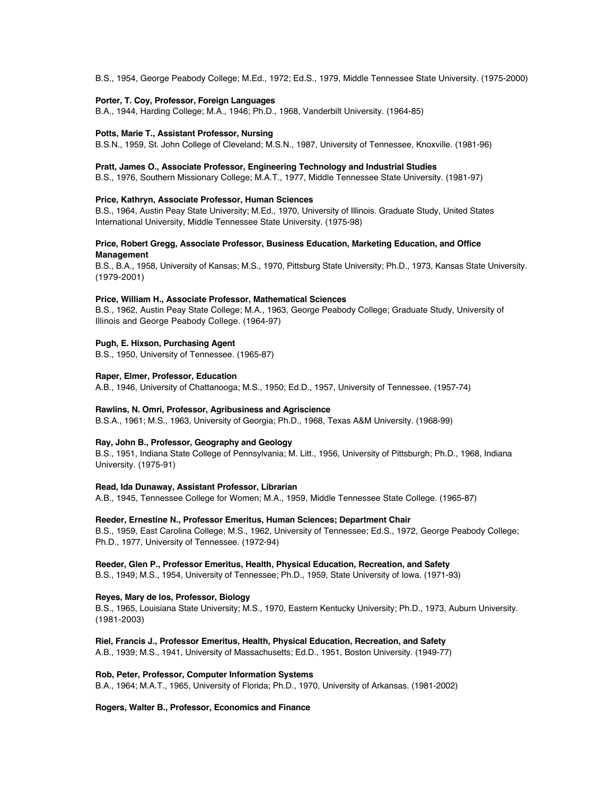B.S., 1954, George Peabody College; M.Ed., 1972; Ed.S., 1979, Middle Tennessee State University. (1975-2000)

# **Porter, T. Coy, Professor, Foreign Languages**

B.A., 1944, Harding College; M.A., 1946; Ph.D., 1968, Vanderbilt University. (1964-85)

# **Potts, Marie T., Assistant Professor, Nursing**

B.S.N., 1959, St. John College of Cleveland; M.S.N., 1987, University of Tennessee, Knoxville. (1981-96)

# **Pratt, James O., Associate Professor, Engineering Technology and Industrial Studies**

B.S., 1976, Southern Missionary College; M.A.T., 1977, Middle Tennessee State University. (1981-97)

# **Price, Kathryn, Associate Professor, Human Sciences**

B.S., 1964, Austin Peay State University; M.Ed., 1970, University of Illinois. Graduate Study, United States International University, Middle Tennessee State University. (1975-98)

# **Price, Robert Gregg, Associate Professor, Business Education, Marketing Education, and Office Management**

B.S., B.A., 1958, University of Kansas; M.S., 1970, Pittsburg State University; Ph.D., 1973, Kansas State University. (1979-2001)

# **Price, William H., Associate Professor, Mathematical Sciences**

B.S., 1962, Austin Peay State College; M.A., 1963, George Peabody College; Graduate Study, University of Illinois and George Peabody College. (1964-97)

### **Pugh, E. Hixson, Purchasing Agent**

B.S., 1950, University of Tennessee. (1965-87)

# **Raper, Elmer, Professor, Education**

A.B., 1946, University of Chattanooga; M.S., 1950; Ed.D., 1957, University of Tennessee. (1957-74)

# **Rawlins, N. Omri, Professor, Agribusiness and Agriscience**

B.S.A., 1961; M.S., 1963, University of Georgia; Ph.D., 1968, Texas A&M University. (1968-99)

# **Ray, John B., Professor, Geography and Geology**

B.S., 1951, Indiana State College of Pennsylvania; M. Litt., 1956, University of Pittsburgh; Ph.D., 1968, Indiana University. (1975-91)

# **Read, Ida Dunaway, Assistant Professor, Librarian**

A.B., 1945, Tennessee College for Women; M.A., 1959, Middle Tennessee State College. (1965-87)

# **Reeder, Ernestine N., Professor Emeritus, Human Sciences; Department Chair**

B.S., 1959, East Carolina College; M.S., 1962, University of Tennessee; Ed.S., 1972, George Peabody College; Ph.D., 1977, University of Tennessee. (1972-94)

# **Reeder, Glen P., Professor Emeritus, Health, Physical Education, Recreation, and Safety**

B.S., 1949; M.S., 1954, University of Tennessee; Ph.D., 1959, State University of Iowa. (1971-93)

# **Reyes, Mary de los, Professor, Biology**

B.S., 1965, Louisiana State University; M.S., 1970, Eastern Kentucky University; Ph.D., 1973, Auburn University. (1981-2003)

# **Riel, Francis J., Professor Emeritus, Health, Physical Education, Recreation, and Safety**

A.B., 1939; M.S., 1941, University of Massachusetts; Ed.D., 1951, Boston University. (1949-77)

# **Rob, Peter, Professor, Computer Information Systems**

B.A., 1964; M.A.T., 1965, University of Florida; Ph.D., 1970, University of Arkansas. (1981-2002)

# **Rogers, Walter B., Professor, Economics and Finance**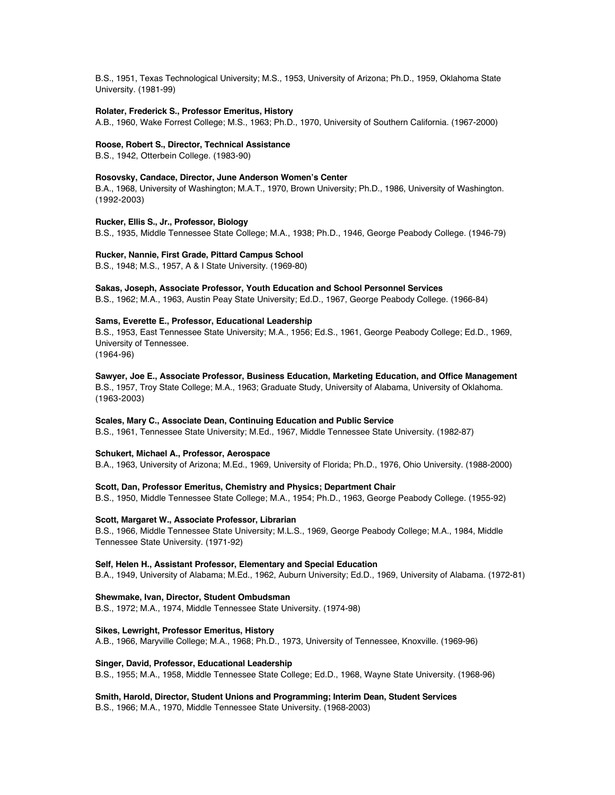B.S., 1951, Texas Technological University; M.S., 1953, University of Arizona; Ph.D., 1959, Oklahoma State University. (1981-99)

# **Rolater, Frederick S., Professor Emeritus, History**

A.B., 1960, Wake Forrest College; M.S., 1963; Ph.D., 1970, University of Southern California. (1967-2000)

#### **Roose, Robert S., Director, Technical Assistance**

B.S., 1942, Otterbein College. (1983-90)

# **Rosovsky, Candace, Director, June Anderson Women's Center**

B.A., 1968, University of Washington; M.A.T., 1970, Brown University; Ph.D., 1986, University of Washington. (1992-2003)

#### **Rucker, Ellis S., Jr., Professor, Biology**

B.S., 1935, Middle Tennessee State College; M.A., 1938; Ph.D., 1946, George Peabody College. (1946-79)

#### **Rucker, Nannie, First Grade, Pittard Campus School**

B.S., 1948; M.S., 1957, A & I State University. (1969-80)

### **Sakas, Joseph, Associate Professor, Youth Education and School Personnel Services**

B.S., 1962; M.A., 1963, Austin Peay State University; Ed.D., 1967, George Peabody College. (1966-84)

### **Sams, Everette E., Professor, Educational Leadership**

B.S., 1953, East Tennessee State University; M.A., 1956; Ed.S., 1961, George Peabody College; Ed.D., 1969, University of Tennessee.

(1964-96)

**Sawyer, Joe E., Associate Professor, Business Education, Marketing Education, and Office Management** B.S., 1957, Troy State College; M.A., 1963; Graduate Study, University of Alabama, University of Oklahoma. (1963-2003)

#### **Scales, Mary C., Associate Dean, Continuing Education and Public Service**

B.S., 1961, Tennessee State University; M.Ed., 1967, Middle Tennessee State University. (1982-87)

# **Schukert, Michael A., Professor, Aerospace**

B.A., 1963, University of Arizona; M.Ed., 1969, University of Florida; Ph.D., 1976, Ohio University. (1988-2000)

**Scott, Dan, Professor Emeritus, Chemistry and Physics; Department Chair**

B.S., 1950, Middle Tennessee State College; M.A., 1954; Ph.D., 1963, George Peabody College. (1955-92)

#### **Scott, Margaret W., Associate Professor, Librarian**

B.S., 1966, Middle Tennessee State University; M.L.S., 1969, George Peabody College; M.A., 1984, Middle Tennessee State University. (1971-92)

### **Self, Helen H., Assistant Professor, Elementary and Special Education**

B.A., 1949, University of Alabama; M.Ed., 1962, Auburn University; Ed.D., 1969, University of Alabama. (1972-81)

# **Shewmake, Ivan, Director, Student Ombudsman**

B.S., 1972; M.A., 1974, Middle Tennessee State University. (1974-98)

# **Sikes, Lewright, Professor Emeritus, History**

A.B., 1966, Maryville College; M.A., 1968; Ph.D., 1973, University of Tennessee, Knoxville. (1969-96)

### **Singer, David, Professor, Educational Leadership**

B.S., 1955; M.A., 1958, Middle Tennessee State College; Ed.D., 1968, Wayne State University. (1968-96)

# **Smith, Harold, Director, Student Unions and Programming; Interim Dean, Student Services**

B.S., 1966; M.A., 1970, Middle Tennessee State University. (1968-2003)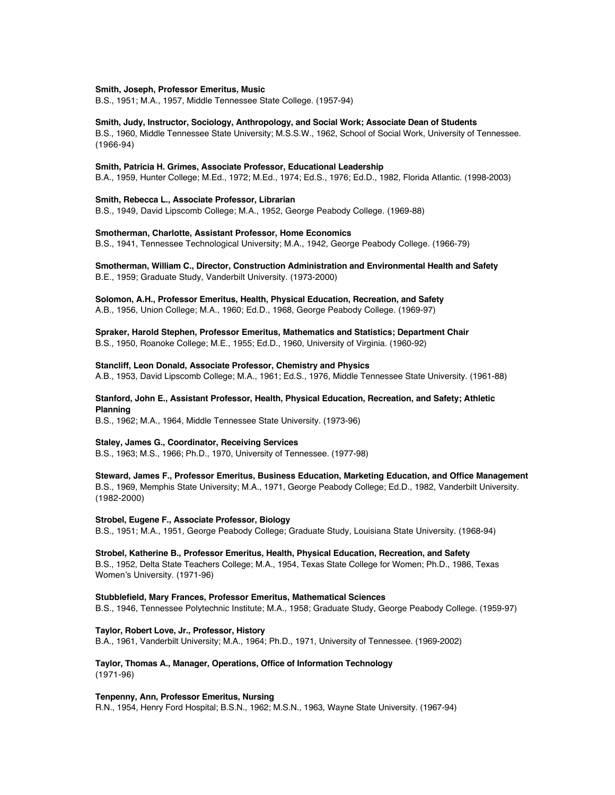### **Smith, Joseph, Professor Emeritus, Music**

B.S., 1951; M.A., 1957, Middle Tennessee State College. (1957-94)

**Smith, Judy, Instructor, Sociology, Anthropology, and Social Work; Associate Dean of Students** B.S., 1960, Middle Tennessee State University; M.S.S.W., 1962, School of Social Work, University of Tennessee. (1966-94)

### **Smith, Patricia H. Grimes, Associate Professor, Educational Leadership**

B.A., 1959, Hunter College; M.Ed., 1972; M.Ed., 1974; Ed.S., 1976; Ed.D., 1982, Florida Atlantic. (1998-2003)

# **Smith, Rebecca L., Associate Professor, Librarian**

B.S., 1949, David Lipscomb College; M.A., 1952, George Peabody College. (1969-88)

# **Smotherman, Charlotte, Assistant Professor, Home Economics**

B.S., 1941, Tennessee Technological University; M.A., 1942, George Peabody College. (1966-79)

# **Smotherman, William C., Director, Construction Administration and Environmental Health and Safety** B.E., 1959; Graduate Study, Vanderbilt University. (1973-2000)

**Solomon, A.H., Professor Emeritus, Health, Physical Education, Recreation, and Safety**

A.B., 1956, Union College; M.A., 1960; Ed.D., 1968, George Peabody College. (1969-97)

# **Spraker, Harold Stephen, Professor Emeritus, Mathematics and Statistics; Department Chair**

B.S., 1950, Roanoke College; M.E., 1955; Ed.D., 1960, University of Virginia. (1960-92)

# **Stancliff, Leon Donald, Associate Professor, Chemistry and Physics**

A.B., 1953, David Lipscomb College; M.A., 1961; Ed.S., 1976, Middle Tennessee State University. (1961-88)

# **Stanford, John E., Assistant Professor, Health, Physical Education, Recreation, and Safety; Athletic Planning**

B.S., 1962; M.A., 1964, Middle Tennessee State University. (1973-96)

#### **Staley, James G., Coordinator, Receiving Services**

B.S., 1963; M.S., 1966; Ph.D., 1970, University of Tennessee. (1977-98)

# **Steward, James F., Professor Emeritus, Business Education, Marketing Education, and Office Management** B.S., 1969, Memphis State University; M.A., 1971, George Peabody College; Ed.D., 1982, Vanderbilt University. (1982-2000)

#### **Strobel, Eugene F., Associate Professor, Biology**

B.S., 1951; M.A., 1951, George Peabody College; Graduate Study, Louisiana State University. (1968-94)

**Strobel, Katherine B., Professor Emeritus, Health, Physical Education, Recreation, and Safety** B.S., 1952, Delta State Teachers College; M.A., 1954, Texas State College for Women; Ph.D., 1986, Texas Women's University. (1971-96)

# **Stubblefield, Mary Frances, Professor Emeritus, Mathematical Sciences** B.S., 1946, Tennessee Polytechnic Institute; M.A., 1958; Graduate Study, George Peabody College. (1959-97)

**Taylor, Robert Love, Jr., Professor, History** B.A., 1961, Vanderbilt University; M.A., 1964; Ph.D., 1971, University of Tennessee. (1969-2002)

# **Taylor, Thomas A., Manager, Operations, Office of Information Technology** (1971-96)

### **Tenpenny, Ann, Professor Emeritus, Nursing**

R.N., 1954, Henry Ford Hospital; B.S.N., 1962; M.S.N., 1963, Wayne State University. (1967-94)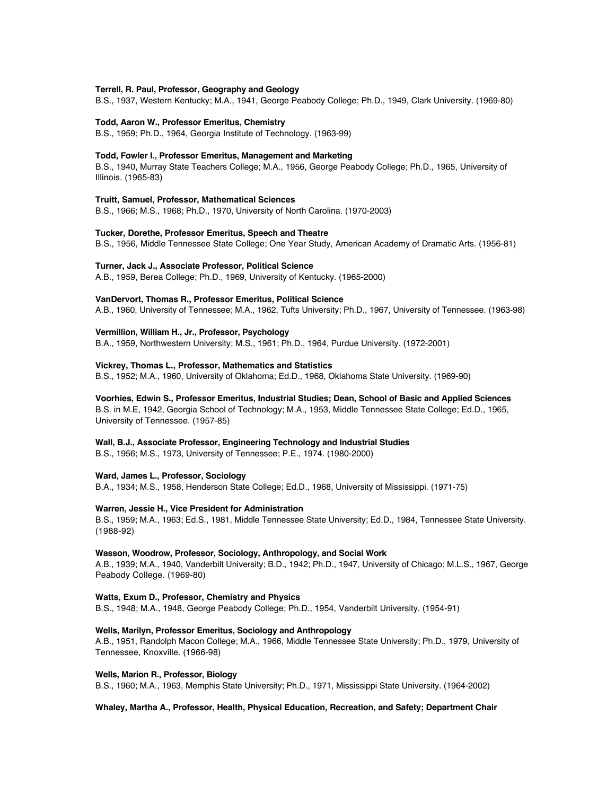# **Terrell, R. Paul, Professor, Geography and Geology**

B.S., 1937, Western Kentucky; M.A., 1941, George Peabody College; Ph.D., 1949, Clark University. (1969-80)

#### **Todd, Aaron W., Professor Emeritus, Chemistry**

B.S., 1959; Ph.D., 1964, Georgia Institute of Technology. (1963-99)

#### **Todd, Fowler I., Professor Emeritus, Management and Marketing**

B.S., 1940, Murray State Teachers College; M.A., 1956, George Peabody College; Ph.D., 1965, University of Illinois. (1965-83)

# **Truitt, Samuel, Professor, Mathematical Sciences**

B.S., 1966; M.S., 1968; Ph.D., 1970, University of North Carolina. (1970-2003)

# **Tucker, Dorethe, Professor Emeritus, Speech and Theatre**

B.S., 1956, Middle Tennessee State College; One Year Study, American Academy of Dramatic Arts. (1956-81)

# **Turner, Jack J., Associate Professor, Political Science**

A.B., 1959, Berea College; Ph.D., 1969, University of Kentucky. (1965-2000)

# **VanDervort, Thomas R., Professor Emeritus, Political Science**

A.B., 1960, University of Tennessee; M.A., 1962, Tufts University; Ph.D., 1967, University of Tennessee. (1963-98)

# **Vermillion, William H., Jr., Professor, Psychology**

B.A., 1959, Northwestern University; M.S., 1961; Ph.D., 1964, Purdue University. (1972-2001)

# **Vickrey, Thomas L., Professor, Mathematics and Statistics**

B.S., 1952; M.A., 1960, University of Oklahoma; Ed.D., 1968, Oklahoma State University. (1969-90)

### **Voorhies, Edwin S., Professor Emeritus, Industrial Studies; Dean, School of Basic and Applied Sciences**

B.S. in M.E, 1942, Georgia School of Technology; M.A., 1953, Middle Tennessee State College; Ed.D., 1965, University of Tennessee. (1957-85)

# **Wall, B.J., Associate Professor, Engineering Technology and Industrial Studies**

B.S., 1956; M.S., 1973, University of Tennessee; P.E., 1974. (1980-2000)

#### **Ward, James L., Professor, Sociology**

B.A., 1934; M.S., 1958, Henderson State College; Ed.D., 1968, University of Mississippi. (1971-75)

#### **Warren, Jessie H., Vice President for Administration**

B.S., 1959; M.A., 1963; Ed.S., 1981, Middle Tennessee State University; Ed.D., 1984, Tennessee State University. (1988-92)

# **Wasson, Woodrow, Professor, Sociology, Anthropology, and Social Work**

A.B., 1939; M.A., 1940, Vanderbilt University; B.D., 1942; Ph.D., 1947, University of Chicago; M.L.S., 1967, George Peabody College. (1969-80)

# **Watts, Exum D., Professor, Chemistry and Physics**

B.S., 1948; M.A., 1948, George Peabody College; Ph.D., 1954, Vanderbilt University. (1954-91)

# **Wells, Marilyn, Professor Emeritus, Sociology and Anthropology**

A.B., 1951, Randolph Macon College; M.A., 1966, Middle Tennessee State University; Ph.D., 1979, University of Tennessee, Knoxville. (1966-98)

#### **Wells, Marion R., Professor, Biology**

B.S., 1960; M.A., 1963, Memphis State University; Ph.D., 1971, Mississippi State University. (1964-2002)

#### **Whaley, Martha A., Professor, Health, Physical Education, Recreation, and Safety; Department Chair**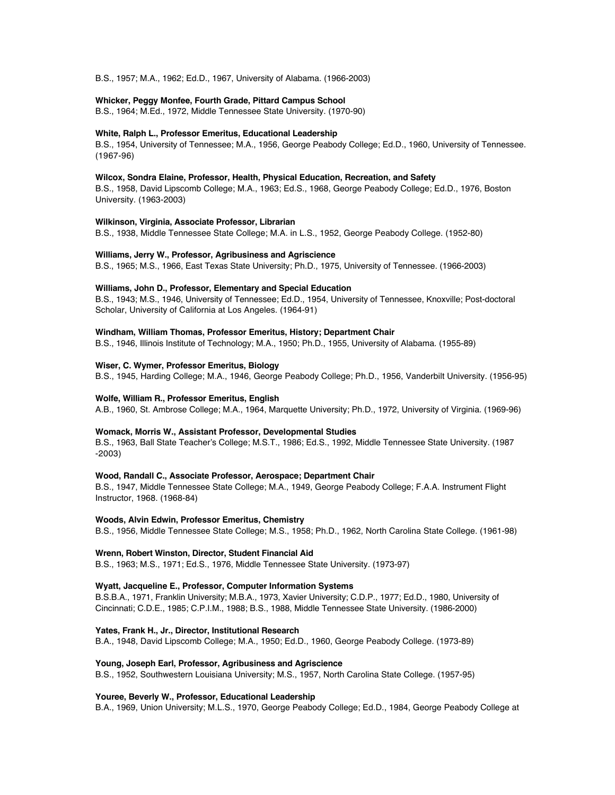B.S., 1957; M.A., 1962; Ed.D., 1967, University of Alabama. (1966-2003)

### **Whicker, Peggy Monfee, Fourth Grade, Pittard Campus School**

B.S., 1964; M.Ed., 1972, Middle Tennessee State University. (1970-90)

## **White, Ralph L., Professor Emeritus, Educational Leadership**

B.S., 1954, University of Tennessee; M.A., 1956, George Peabody College; Ed.D., 1960, University of Tennessee. (1967-96)

# **Wilcox, Sondra Elaine, Professor, Health, Physical Education, Recreation, and Safety**

B.S., 1958, David Lipscomb College; M.A., 1963; Ed.S., 1968, George Peabody College; Ed.D., 1976, Boston University. (1963-2003)

### **Wilkinson, Virginia, Associate Professor, Librarian**

B.S., 1938, Middle Tennessee State College; M.A. in L.S., 1952, George Peabody College. (1952-80)

#### **Williams, Jerry W., Professor, Agribusiness and Agriscience**

B.S., 1965; M.S., 1966, East Texas State University; Ph.D., 1975, University of Tennessee. (1966-2003)

### **Williams, John D., Professor, Elementary and Special Education**

B.S., 1943; M.S., 1946, University of Tennessee; Ed.D., 1954, University of Tennessee, Knoxville; Post-doctoral Scholar, University of California at Los Angeles. (1964-91)

# **Windham, William Thomas, Professor Emeritus, History; Department Chair**

B.S., 1946, Illinois Institute of Technology; M.A., 1950; Ph.D., 1955, University of Alabama. (1955-89)

### **Wiser, C. Wymer, Professor Emeritus, Biology**

B.S., 1945, Harding College; M.A., 1946, George Peabody College; Ph.D., 1956, Vanderbilt University. (1956-95)

### **Wolfe, William R., Professor Emeritus, English**

A.B., 1960, St. Ambrose College; M.A., 1964, Marquette University; Ph.D., 1972, University of Virginia. (1969-96)

#### **Womack, Morris W., Assistant Professor, Developmental Studies**

B.S., 1963, Ball State Teacher's College; M.S.T., 1986; Ed.S., 1992, Middle Tennessee State University. (1987 -2003)

### **Wood, Randall C., Associate Professor, Aerospace; Department Chair**

B.S., 1947, Middle Tennessee State College; M.A., 1949, George Peabody College; F.A.A. Instrument Flight Instructor, 1968. (1968-84)

# **Woods, Alvin Edwin, Professor Emeritus, Chemistry**

B.S., 1956, Middle Tennessee State College; M.S., 1958; Ph.D., 1962, North Carolina State College. (1961-98)

#### **Wrenn, Robert Winston, Director, Student Financial Aid**

B.S., 1963; M.S., 1971; Ed.S., 1976, Middle Tennessee State University. (1973-97)

### **Wyatt, Jacqueline E., Professor, Computer Information Systems**

B.S.B.A., 1971, Franklin University; M.B.A., 1973, Xavier University; C.D.P., 1977; Ed.D., 1980, University of Cincinnati; C.D.E., 1985; C.P.I.M., 1988; B.S., 1988, Middle Tennessee State University. (1986-2000)

# **Yates, Frank H., Jr., Director, Institutional Research**

B.A., 1948, David Lipscomb College; M.A., 1950; Ed.D., 1960, George Peabody College. (1973-89)

# **Young, Joseph Earl, Professor, Agribusiness and Agriscience**

B.S., 1952, Southwestern Louisiana University; M.S., 1957, North Carolina State College. (1957-95)

### **Youree, Beverly W., Professor, Educational Leadership**

B.A., 1969, Union University; M.L.S., 1970, George Peabody College; Ed.D., 1984, George Peabody College at